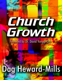# Unrdn Growth

# Foreword by Dr. David Yonggi Cho

# Dag Heward-Mills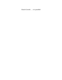Church Growth . . . it is possible!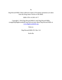Dag Heward-Mills Unless otherwise stated, all Scripture quotations are taken from the King James Version of the Bible.

#### ISBN: 978-1-61395-147-7

Copyright © 2010 Dag Heward-Mills E mail Dag Heward-Mills: evangelist@daghewardmills.org Find out more about Dag Heward-Mills at: [www.daghewardmills.org](http://www.daghewardmills.org/)

Write to:

Dag Heward-Mills P.O. Box 114

Korle-Bu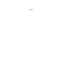Accra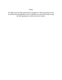#### Ghana

All rights reserved under international copyright law. Written permission must be secured from the publisher to use or reproduce any part of this book, except for brief quotations in critical reviews or articles.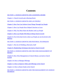# **Contents**

<span id="page-5-0"></span>SECTION 1: CHURCH GROWTH AND A [BURNING](#page-9-0) DESIRE

Chapter 1: Church Growth and a [Burning](#page-10-0) Desire

SECTION 2: CHURCH [GROWTH](#page-13-0) AND LAY PEOPLE

Chapter 2: How You Can Achieve Great Things [Through](#page-14-0) Lay People

Chapter 3: How Lay People Have Helped [Churches](#page-18-0) to Grow

[Chapter](#page-25-0) 4: Why You Must Share the Burden with Lay People

[Chapter](#page-27-0) 5: How Lay People Will Help to Bring Church Growth

Chapter 6: Five Evils that Evolve when Lay People are not [Involved](#page-34-0) in the **Ministry** 

SECTION 3: CHURCH GROWTH AND PASTORAL [TECHNIQUES](#page-41-0)

Chapter 7: The Art of [Wielding](#page-42-0) a Rod and a Staff

Chapter 8: [Shepherding](#page-56-0) Techniques that lead to Church Growth

SECTION 4: CHURCH GROWTH AND THE WISE [MANAGEMENT](#page-64-0) OF **MONEY** 

Chapter 9: How Wise [Management](#page-65-0) of Church Money can lead to Church Growth

Chapter 10: How to Manage [Offerings](#page-68-0)

Chapter 11: How to Improve Tithes and [Offerings](#page-70-0) in the Church

[Chapter](#page-72-0) 12: How to Raise Funds in the Church

SECTION 5: CHURCH GROWTH AND THE [MANAGEMENT](#page-74-0) OF CHURCH **MEMBERS**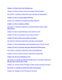Chapter 13: Define who Your [Members](#page-75-0) are

Chapter 14: What to Expect from the Average Church [Member](#page-79-0)

SECTION 6: CHURCH GROWTH AND THE HELPS [MINISTRY](#page-81-0)

Chapter 15: How to Choose Helps [Ministers](#page-82-0)

Chapter 16: Guidelines for [Employing](#page-85-0) Helps Ministers

Chapter 17: How to [Employ](#page-89-0) a Helper

SECTION 7: CHURCH GROWTH, [CONVENTIONS](#page-94-0) AND CAMP **MEETINGS** 

Chapter 18: How Camp [Meetings](#page-95-0) Cause Church Growth

Chapter 19: How [Conventions](#page-99-0) Cause Church Growth

Chapter 20: How to Have Successful [Conventions](#page-102-0)

**SECTION 8: CHURCH GROWTH AND [RELATIONSHIPS](#page-105-0)** 

Chapter 21: Why [Relationships](#page-106-0) and Friendships lead to Church Growth

Chapter 22: How to Develop Important Ministerial [Relationships](#page-111-0)

**SECTION 9: CHURCH GROWTH AND [GETHSEMANE](#page-121-0)** 

Chapter 23: How Church Growth is Affected by [Gethsemane](#page-122-0)

[Chapter](#page-125-0) 24: The Art of Waiting on God

SECTION 10: CHURCH GROWTH THROUGH A UNITED GROUP OF BRANCHES [CHURCHES](#page-133-0) UGBC

Chapter 25: Church Growth Through a United Group of Branch [Churches](#page-134-0)

SECTION 11: CHURCH GROWTH AND [ANAGKAZO](#page-141-0)

Chapter 26: [Anagkazo](#page-142-0) is the Principle for Increase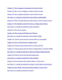Chapter 27: Why [Anagkazo](#page-146-0) is Important for Church Growth

Chapter 28: How to Use [Anagkazo](#page-149-0) to Induce Church Growth

Chapter 29: How [Anaideia](#page-160-0) and Biazo Cause Church Growth

SECTION 12: CHURCH GROWTH AND HARD [LEADERSHIP](#page-166-0)

Chapter 30: Why You Must [Become](#page-167-0) a Hard Leader to Have Church Growth

Chapter 31: The [Hardness](#page-171-0) and the Decision of a Mega Church Pastor

SECTION 13: CHURCH GROWTH AND [COPYING](#page-177-0)

Chapter 32: The Art of [Copying](#page-178-0)

Chapter 33: Why [Copying](#page-182-0) Will Help Your Ministry

SECTION 14: CHURCH [GROWTH](#page-188-0) AND HARD WORK

Chapter 34: Church Growth and the Constant Effort to [Accomplish](#page-189-0)

[Chapter](#page-192-0) 35: How to Work Hard for a Mega Church

[Chapter](#page-197-0) 36: Church Growth and the Work of a Pastor (PVCI)

Chapter 37: Church growth and The Work of Taking Heed to [Yourself](#page-202-0) (WAR)

SECTION 15: CHURCH GROWTH AND OUTWARD [IMPRESSIONS](#page-208-0)

Chapter 38: Church Growth and Outward [Impressions](#page-209-0)

SECTION 16: CHURCH [GROWTH](#page-213-0) AND WOMEN

Chapter 39: Seven [Reasons](#page-214-0) Why Women Make a Church Grow

SECTION 17: CHURCH GROWTH, RADIO, [TELEVISION](#page-218-0) AND BUSES

Chapter 40: How Radio, [Television](#page-219-0) and Buses Make a Church Grow

SECTION 18: CHURCH [GROWTH](#page-224-0) TESTS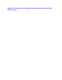Chapter 41: Twenty Diverse Testings and [Temptations](#page-225-0) of a Pastor who Seeks Church Growth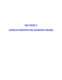## **[SECTION](#page-5-0) 1**

<span id="page-9-0"></span>**CHURCH GROWTH AND A [BURNING](#page-5-0) DESIRE**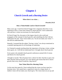# **[Chapter](#page-5-0) 1**

## <span id="page-10-0"></span>**Church Growth and a [Burning](#page-5-0) Desire**

#### *Where there is no vision …*

#### *Proverbs 29:18*

#### **Does a Vision Really Lead to Church Growth?**

Many years ago, I read from David Yonggi Cho's magazine about how it was important to have a vision and a dream for church growth. I never understood why and how a vision was necessary for church growth.

Dr David Yongi Cho, the pastor of the largest church in the world and propagator of the concept of church growth, said something else that I did not understand. He said, "Your vision makes you. You do not make your vision." I also did not understand this.

Honestly, I assumed that the subject "having a vision" was always mentioned as a standard opening point for all teachings on leadership.

As I listened to people teaching about the importance of having a vision, writing down goals, etc, I still did not understand how it brought about church growth.

Every pastor who attended church growth conferences seemed full of visions and desires for church growth.

I thought to myself, "But all pastors have a desire for their churches to grow, but their churches still do not grow. If it were desires and visions that led to church growth, then every church would be a big church!"

#### **Your Vision Must Be a Burning Vision**

As the years have gone by, I have realized that the vision you have must be a *burning vision*. You cannot have a superficial vision for a large church. A shallow vision will not make your church grow. The vision must eat you up and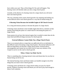burn within your soul. Then, all the things Dr Cho said will happen. That burning vision will literally make you into a mega church pastor.

Actually, in the absence of a burning vision for a large church you will never have real church growth.

The way a burning vision causes church growth is by inspiring and leading you on the difficult road to real church growth in a way that no human being can.

#### **A Burning Vision Becomes the Invisible Engine of All Church Growth**

It is a long and tortuous journey to become the pastor of a large church.

A burning vision and dream is the invisible engine that drives a minister on that journey from being the pastor of a small church to becoming the pastor of a mega church.

Some pastors do not have that internal engine that is needed to make them do the many hard and difficult things necessary for church growth.

#### **External Influence Cannot Make You a Mega Church Pastor**

There is no external advice or input that can *sufficiently drive an individual* on that difficult road to becoming a mega church pastor. All external influences will fade out long before you become a mega church pastor. External advice, encouragement and counsel are too short-lived to cause any minister of the Gospel to survive on the road to church growth.

#### **What a Vision Can Make You Do**

There is something that a burning internal vision and dream does for you that no human being can do for you.

The internal burning vision and dream makes you humble enough to do all the things that you must to have church growth.

A burning vision and dream for a large church makes you pray for church growth. Without a burning vision and dream you will never pray hard enough to attract God's attention.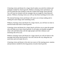A burning vision and dream for a large church makes you seek the wisdom and strategies needed for church growth. Without a burning vision and dream, you will not spend the time needed to seek the wisdom that brings church growth. You will soon be irritated with the strategies that are taught by church growth pastors. Without a burning vision you will say that these teachings do not work.

The internal burning vision and dream will cause you to keep reading and rereading the same things until something works.

Without a burning vision and dream for a large church, you will have no time to read the books that lead to church growth.

A burning vision and dream for a large church will drive you to meet the people who will help you to have church growth. It will make you humble enough to relate with and fellowship with the right people until their influence and anointing rubs off on you.

Without a burning vision and dream for a large church you will not listen to the messages that bring church growth. You will criticize the very thing that you need most and even make fun of it.

A burning vision and dream is the only true source of the staying power, stamina and persistence needed for the long journey towards church growth.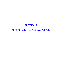## **[SECTION](#page-5-0) 2**

## <span id="page-13-0"></span>**CHURCH [GROWTH](#page-5-0) AND LAY PEOPLE**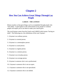# **[Chapter](#page-5-0) 2**

## <span id="page-14-0"></span>**How You Can Achieve Great Things [Through](#page-5-0) Lay People**

#### **LAIKOS – THE LAYMAN**

History teaches us that great things can be accomplished through people who "lack skills". A quick glance at the achievements of lay people or common people will inspire you to use them to make your church grow.

The word *layman* comes from the Greek word *LAIKOS* which means "having no skills". The following are a few definitions of the word 'layman'.

- 1. A layman is an ordinary person.
- 2. A layman is a normal person.
- 3. A layman is a commonplace person.
- 4. A layman is a usual person.
- 5. A layman is a regular person.
- 6. A layman is a common person.
- 7. A layman is an everyday person.
- 8. A layman is an average person.
- 9. A layman is someone who is not a professional.
- 10. A layman is someone who is not an expert.
- 11. A layman is someone who is not specialized.
- 12. A layman is someone who is not skilled.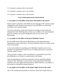- 13. A layman is someone who is not trained.
- 14. A layman is someone who is not certified.
- 15. A layman is someone who is not licensed.

#### **Great Achievements in the Church World**

#### **1. Lay people were the pillars of the great reformation of the church**

Martin Luther's translation of the Bible into the language of the common people changed the world. Instead of just being in Latin, the Bible was made more accessible to the common people.

Once the common/lay people had revelation knowledge in their hands they changed the world. Realising that salvation was available to all men through the grace of God they rose up and championed what we now know as the Reformation.

#### **2. Lay people are the pillars of the great Methodist Church**

By the middle of the 20th century, Methodism was the largest Protestant denomination in the United States. The great Methodist church has ridden on the backs of lay people.

A very early tradition of preaching in the Methodist churches was for a Lay Preacher to be appointed to lead services of worship and preach in a group of churches called a 'circuit'.

The lay preacher walked or rode on horseback in a prescribed circuit of the preaching places according to an agreed pattern and timing.

After the appointment of ministers and pastors, this lay preaching tradition continued with ''Methodist Local Preachers'' being appointed by individual churches, and in turn approved and invited by nearby churches, as an adjunct to the minister or during their planned absences.

#### **3. Lay people were the pillars of the largest single church in the world.**

One of the foundational principles on which the Yoido Full Gospel Church is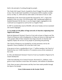built is the principle of working through lay people.

The Yoido Full Gospel Church, founded by David Yonggi Cho and his motherin-law, Choi Ja-shil, both Assemblies of God pastors held its maiden worship service on May 15, 1958 with four other ladies in the home of Choi Ja- shil.

Membership of the church had reached fifty thousand by 1977, a figure that doubled in only two years. On 30 November 1981, membership topped two hundred thousand. By this time, it was the largest single congregation in the world and was recognized as such by the Los Angeles Times.

In 2007 its membership stood at 830,000, with seven Sunday services translated into sixteen languages.

#### **4. Lay people are the pillars of huge networks of churches originating from Nigeria and Ghana.**

Both the Redeemed Christian? Church of God with its home in Nigeria and The Church of Pentecost with its headquarters in Ghana are known to make good use of lay people. Both of these ministries have huge networks of churches and regularly employ the services of lay people for preaching and pastoring.

The Church of Pentecost was founded by an Irish missionary sent by the Apostolic Church, Bradford, UK to the then Gold Coast.

It has grown to have a membership of over 1.7 million members, the Church of Pentecost has over 13,000 churches in 70 countries across all the continents of the world.

In 1952, the Redeemed Christian? Church of God was founded in Nigeria by Pa Josiah Akindayomi.

Under the leadership of its General Overseer, Reverend E.A. Adeboye, it has grown to have churches in more than 140 countries, with millions in attendance.

Truly, these are great achievements and they have been made possible through the inputs of lay people.

#### **Great Achievements in the Secular World**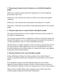#### **1. The great government system of democracy was birthed through lay people.**

Democracy is giving common people the opportunity to act and change the government if they wish.

Democracy is the common man's power to refuse to live under unacceptable conditions.

Democracy is the common man's participation and influence in a country.

Democracy is built upon the principle of equal opportunity given to all common people.

#### **2. The great super-power was given birth to through lay people.**

The American Revolution is a classic example of the power of the common or lay people in shaping history.

The common man gave birth to a superpower. At the turn of the last century, the American Revolution was a successful experiment that marked the transition of a world controlled by a few to a world controlled by the many.

The Revolution was largely shaped by small revolutionary organizations such as the Sons of Liberty. These organizations were not controlled by the rich and powerful landowners but common people of average social status came together to plant the seeds of the Revolution.

#### **3. The great election victory came through lay people.**

In May 2008, Barack Obama first black president of the United States of America, clinched the Democratic nomination for the presidency of the United States.

Even though the country's rich and influential Democrats were Clinton supporters and provided the millions of dollars, Obama raised more than any other presidential candidate in history by using the power of the common person.

Obama raised over \$80 million in his campaign, most of which came from common people making small individual contributions.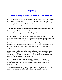# **[Chapter](#page-5-0) 3**

## <span id="page-18-0"></span>**How Lay People Have Helped [Churches](#page-5-0) to Grow**

I have experienced two worlds of ministry––full-time ministry and lay ministry. Most pastors are only aware of the existence of the full-time dimension of ministry. My intention is to help you to discover the reality of how lay people can cause the church to grow.

**A lay person is someone who maintains his secular job and yet is active in the ministry of the Lord Jesus.** A full-time minister is someone who has abandoned his secular job to concentrate fully on the ministry.

Many ministers who are in full-time ministry are not comfortable with the idea of lay people participating in the ministry. This is because they want to maintain the ministry as the exclusive preserve of a few "called" men of God.

Some full-time ministers do not want to accept the reality that lay people are capable of making a substantial (non-financial) contribution to ministry. Many full-time ministers are happy to maintain their lay people as mere financial supporters.

Pastors want to feel special as they perform their exclusive ministerial duties. "Why should a lay person do what I do?" they say. They think, "After all, if you can do the job I'm doing, what makes me special? What makes me (the pastor) different if lay people can do the things I do?"

Many ministers are not convinced that lay people can do the work of the ministry. I have had pastors ask me, "Will they have time to attend to the needs of the flock?", and "Can they handle emergencies?" "Can they minister powerfully the way we do?"

The answer to these is very simple - a resounding YES! I have been in the lay ministry for many years and have found it to be practically possible.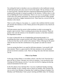I'm writing this book to introduce you to an alternative to the traditional concept of full-time priests who only wait on God in the temple. *The lay ministry is a key to church growth.* Churches that have experienced phenomenal growth have all employed the principle of using lay people for the ministry. I believe that it is the key to fulfilling the Great Commission. There is no way we are going to win this world with a few priests and pastors. Everyone must get involved. Many people must get involved at a higher ministerial level. There must be a revival of the lay ministry in the church.

There is such a thing as a lay pastor, i.e., a pastor who combines both his secular job and does the ministry as well. Ninety percent of the pastors in my church are lay pastors.

Full-time pastors must be secure in their positions in order to encourage lay people to get involved. There is nothing mystical about the ministry! There are pastors who want the ministry to be shrouded in mystery so that their members feel dependent on them.

It is time to demystify the art of shepherding and pastoring people. It is something that many can get involved with. What a blessing it is for lay people to discover that they can be useful in the ministry! What a blessing for the pastor when he discovers that the contributions of lay people can make his church grow.

I am not saying that there is no need for full-time ministers. I am myself a fulltime minister. There is a great need for full-time ministers to be one hundred percent involved in ministry work. There are things that only full-time ministers can do.

#### **I Was a Lay Pastor**

At the age of about fifteen, in secondary school, I met the Lord. From the day I gave my life to Christ, I became very active in ministry. I was involved in soul winning and following up converts. I was also involved in singing and playing musical instruments for the Lord.

In the first phase of my Christian life, I was not a traditional Sunday morning church attendee. In fact, I hardly went to church on Sundays. My Christian life was so active from Monday to Saturday that I ended up resting on Sundays! On Mondays and Wednesdays I had a prayer meeting and Bible study. On Tuesdays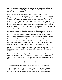and Thursdays I had music rehearsals. On Fridays we had fasting and prayer meetings. And then on Saturdays we would have a retreat from ten in the morning until six in the evening.

Whilst I was involved in these activities I never gave up my schooling. I completed my GCE 'O' levels and passed with a distinction - I had seven ones (one is the highest mark of distinction). That was a great accomplishment by any standards. In my GCE 'A' levels I topped my class and was one of the only people from my school admitted into the medical school. Throughout this period, I was fully involved in ministry. I preached! I won souls! I visited people in their homes! I counselled many people! I fasted and prayed! At one point, I fasted so much that I became as thin as a rake. Someone even asked me, "Do you think that you will get to Heaven by being a skeleton?"

Never did it occur to me that I had to be paid for the ministry work that I was involved in. By the time I was nineteen years old, I was fully involved in the ministry. I had many sheep who looked up to me for direction and prayer. By 1980 I was a strong preacher and leader of the Scripture Union fellowship. The point I am making is that ministry is possible alongside other pursuits.

I entered the university in October 1982. I was privileged to be studying medicine - one of the most difficult and time-consuming courses. Whilst in the university I began a Christian fellowship that is still in existence today.

During my fourth year, I began to establish the foundations for a church. I then became a pastor and was acknowledged as such whilst I was still a medical student.

During this time I was not being paid by anyone to do the work of the ministry. Neither did I slacken in my academic work. On the contrary, I did extremely well and won prizes in the medical school. I applied wisdom and sacrificed my leisure time so that I could be involved in ministry.

#### **Sacrifice and Wisdom**

These are the two keys to being in the lay ministry––*sacrifice and wisdom.*

What is the main task of a pastor? Is it to perform funerals and to officiate weddings? Certainly not! These are certainly duties of a minister but they are not main duties. If your ministry has deteriorated to the point where your main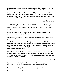functions are to conduct marriages and bury people, then you need to read your Bible again! The main duty of a minister is to fulfil the Great Commission.

*Go ye therefore, and teach all nations, baptizing them in the name of the Father, and of the Son, and of the Holy Ghost: Teaching them to observe all things whatsoever I have commanded you: and, lo, I am with you alway, even unto the end of the world. Amen.*

#### *Matthew 28:19, 20*

The reason why it is called the Great Commission is because it is the great commandment to all ministers. It is sad to see ministers of the Gospel who have become mere social functionaries. Sometimes pastors are under pressure to be accepted by society.

As a result, they want to do nice things that relate to health, education, etc., so that they may gain the approval of society.

Apostle Peter came under the same pressure to leave his principal duties and to perform mainly social tasks.

*And in those days, when the number of the disciples was multiplied, there arose a murmuring of the Grecians against the Hebrews, because their widows were neglected in the daily ministration. Then the twelve called the multitude of the disciples unto them, and said, It is not reason that we should leave the word of God, and serve tables.*

*Wherefore, brethren, look ye out among you seven men of honest report, full of the Holy Ghost and wisdom, whom we may appoint over this business. BUT WE WILL GIVE OURSELVES CONTINUALLY TO PRAYER, AND TO THE MINISTRY OF THE WORD.*

*Acts 6:1-4*

You can see from this Scripture that Peter's main duty was to pray and to minister the Word. This is something that can be done by lay people.

Lay people can be taught to visit and counsel younger Christians!

Lay people can be taught how to preach!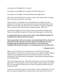Lay people can be taught how to witness!

Lay people can be taught how to minister the Word with power!

Lay people can be taught to make spiritual gains through prayer!

What I have just described is the work of a pastor. Any honest reader will agree that a lay person can become a lay pastor.

What you need is a systematic way of training your lay people to become ministers. Do not limit your lay people because they are professionals in other fields. Do not say that your doctors, lawyers, architects, carpenters, engineers, tailors, masons, nurses and secretaries, cannot be pastors. They can!!

I remember visiting one of our churches that was pastored by a female nurse. There were hundreds of people in the church and I gave glory to God for that.

*In a large house there are many vessels. God is using all kinds of people. Do not limit God to what you have been used to.*

*But in a great house there are not only vessels of gold and of silver, but also of wood and of earth; and some to honour, and some to dishonour. If a man therefore purge himself from these, he shall be a vessel unto honour, sanctified, and meet for the master's use, and prepared unto every good work.*

#### *2 Timothy 2:20, 21*

When I was in my first year at the university, I was told by the Christian fellowship that *I could not be a leader because I was a medical student.* Medical students were considered too busy to be involved in ministry work. How unfortunate! They had effectively eliminated a whole group of potential leaders from the fellowship.

This is what many pastors do. They look at the doctors in the church and think to themselves, "Sit down quietly, receive your Sunday sermons and pay your tithes. Be a nice principled Christian doctor who does not perform abortions and you will please God!!"

I want you to know that a doctor can also please God by winning souls. It is true that God wants principled doctors. But God also wants doctors who will win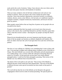souls and do the work of ministry. Today, I have doctors who own clinics and at the same time pastor churches with hundreds of members.

There are many architects who do full-time architectural work and are very fruitful in ministry. There are pastors who work in banks but pastor large churches. I have seen teachers, pharmacists, university lecturers, accountants, students, doctors, nurses, army officers, civil servants, air conditioner repairers, computer scientists, computer technicians, businessmen, and lawyers become great lay pastors.

Many people cannot believe that our long lists of pastors are lay people who are not paid by the church.

If pastors understand that their *lay people can do much more than just give money* to the church, they would help themselves and their churches a great deal. That is what this section is about - showing how lay people can help the church to grow.

Please do not misunderstand me; not every layperson must become a pastor. Some of the lay people can function as ordinary shepherds (cell leaders). But there are others who have the call of God upon their lives and who will become pastors.

#### **The Pineapple Patch**

One day as I was walking on a hillside I saw something that I want to share with you. I was praying in tongues and walking along a footpath on one of the hills in Ghana. The entire hillside was covered with wild bushes and tall untamed grass. As I walked along, I saw a section within the wild grass measuring about 20 meters by 20 meters. In that particular section there were neatly planted pineapple plants. I could see the baby pineapples sprouting. That section of the hillside was very different from everywhere else.

The Spirit of the Lord spoke to me and said, "That section of the hillside is different because certain seeds have been planted there. That area of the hillside is different because some special investment has been made on that patch of ground."

The Lord told me that the rest of the hillside can be likened to the general congregation which receives seeds of normal preaching. The special patch of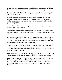ground that was yielding pineapples could be likened to the part of the church that received the special seeds of leadership and pastoral training.

If you sow the seeds of pastoral training you will soon have many more pastors and leaders around you.

Many people do not invest the seeds that give rise to leaders, pastors and shepherds. If you sow the seeds that train leaders, you will harvest a crop of well-seasoned leaders. I spend more time with my leaders than I do with the general congregation.

The teachings in this book are examples of some of the things I have taught ordinary people over the years.

This investment has turned many people into shepherds and lay pastors! Invest specially in leaders and potential pastors and they will grow up to become great ministers!

I have heard people criticizing me for starting churches with people whom they consider not to be pastors. Do not criticize someone who has been holding Shepherds' Camps to train people. Criticize yourself for not having spent hours training your own lay people to be in the ministry.

You must encourage your lay people to become something more than principled citizens of the country. You must encourage them to become soul winners for Jesus. You must want them to be shepherds of God's flock. You must want them to fulfil the Great Commission.

Dear pastor friend, I wrote this book for you! God told me to write it so that you will understand that lay people can and will help you to build your church.

Dear lay person, I wrote this book for you as well! God has a ministry for you. Please do not go to Heaven and discover that you did not even start your ministry before you died! Take what you are reading seriously and learn the art of shepherding and pastoring. Discover for yourself the joy of serving God as a layman.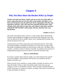# **[Chapter](#page-5-0) 4**

### <span id="page-25-0"></span>**Why You Must Share the [Burden](#page-5-0) With Lay People**

*And the Lord said unto Moses, Gather unto me seventy men of the elders of Israel, whom thou knowest to be the elders of the people, and officers over them; and bring them unto the tabernacle of the congregation, that they may stand there with thee. And I will come down and talk with thee there: and I will take of the spirit which is upon thee, and will put it upon them; and they shall BEAR THE BURDEN of the people with thee, that thou bear it not thyself alone.*

#### *Numbers 11:16, 17*

One of the most difficult tasks in life is to "lead" people. Moses delivered the Israelites from bondage but struggled to lead them to the Promised Land. They were too difficult for him to handle. Moses' job of leading difficult people is the job that all pastors have to do.

God graciously gave Moses spectacular and sensational miracles. These signs and wonders helped to establish his authority over God's flock. In spite of this, the burden of leading the people was more than he could carry. The Bible calls it a burden - and that is what it is! Moses eventually succumbed to the pressures of leading difficult people and lost his chance to enter the Promised Land.

#### **There Is a Real Burden**

If you have a pastor's heart and love people, you cannot disassociate yourself from their problems. Their problems will become your problems and their burdens will affect you!

When God uses you to minister to a large number of people, he expects you to share the burden. Failure to share this burden simply means that you may collapse or come to a standstill in ministry. There are many standstill churches around. They grow to a point but can grow no further. The reason is that they fail to share the burden of ministry.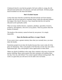A balanced church is one that has people of all sorts within it; young, the old, educated and uneducated, rich and poor, and male and female. All these people must be drafted in to the share the burden.

#### **Don't Exclude Anyone**

I notice that most churches exclude the educated and the rich from ministry. Usually, the rich are expected to contribute money whilst the educated enhance the image of the church. However, I have found that both the rich and the educated can be spiritually useful.

There are many medical doctors, carpenters, plumbers, specialists, lecturers, architects, and engineers, who serve as lay pastors. These lay pastors share the burden of ministry.

The burden of the ministry cannot be borne by one person. It is simply impossible.

#### **Share the Burden and Have a Larger Church**

If you want to have a greater ministry than what you currently have, you must share the burden.

Sometimes people do not share the burden because they want to take all of the glory for themselves. They want people to feel that they are the only ones with a supernatural gift. They want people to show appreciation to them alone.

Others are afraid of rebellion in the camp. How common is the story of associate pastors rebelling. Many senior pastors fear their assistants will outshine them one day. Fear not, only believe! You cannot expand without trusting people. The work is so great that you will never ever be able to do it all alone.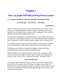# **[Chapter](#page-5-0) 5**

## <span id="page-27-0"></span>**How Lay people Will Help to Bring Church [Growth](#page-5-0)**

#### **1. Lay people will help you deal with ungrateful and forgetful sheep.**

*…in the last days… men shall be… unthankful…*

#### *2 Timothy 3:1, 2*

There will always be lay people who are very grateful for your ministry. They will love you and appreciate your efforts for them. These people will help to neutralize the presumption that is common in the congregation. Their grateful speeches will neutralize rebellion in the camp.

You will notice ungratefulness in people by the way they complain. Moses led the Israelites out of bondage and slavery and yet they murmured and complained bitterly against him. Aaron even had to make a golden calf to calm them down.

If something ever goes wrong, you will be surprised at the reactions of people you have ministered to. Many quickly forget what you have done for them.

The things a pastor does are not physically tangible, but spiritual. Many therefore think that the pastor has done nothing for them.

Church members can sin against you after you have been a blessing to them. Don't be shocked! The prophet Jeremiah experienced the same thing from his people. He said, "Shall evil be recompensed for good?" (Jeremiah 18:20).

#### **The Sin of Hezekiah**

Once, a pastor told a very disturbing story. He said that he was surprised when one of his church members came to his house one night to assault him. He couldn't believe that this young man whom he had led to Christ, trained up in the Lord; whose marriage he had blessed and helped through various crises would attack him in that manner.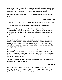Dear friend, do not be surprised! Do not expect gratitude from man; expect your rewards from God. Hezekiah was blessed. But he did not "render again". That means he did not show gratitude for all the blessings he had received.

#### *But Hezekiah RENDERED NOT AGAIN according to the benefit done unto him…*

#### *2 Chronicles 32:25*

This is the nature of man. This is the nature of the people God wants you to lead.

#### **2. Lay people will help you overcome disloyalty in the congregation.**

With the help of lay people, you will be able to fight disloyalty in the church. The presence of zealously committed lay workers always inspires more loyalty in the ranks. Lay people, who do not earn money from the church, are a great support to every pastor.

Lay people who are loyal will report what is going on in the congregation

Though Judas walked and ministered with Jesus for three years, he eventually betrayed him for a small amount of money. Betrayal is a part of ministry. It is also a part of life. If you have yet to experience betrayal, I can assure you that you will. The disturbing thing about betrayal is that it comes from people who are supposedly close to you.

You are not greater than your master Jesus! The fact that someone may betray you one day makes it very difficult for you to happily interact and flow with the people. Look closely at the ministry of any great man of God. You will discover that they have all had their fair share of traitors. All of this contributes to the burden and difficulty of ministry.

#### *Yea, mine own familiar friend, in whom I trusted, which did eat of my bread, hath lifted up his heel against me.*

#### *Psalm 41:9*

Paul experienced sudden desertions by some of his colleagues, like Demas. I remember one young man whom I trained. He was about to take up an important position in the ministry that we had been preparing for, for over a year. On the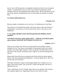day he was to fill the position, he suddenly informed me that he was leaving the country. I couldn't believe my ears! All of our months of preparation meant nothing to him. He just abandoned ship without notice. These experiences are all part of the ministry. Abandonment also occurred under the ministry of Apostle Paul.

#### *For Demas hath forsaken me…*

#### *2 Timothy 4:10*

Because people can abandon you at any time, it is burdensome to lead them.

The presence of committed lay people will always help to share the burden of abandonment. God wants us to be involved in His work. God wants us to be shepherds!

#### **3. Lay people will help to deal with disrespectful and rebellious church members.**

#### *And Miriam and Aaron spake against Moses… Hath the Lord indeed spoken only by Moses? HATH HE NOT SPOKEN ALSO BY US?*

#### *Numbers 12:1-2*

There are lay people who will sort out disrespectful and rebellious church members for you. You always need people on the ground to deal with church members who make light of pastors. There are people who think their money and status in the secular world gives them a right to say and do anything in the church.

Miriam and Aaron (the closest assistants and closest relatives) spoke against Moses. They most probably said things like, "God also speaks by us" and "Are you the only one God uses?"

With time, familiarity creeps in and arrogant people now consider you as an equal. They tend to think, "We can all do it. What's the big deal? You are no different from us!"

This is unfortunate, but real. People easily take you for granted. They murmur and complain against you, forgetting all that you have done for them.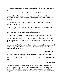When some church members lose their temper, they will speak to you as though you are a little child.

#### **"You Remind Me of My Father"**

One church member approached her pastor after Sunday service. The pastor thought she was about to compliment him for the powerful sermon he had just preached.

She started, "Pastor, you know something? I felt I should tell you that you remind me of my father."

"Oh really?" the pastor responded. He thought he reminded her of some good traits in her father.

She continued, "He was so full of himself and so are you!"

The pastor was taken aback but had to smile and continue as though he had received a compliment. This church member was telling the pastor exactly what she thought of him. Moses also experienced rebels who thought he was "too big" for his shoes. Moses also had people who wanted to cut him down to size. That is why Moses had to share the burden with seventy other elders.

*Now Korah...and Dathan…and Abiram…and On…rose up before Moses...and said...wherefore then lift ye up yourselves [Moses and Aaron] above the congregation of the Lord?*

*Numbers 16:1-3*

#### **4. Good Lay People encourage others to respond positively to the Word.**

*When any one heareth the word of the kingdom, and UNDERSTANDETH IT NOT…*

#### *Matthew 13:19*

The domino effect is when one thing leads to another. When one layperson responds positively to your teaching, others are inspired to do the same. It is always a blessing to have ordinary congregants who are outspoken in their support of you. Sometimes large sections of the congregation do not understand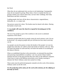the Word.

Often they do not understand why you have to do fundraising. Consequently, many do not respond in giving. Many times, I have to explain that they are giving to build a nice church where they can have their weddings, their baby dedications and their ceremonies.

Leading people who have all the above characteristics: ungratefulness, disloyalty, etc., is a major task.

One person cannot do it alone. The burden must be shared with others. Sharing the burden is hard work.

#### **5. Lay people will cause the church to expand by becoming part of the workforce**.

The use of lay people as part of the workforce is the secret to unlimited expansion of the church.

Sometimes people think that lay people cannot do much ministry work. Do not be deceived––try using lay people and you will discover how much work they can do.

Lay people can join the pastors to share the burden of the people. Let your lay people know that they are called to share the burden of ministry with you. They will share the burden on earth and they will share the burden of accounting for the sheep in Heaven.

When we established churches in the universities, we entrusted the preaching and pastoring responsibilities to students. I am very proud of these student ministers because of the great job that they have done on the different campuses. I don't have to rush to the different universities every Sunday morning to minister the Word. Ordinary saints have joined in to help.

These saints must be perfected (prepared, trained) to do the work of the ministry. Ordinary saints can do the work.

#### *For the perfecting of the saints, for the work of the ministry, for the edifying of the body of Christ:*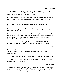The principal strategy for distributing the burden is to involve lay men and women in ministry. No church is capable of employing an endless number of people. Every church has a limit to its resources.

It is not possible to pay salaries and rent an unlimited number of houses for the staff of the ministry. Full-time staff are limited in the amount of work that they can do.

#### **6. Lay people will help you with prayer, visitation, counselling and interaction.**

Lay people can help you with the burden of praying, visiting, counselling and interacting with the sheep.

Moses was breaking down under the burden of having to pray, visit, counsel and interact with so many people. God saw a disaster waiting to happen and decided to take of the "spirit" that was on Moses and put it on the seventy leaders "to bear the burden" with him.

#### *And the Lord said unto Moses, Gather unto me SEVENTY MEN of the elders of Israel… THAT THEY MAY STAND [work] THERE WITH THEE.*

#### *Numbers 11:16*

Involving students, workers, and professionals helps to distribute the burden to all saints in the church. The Lord wants everyone to be fruitful no matter what they do in life.

#### **7. Lay people will help you to account for the sheep on the Day of Judgment.**

#### *…for they watch for your souls, AS THEY THAT MUST GIVE ACCOUNT, that they may do it with joy…*

#### *Hebrews 13:17*

The burden of answering for the sheep cannot be borne by one person or a few people who supposedly have a "call". The burden of accounting for hundreds of different people cannot be borne by one person. When I stand before the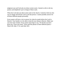judgment seat and God asks me about certain souls, I intend to refer to the lay pastors and shepherds I put in charge of these souls.

When the Lord asks me about some souls in the church, I intend to find out who was in charge and tell the Lord to ask that person. I cannot possibly answer for all these different people personally.

Every pastor will have a lot to answer for when he stands before the Lord in Heaven. Your burden is to be able to lead all your sheep to Heaven. Make sure you lose none of them. Every pastor must hope to say, "Of all that you have given me, I have lost none!" Jesus said this phrase in three different places – John 6:39, John 17:12; and John 18:9.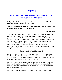# **[Chapter](#page-5-0) 6**

### <span id="page-34-0"></span>**Five Evils That Evolve when Lay People are not [Involved](#page-5-0) in the Ministry**

**1. If you do not allow lay people to work in the ministry you will kill the Christian principle of sacrifice in the church.**

*Then said Jesus unto his disciples, If any man will come after me, let him deny himself, and take up his cross, and follow me.*

#### *Matthew 16:24*

The symbol of Christianity is the cross. The cross speaks of suffering and dying. God spoke to Abraham and asked him to give up his most treasured possession––his son. Don't listen to anyone who tells you that the day of suffering, sacrificing, losing and dying is over. The day of sacrificing, losing and dying has come. God is requiring us to give up our treasured possessions so that we can serve Him. The church is being filled with people who are not aware that God is calling them to sacrifice. Christianity is a religion of sacrifice. Christianity is based on the cross. Christianity is based on losing your life so that you gain a new life.

#### **Different Sacrifices for Different People**

But some people have the mistaken view that God asks everyone to sacrifice their "Isaac". But God did not ask Joseph to sacrifice his sons. Neither did He ask Jacob or Isaac to sacrifice their sons. King David was a man after God's own heart, but God did not ask David to sacrifice his son.

God deals with everyone differently! What God requires of me may be different from what He requires of you. God has asked me for my profession. Perhaps God will not ask you for your profession. *But He will ask you for something and you will have to give it up.*

Christianity always involves sacrifice. If you do not allow lay people to work in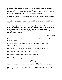the ministry, they will never learn to give up the smallest things for Christ. If they cannot give up their time, their evenings and their leisure for Christ what will happen if the Lord asks them for their "Isaac"? It is important to expose the lay people in your church to this basic principle of sacrifice.

#### **2. If you do not allow lay people to work in the ministry you will remove the opportunity for them to demonstrate faithfulness.**

The Bible teaches clearly that he that is faithful with little will be faithful with much.

#### *He that is faithful in that which is least is faithful also in much: and he that is unjust in the least is unjust also in much. If therefore ye have not been faithful in the unrighteous mammon, who will commit to your trust the true riches? And if ye have not been faithful in that which is another man's, who shall give you that which is your own?*

#### *Luke 16:10-12*

If somebody is not faithful as a layperson, how will he be faithful when he is in full-time ministry?

Many people are not doing well in full-time ministry because they did not do well as lay people.

Did you work for the Lord as a layperson who did not need supervision?

Did you need anybody to tell you to get up to pray?

Did you need anybody to tell you to study your Bible?

Were you faithful when you were in school?

#### **My Lay History**

I was a committed worker in the Scripture Union fellowship in my school.

I was heavily involved as an organist in a Christian singing group to which I belonged.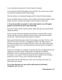I was a drummer and pianist for Victory Church in London.

I was involved with the fellowships in the university. Yet it never once crossed my mind that I should be paid for these things.

This lay ministry is an important background for a future full-time ministry.

He that is faithful with lay ministry will be faithful with full-time ministry. Many people who have worked as lay people work even better as full timers.

## **3. If you do not allow lay people to work in the ministry you will employ people to do jobs that do not occupy them fully.**

Not every ministry needs a full-time pastor. Many churches can be pastored by unpaid lay pastors.

If there are only twenty-five people in the church, it is obvious that it cannot sustain and does not need a full-time minister. Many of the church members secretly ask, "What does the full-time pastor do all day?"

Many people think that pastors sleep from morning to evening. The fact is that there isn't so much to do with a congregation of thirty. The ministry has to develop to the point where it needs a full-time worker. The other reality is that most of the members are at work during the day and only become available in the evenings.

Pastors are not bankers, accountants or pharmacists. They are shepherds who are supposed to look after sheep. Working hours are different for different professions! I do not work from nine to five everyday because I am not an accountant. I am a pastor! When the sheep become available in the evenings I become very active. That is why I work late into the night.

Some pastors become idle and lazy as they wait for Sunday when they can deliver their next sermon.

*For we hear that there are some which walk among you disorderly, WORKING NOT AT ALL…*

*2 Thessalonians 3:11*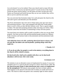Let us be honest! Let us be realistic! Does your church need so many full-time pastors? Does it need even one full-time pastor? Can the income of the church sustain the pastor and his family? Can the pastor not find a secular job to do? Pastors are frustrated and fearful because they are not sure whether they will be able to survive until the next month.

You can overcome that frustration today! Get a job and pastor the church on the side until it grows and demands your full attention!

The Swiss missionaries who were sent to Ghana many years ago were sent as *self-sustaining ministers.* They came equipped with skills that would enable them to work in Africa as they did their ministry work. That is a good example to follow. We need self-sustaining ministers today more than ever before. Most churches cannot bear the burden of maintaining so many full-time pastors.

You must keep your ministry staff as small as possible so that you can pay them properly. You must not have idle and discontented people around you. Idleness leads to laziness and laziness leads to discontentment and discontentment leads to disloyalty.

*And withal they learn to be idle, wandering about from house to house; and not only idle, but tattlers also and busybodies, speaking things which they ought not.*

*1 Timothy 5:13*

**4. If you do not allow lay people to work in the ministry everything done in the church will be related to money.**

*He that loveth silver shall not be satisfied with silver; nor he that loveth abundance with increase: this is also vanity.*

#### *Ecclesiastes 5:10*

The ministry is not an alternative source of employment for anyone. It was never intended to be! It is a special job that God gives to those whom He has called. **As the church becomes larger, it often deteriorates into a source of employment for the unemployed.** This attracts many people who have no better options. What happens to the church? It becomes full of seekers of wealth and lovers of silver. The church is filled with pastors who constantly fight for better salaries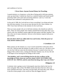and conditions of service.

## **I Never Knew Anyone Earned Money for Preaching**

I started ministry as a layperson, so the idea of being paid in full-time ministry came up much later. I started my church as a medical student and found myself pastoring while at the same time practising medicine. Later on, I went into business and combined it with pastoral work.

At the end of 1990, the Lord told me to leave everything I was doing and enter into full-time ministry. It was not an easy decision for me. Since January 1st, 1991 I have been full-time in the ministry for the Lord Jesus.

There are many people who are in full-time ministry who should not really be there. There are many people who I believe should find secular jobs! How can a church with sixty members sustain eight full-time pastors and their families? Yet, this is the case in many ministries. Success in the ministry requires both power and wisdom.

## *But unto them which are called, both Jews and Greeks, Christ the power of God, and the wisdom of God.*

#### *1 Corinthians 1:24*

Many pastors see the ministry as a way to travel around the world and to drive nice cars. I did not enter the ministry in order to drive a nice car. I do drive a nice car now but I did not come into the ministry because I wanted to have the nice things of this world. In fact, coming into full-time ministry was, for me, the end of all hopes of ever having the nice things of this world.

#### *"Yea doubtless, and I count all things but loss for the excellency of the knowledge of Christ Jesus my Lord: for whom I HAVE SUFFERED THE LOSS OF ALL THINGS, and do count them but dung, that I may win Christ,"*

#### *Philippians 3:8*

A minister who is going to serve God properly must have died to the love for silver and gold. Why is this? The Bible teaches that those that love silver are never satisfied with silver. The more you give them, the more they want. Why is it that the richest people in this world are often the biggest thieves?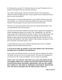Is it because they are poor? Is it because they are in need? Certainly not! It is because of the greed for more and more and more!

You cannot satisfy people with more and more money. From experience, whenever I have felt under pressure to raise salaries, I have often discovered it does not solve the problem!

Senior pastors, if you feel under pressure to raise salaries and give more and more benefits, you will discover that the problem never goes away. Full-time ministers must be people who just want to serve the Lord at heart.

This does not mean that people will be poor but it means that the heart is not craving endlessly after more and more.

Soon the church becomes unionized with the workers against the management, and the management against the workers! The "management" are often the senior pastors who make decisions and the "workers" are the other pastors and workers who are not involved in the decision-making. You should see the bitterness, petty jealousies and bickering amongst the full-time staff of many churches and ministries. This often extends to their families and pastor's wives pick up quarrels with other pastor's wives.

I would rather have one or two workers with peace than to have a hundred unhappy and discontented full-time staff.

#### **5. If you do not allow lay people to work in the ministry they will not learn the importance of obedience and submission.**

As you enter into full-time ministry you must be open for whatever the future will bring. You may be rich or you may be poor. You may have abundance or you may live in the "want of all things". Are you ready for anything?

*Verily, verily, I say unto thee, When thou wast young, thou girdedst thyself, and walkedst whither thou wouldest: but when thou shalt be old, thou shalt stretch forth thy hands, and another shall gird thee, and carry thee whither thou wouldest not. This spake he, signifying by what death he should glorify God. And when he had spoken this, he saith unto him, Follow me.*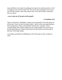Jesus told Peter to be ready for anything. Be ready to be carried anywhere. It will no longer be your will, but God's will. You are not the commander, you are just one of God's workers. One of the reasons why I am in the ministry is because I have no choice.

## *...woe is unto me, if I preach not the gospel!*

# *1 Corinthians 9:16*

There are detractors, faultfinders, analysts and commentators who talk about me all the time. I have no time for empty chatter. I prefer to hear my dogs barking in the morning than to listen to their hateful and sarcastic comments. I must continue doing what God has called me to do. Some people love me for what I do and others hate me. I thank God for them all. But I press on for the mark of the prize of the high calling.

I am totally surrendered to fulfilling the call of God upon my life, so help me God!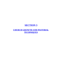# **[SECTION](#page-5-0) 3**

# **CHURCH GROWTH AND PASTORAL [TECHNIQUES](#page-5-0)**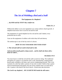# **[Chapter](#page-5-0) 7**

# **The Art of [Wielding](#page-5-0) a Rod and a Staff**

# **The Equipment of a Shepherd**

#### *. . .thy ROD and thy STAFF they comfort me.*

#### *Psalm 23:1, 4*

Without the ability to use your equipment you cannot achieve church growth. A shepherd must know how to use his rod and his staff.

The equipment of a good shepherd are his rod and his staff. Indeed, every profession has its tools.

Guns are the equipment of soldiers with which they kill and destroy.

The stethoscope is one of the key tools of a doctor.

#### **HOW TO USE YOUR ROD AND YOUR STAFF**

#### **1. The rod and staff are used to lead and to rule.**

#### *And out of his mouth goeth a sharp sword… and he shall rule them with a ROD OF IRON…*

#### *Revelation 19:15*

You must learn to wield the rod and the staff as tools for ruling. The traditional perception of a pastor is of someone who is soft, kind-hearted, compassionate, poorly paid, available at all times, and a never-complaining doormat. This is not a picture of a ruler but rather a picture of one who is ruled. I believe that a pastor must be kind-hearted and patient, but one of his cardinal roles is to lead and to rule. A pastor is the head of the local church. A head must take decisions.

#### *The Lord is my shepherd… HE LEADETH ME beside the still waters.*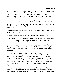A true shepherd leads sheep to the place where they need to go. You cannot be a good leader if you are weak. Every church needs a strong voice that is confident and bold in the Lord. The sheep are looking for someone with direction, who knows where he is going. A pastor must lead the people spiritually and in other areas such as in the family and social dimensions.

When the church does not have a strong capable leader, something is wrong.

Learn to speak to your sheep with authority. I do not mean you should dominate their lives. Lead them with a high level of confidence and control. Sheep are meant to be led.

You have authority over the sheep God has placed in your care. You will answer for their souls one day.

A leader who refuses to take important decisions is doomed to failure.

A good leader takes decisions when all necessary information has come to him! These decisions may be hard and painful. If you, as the shepherd do not take them, your church is doomed to wither.

Just look around and see how many churches are dead and lifeless. They are a far cry from what their founders had envisaged. This is because as wrong things began to creep in, the leaders were afraid to rock the boat and take important decisions.

Sometimes when I look at some hopelessly incompetent government corporations and agencies, I just marvel. They make huge losses, and generate a lot of waste in the system. I have been to government offices where I see everyone reading newspapers. Sometimes you see twenty secretaries in one office with one typewriter. They have nothing to do, yet they are paid with the taxpayers' money every month. What a pity! They sleep, eat and chat all day. Their managers are afraid to take the decision that nineteen out of the twenty typists must be laid off.

The country becomes poorer and poorer and people wonder why. The reason is simple. The leaders have refused to assess the situation and take a strong but hard decision. They are refusing to rule. The fear of losing political power makes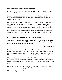democratic leaders become liars and hypocrites.

I am not afraid of taking such decisions because I realize that the church will deteriorate if I do not.

Remove stagnating leaders and replace them with willing and capable workers. I make the necessary changes in my staff and with my lay pastors when I realize a change must be made.

Don't be afraid of changes. Sometimes, it is only a big change that will lead to a big breakthrough. A minor change will take place when you take minor decisions. But a major transformation will occur when you are bold enough to take a major decision. Be a strong ruler and lead your sheep to green pastures.

Lady pastors can learn to be strong firm leaders without being ill-natured and quarrelsome. Lady shepherds should be gentle and effective, without being cantankerous.

#### **2. The rod and staff are used for a way-making ministry.**

*And the Lord said unto Moses… But LIFT THOU UP THY ROD, and stretch out thine hand over the sea, and divide it: and the children of Israel shall go on dry ground through the midst of the sea.*

#### *Exodus 14:15, 16*

You must learn to wield the rod and the staff as tools for making a way. As a leader, God will tell you to speak to His people, giving them many instructions. After you have given instructions to the sheep, you must help them to obey the Word. A true shepherd loves his sheep and tries to help them to obey God.

Moses was the shepherd of the people of Israel. His instructions were to cross the Red Sea. After receiving that command he stretched forth his rod and made a way where there was no way. That is what I call the way-making ministry of the pastor.

Every full-time minister or lay pastor must learn to make a way where there seems to be no way for the people of God.

When some of your sheep think that their house is too far away from the church,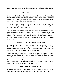go and visit them wherever they live. This will prove to them that their homes are not too far.

# **My Visit Produced a Pastor**

I knew a family that lived about a two-hour train ride from one of our churches. When I called them, they said it was too far to attend church. So one Saturday, I took a car and together with another pastor, we drove all the way to their house. They were so surprised to see us visiting them.

This is one thing that visits do. It establishes the fact that people are not too far away. From that day, the entire family decided to come to church, taking the train and travelling two hours to church.

They did this for a number of years, and today one of them is a pastor. Make a way for your sheep. Help them to see that it is possible to obey the Word of God. Sometimes when they don't have money, give them some money to help them attend. You may not be able to give them money all the time, but the fact that you did it once or twice encourages them and shows that you really care. This is the pastor's heart.

# **Make a Way for Your Sheep to Get Married**

As a pastor, it is easy to see that your sheep are looking for husbands or wives. Don't just look on unconcerned and preach about how good it is to be married. Discuss the practical issues of choosing a partner with them. Help them to notice one another. That is what we call "Shepherdorial Linking."

Teach your members that they can find a good partner within the church. Some people may not like that idea, but it works and it stabilizes the sheep. Of course, do not force people to marry each other.

You must warn them that happiness is not guaranteed just because they marry a person you recommended. This is because marriage is complex and you don't want anyone cursing you for the rest of their lives.

# **Make a Way for Sheep to Find Jobs**

I preach to my members about prosperity. After I've done that, the way-making anointing comes upon me and I help them to get jobs. If one of my church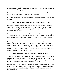members is strategically positioned as an employer, I would speak to them about a sheep who needs employment.

Sometimes a person you have recommended will disgrace you. But do not let that deter you from making a way for other good sheep.

It is not good enough to say "Cross the Red Sea"; you must make a way for them to cross!

# **Make a Way for Your Sheep to Attend Programmes in Church**

I have often changed meeting times or rehearsal times so that one person could attend. I am a pastor and I want all of my sheep to attend the meetings. Schedule reasonable meeting times. *Make things possible for people*. That is the waymaking ministry in action.

Schedule fewer meeting times without compromising the number of meetings. Sunday is a good time to meet and counsel your sheep. You can always combine meetings. Don't let people travel to church twice when they could have come once.

Be an expert at overcoming the excuses of church members. When they say that church services are too long, point out to them how many hours they spend watching television. When they say that the church is too far from their homes, ask them how far their jobs are from their homes. When the church member doesn't have shoes, get him a pair. Be a way-maker. Be like Moses. Make a way through the Red Sea with your rod and your staff.

# **3. The rod and the staff are used for taking territories in ministry.**

You must learn to wield the rod and the staff as tools for taking territories. If you have a burning vision for a mega church you will always want to take more territory for Christ. You can **take more territory for God through prayer and fasting.** You can lead your people into spiritual warfare.

I always have a new vision for my church. When I had twenty members, I had a vision to have fifty. When I had fifty people at the Korle Bu Teaching Hospital, I dreamed of the day when I would see a hundred people sitting in church on Sunday morning.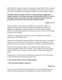When I had five hundred, I dreamt of a thousand. Mega Church Pastor, you must have dreams for greater territories for the kingdom of God. We are not a social club. We are not fighting a psychological warfare. We are into spiritual warfare.

*And Moses said unto Joshua, Choose us out men, and go out, fight with Amalek: tomorrow I will stand on the top of the hill with the ROD OF GOD in mine hand. And it came to pass, when Moses held up his hand, that Israel prevailed: and when he let down his hand, Amalek prevailed.*

#### *Exodus 17:9, 11*

People who take new territories are people who fast and pray. I believe in praying for long periods. I believe in fasting as the Spirit leads. Moses, the shepherd of God's people, stretched out his rod in warfare against Amalek. Moses' rod symbolized the power of intercessory prayer. It is the art of travailing in prayer for the ministry.

What you see happening in the physical is only a manifestation of what has taken place in the spiritual realm.

Anyone who calls himself a pastor must learn to fight with prayer in the realm of the spirit. If you want to have a big church, you must learn to fight for it in the spiritual realm. Every territory is occupied by evil spirits who dominate the area.

When I travel from place to place, I can virtually feel the difference in the spiritual atmosphere. When I am in Ghana, I sense a lighter and easier spiritual climate. When I am in Germany I sense the presence of many marauding evil spirits.

Develop the art of intercession for taking more territories for God. That means you must develop several important prayer skills.

#### **4. The rod and staff are used to comfort people.**

#### *…thy rod and thy staff they comfort me.*

#### *Psalm 23:4*

You must learn to wield the rod and the staff as tools for comforting the sheep. One of the principal ministries of a shepherd is to comfort the sheep. Every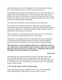sheep should be able to say to his shepherd, "Your rod and your staff comfort me." Some people do not know why their churches do not grow.

The shepherd must genuinely love the sheep and care for them when they are in trouble. Never lose the opportunity to be by your sheep's side in their time of difficulty. The duty of the lay pastor is to stand by his sheep in the time of their greatest need and greatest joy. It is not an option! Remember that, sorrow shared is half sorrow, and joy shared is double joy.

The sheep want to share their sorrows and their joys with their pastor.

It is the duty of the shepherd to comfort the sheep. The comforting ministry starts by showing interest in things that are important to the sheep. Be interested in all of their major events; especially the birth of a child, marriages, sickness and funerals. God expects you to be there!

What is important to your sheep must be important to you. If you claim to be a pastor, what are you doing to show real love to your sheep?

Shepherds, if you genuinely do not love your people, they will not respond to your good preaching. The Bible says that God is angry with the shepherds because they have not ministered to the sheep under the comforting ministry.

*The diseased have ye not strengthened, neither have ye healed that which was sick, neither have ye bound up that which was broken, neither have ye brought again that which was driven away, neither have ye sought that which was lost; but with force and with cruelty have ye ruled them.*

#### *Ezekiel 34:4*

The sheep often know the Word before you preach. What they want is some love. Everybody responds to love. It is only demons that cannot be loved! Remember that love never fails. The Bible does not say, "Preaching never fails" or, "Teaching never fails". The Bible says, "Love never fails". The comforting ministry is love in action.

#### **5. The rod and staff are used for self-assessment.**

One of the principal duties of a shepherd is to do what I call measuring the temple. Measuring the temple helps you to know where you stand.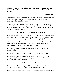#### *And there was given me a reed like unto a rod: and the angel stood, saying, Rise, and MEASURE the temple of God, and the altar, and them that worship therein.*

# *Revelation 11:1*

This involves a critical analysis of the way things are going. Pastors need to take time off to analyze themselves and to see whether things are being done according to the vision that God gave.

You must constantly measure yourself. Ask yourself, "Am I doing what God called me to do?" The reason why I am writing books now is because I believe it is in obedience to God. No matter what I do, I am constantly trying to fulfil the specific call of God on my life.

# **Only Twenty-five Members after Twelve Years**

I was chatting with a pastor who had been in the ministry for twelve years. After being in the ministry for twelve years, he only had twenty-five members in his church. His church was in a city where there were many large churches.

After many years of hard work there was little growth. Anything that is alive and healthy grows. If this pastor were to have analyzed his ministry properly, he would have come up with some important decisions.

For instance, he may have realized that he was better suited to be an assistant than to be a head.

Perhaps he would have discovered that he lacked a genuine call of God.

Perhaps he would have realized how he needed to close down the church. Analysis and self-assessment are very important in ministry. They help you to make vital mid-stream corrections.

# **He Returned to the Ministry**

Some years ago, I spoke to a pastor friend of mine. I had known this pastor for several years. He had been actively pastoring a church in a large city.

Due to circumstances beyond his control, he found himself in another city. There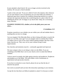he just attended a dead church. He was no longer actively involved in the ministry. He was just a church attendee.

I spoke to him and said, "If you are called of God to the ministry, then wherever you are and whatever your circumstances are you must fulfil your ministry." I impressed upon him to analyze his condition (measuring ministry) as a pastor and take the important decisions that would bring him to a place where he was fulfilling his divine call. I'm happy to say that he did. Today, he is overseeing many churches.

#### *EXAMINE YOURSELVES, whether ye be in the faith; prove your own selves…*

# *2 Corinthians 13:5*

Examine yourselves to see whether you are within your call and whether there is anything that you have to change.

Can you imagine if the Mercedes-Benz car that is being sold today is exactly the same as it was fifty years ago? Can you imagine what it would be like if these car makers were to carry on for years without making changes? But that is how many churches are. They carry on for years without trying to make improvements

Our churches and ministries must be - *continually upgraded and improved.*

We must compare what we are doing to what is in the Bible. If you see something in the Bible that is not in your church, strive to attain that biblical standard.

I always marvel at people who fight against miracles and prophecies. Prophecies and prophets are in the Bible. The entire Bible is full of testimonies of supernatural and spectacular miracles.

If you have no miracles in your church, please do not say that the day of miracles has passed.

Just work on yourself until you have the miraculous operating in your ministry.

Accept the fact that there are biblical standards to attain! It is because we don't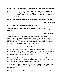measure what we are doing, that we continue in the wrong thing for a long time.

Ask yourselves, "Am I a good person?" Ask your wife or husband what she/he thinks about you. Ask yourself, "How many people should there be in the church at this stage?" Measure your performance and analyze your duties! If you assess yourself, God will not have to judge you.

#### *But he that is spiritual judgeth all things, yet he himself is judged of no man.*

*1 Corinthians 2:15*

#### **6. The rod and staff are used in correcting people.**

#### *...SHALL I COME UNTO YOU WITH A ROD, or in love, and in the spirit of meekness?*

#### *1 Corinthians 4:21*

You must learn to wield the rod and the staff as tools to correct people. Some people do not like it when the pastor points out evil and corrects it. The worst type of pastor is the one who cannot correct things that are going out of line. It is important to purge out certain things from the flock. When your sheep realize that you are a weak leader, they will take you for a ride.

#### **Black Beauty**

Many years ago, I went for a ride on a horse called Black Beauty. This was at Burma Camp, a military riding school in the city of Accra. I was a new rider and the horse soon realized that I was a novice. Our instructor was taking us on a ride through various fields in the countryside.

When we got to the boundary of the riding school, the horse didn't feel like going out for the ride so it stopped at the gate. I had a whip in my hand so I hit the horse several times and it began to kick and jump.

Soon, it knew that I was afraid of it. Some of the more experienced riders in the group came alongside and encouraged me to control my horse and bring it out into the field.

Would you believe that the horse calmly turned around and took me back to its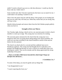stable? It utterly refused to go out on a ride that afternoon. I would say that the horse rode me; I didn't ride it!

Some months later after I became experienced, this horse was no match for me. I could make it do anything I wanted it to do.

That is how the pastor must be with the sheep. If the people you are leading feel that you are weak, they will lead you. When they realize that you are strong, they will stay in line.

Identify disloyal people and remove them from the fold. Rebuke people publicly when you have to.

#### **Strength to Drive out Thieves**

One Tuesday night, during a church service, my associate pastor invited a church member to come up on stage. This young man was notorious for stealing.

The associate pastor announced to the church that the young man was a dangerous thief who was going about taking things from church members. He went on to say that everybody in the church should be careful of him and not believe his lies anymore.

The church was dead calm for a second and then suddenly burst out in thunderous applause. The young man had thought that he could take us for granted. He thought that because we were a church we would allow him to do anything he wanted. That was his mistake and the sheep appreciated the strong leadership of the pastor.

#### *…Know ye not that a little leaven leaventh the whole lump? Purge out therefore the old leaven…*

*1 Corinthians 5:6, 7*

To some of the sheep, you must be gentle and say things like:

"I am disappointed in you."

"I wasn't expecting this from you."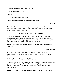"I was expecting something better from you."

"Let this never happen again."

"Shame."

"I give you 20% for your Christianity."

# *And of some have compassion, making a difference:*

*Jude 22*

Correcting the sheep does not mean you should disgrace them. You can correct them without disgracing them. If you do not correct them, that thing will begin to spread among the congregation.

# **The "Ruby, Walk Out!" (RWO) Treatment**

To some of the sheep, you must be rough and hard. With others, you must actually dismiss them from the church. I remember one pastor who stood in the pulpit and looked at two giggling girls and shouted from the pulpit, "Ruby, Walk Out!" She had no choice but to walk out, never to return.

#### *Cast out the scorner, and contention shall go out; yea, strife and reproach shall cease.*

#### *Proverbs 22:10*

I call this the RWO treatment. Some people need to be dismissed from the church. Their presence in the church is not desirable or helpful, so get rid of them. It's as simple as that!

#### **7. The rod and staff are used to feed the sheep.**

You must learn to wield the rod and the staff as tools for feeding the sheep. It is a principal duty of a shepherd to feed his sheep. Everything else comes after he has done this principal duty. The authority to lead is given to those with the ability to feed.

#### *FEED THY PEOPLE WITH THY ROD, the flock of thine heritage, which*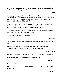#### *dwell solitarily in the wood, in the midst of Carmel: let them feed in Bashan and Gilead, as in the days of old.*

#### *Micah 7:14*

I have people in my church who are older and wiser than I am in many respects. Yet in the church, I am their leader and I minister to them. Where would I get the authority to advise someone who could be my father or my mother? This authority is found in the ability to feed.

Where does your earthly father get his authority from? It comes from the fact that he has fed you for years and continues to feed you. When your parents no longer feed you, the authority they have over your life reduces.

Jesus said to Peter three times, "Feed my sheep". It is very important to the Lord that His sheep are well fed on the Word of God.

#### *…Jesus saith unto him, Feed my sheep.*

#### *John 21:17*

The principal duty of all ministry offices is to preach and to teach the Word of God.

#### *And Jesus went about all the cities and villages, TEACHING in their synagogues, and PREACHING the gospel of the kingdom...*

#### *Matthew 9:35*

Paul was an apostle and a prophet. He called himself an apostle to the Gentiles.

#### *Paul, AN APOSTLE of Jesus Christ by the will of God…*

*2 Timothy 1:1*

Paul went on to say in verse eleven,

#### *Whereunto I am appointed a PREACHER, and an apostle, and a TEACHER of the Gentiles.*

*2 Timothy 1:11*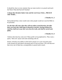It should be clear to every minister that our main resolve is to preach and teach the Word. What did Paul tell Timothy?

#### *I charge thee therefore before God, and the Lord Jesus Christ…PREACH THE WORD…*

## *2 Timothy 4:1, 2*

Paul predicted that a time would come when people would not want the Bible to be preached.

#### *For the time will come when they will not endure sound doctrine; but after their own lusts they shall heap to themselves teachers, having itching ears; And they shall turn away their ears from the truth, and shall be turned unto fables.*

# *2 Timothy 4:3, 4*

I believe that time has come now! Many prefer to be prophesied to. They want a quick, "bless me" prayer and some anointing with oil.

Pastors, develop your ability to feed and to preach. It is your one great asset. Look around you and observe the great men of God you know. You will discover that every one of them has a strong ability to preach and to teach.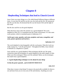# **[Chapter](#page-5-0) 8**

# **[Shepherding](#page-5-0) Techniques that lead to Church Growth**

Jesus Christ was many things to us. He called himself different things at different times. At one time He said He was the way, the truth and the life. He announced that He was the door. He declared that He was the bread of life and the light of the world.

But He also said He was the good shepherd.

What did Jesus mean when He said He was a good shepherd? The word shepherd in John 10:11 is translated from the Greek word *poimen.* It is this same word, *poimen*, which is translated pastor in Ephesians 4:11.

## *And he gave some, apostles; and some, prophets; and some, evangelists; and some, pastors [poimen] and teachers;*

# *Ephesians 4:11*

The word shepherd is interchangeable with the word pastor. What the Lord was really saying was, "I am the good pastor". Throughout the Bible, Jesus referred to Himself as a shepherd or a pastor.

Jesus said He was a good shepherd. What techniques did He use? He spoke extensively about the techniques of a good shepherd in the tenth chapter of John. What were His techniques? What were His methods? Below are the techniques that made Jesus a good shepherd.

# **1. A good shepherding technique is to be ahead of your sheep**

# *To him the porter openeth…and LEADETH THEM OUT.*

#### *John 10:3*

What does it mean to lead sheep? It means to be practically available for them to see and learn from you in every area of life and ministry. Anything you want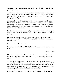your sheep to do, you must first do it yourself. They will follow you if they see you doing it first!

A pastor who wants his church members to pray must practically lead them into prayer. When the sheep see the shepherd taking the lead, they are convinced that the ground is safe. A bad shepherd will sit at home and send the members to go for a prayer meeting alone.

In our church, I have always tried to do first, what I wanted my people to do. When we were building a basement in our church, we could not afford to hire the necessary machinery. We had to dig ourselves. I needed the help of the entire church to drill and dig very deep into the ground. After that, we needed to carry tons of red sand out of the pit.

I could have easily delegated the digging to some others, but I decided to dig and carry the sand myself. My decision motivated members of all social standings to get involved.

University students, lawyers, doctors and businessmen all joined in to work. They worked with all their might. Why was that? They had seen their shepherd taking the lead.

Notice what made David popular.

#### *But all Israel and Judah loved David, because he went out and came in before them.*

#### *1 Samuel 18:16*

Why did the subjects of Israel love David? The answer is simple. They could see him practically going in and out with them. They saw him doing things with them.

Sometimes we have long periods of fasting with all-night prayer meetings everyday. You would be surprised to see how many people attend every night. I tell my members that I am struggling and suffering in the fast just like them, and they love to hear how I am suffering too. The sheep are always happy to identify with the shepherd when the shepherd identifies with them.

Leadership is very spiritual. Even when people do not see you physically, they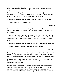follow you spiritually. Sheep have a mysterious way of becoming like their shepherd. They are following him in the Spirit.

Go ahead of your sheep. Do not operate as a super executive, just walking in and out like a "big shot". There is no place for "big shots" in the harvest field. There is no place for "unreal leaders" in the real world of the sheep.

# **2. A good shepherding technique is to know your sheep by their names.**

#### *…and he calleth his own sheep by NAME…*

#### *John 10:3*

You must know the names of your sheep. You must want to know all their names and call them by name. Nobody is a number! Nobody wants to be called "Hey!" or "You there!"

You must get to know new people everyday. Keep asking their names until the name sticks. I am not ashamed of asking somebody his name seven times until it sticks. When you know the sheep by name an important spiritual attachment is formed.

# **3. A good shepherding technique is to let your voice be known by the sheep.**

# *…for they know his voice. And a stranger will they not follow…*

# *John 10:4-5*

How do people know the voice of the shepherd? How do you know the voice of someone? It is because you have heard them speak to you time and time again. A good shepherd must speak to his sheep over and over until they know his voice.

I preach to my church all the time. I do not often have guest speakers. I believe in guest speakers, but I believe the best person to preach to my sheep is me because I am their shepherd.

When a woman gives birth to a baby, her breasts are full of milk for the new child. So it is with the shepherd. His spirit is full of the Word to give to his children. No other woman's body and breasts are better qualified to feed her own child. Nature made it that way. Because *you* gave birth, *you* are naturally primed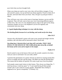up to feed what you have brought forth.

When your sheep are used to your voice, they will not follow strangers. If you call yourself a pastor, rise-up and feed your sheep regularly. Preach to them all of the time, and teach them from your heart. They will grow up and give birth to others.

They will know your voice on the issues of marriage, business, success and life in general. They will only want to hear your voice concerning different aspects of their lives. The voice of a true shepherd always rings in the spirit of his sheep. I question whether you are a real shepherd if you do not regularly and consistently feed your sheep.

#### **4. A good shepherding technique is to stay with the sheep.**

#### *The hireling fleeth, because he is an hireling, and careth not for the sheep.*

#### *John 10:13*

Anyone who calls himself a pastor will want to stay around and mingle with the members, talk with them and be interested in them. David said,

## *One thing have I desired of the Lord, that will I seek after; THAT I MAY DWELL IN THE HOUSE OF THE LORD all the days of my life, to behold the beauty of the Lord, and to inquire in his temple.*

#### *Psalm 27:4*

David wanted to stay in the house of the Lord. He actually wanted to live there. And you want to rush home! Are you really called?

I question the genuineness of a pastor who has no interest in staying around after service to mingle and chat with the sheep. The Bible says that the hireling flees. This means that he dashes off quickly! He wants to get away from the people!

Such people cannot stand visitors in their homes. They always say things like, "I need my privacy, I need my space" or "I can't stand having all these people around" and "I can't cook for so many people". Remember that a bishop is supposed to be "given to hospitality" (1Timothy 3:2).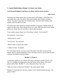#### **5. A good shepherding technique is to know your sheep.**

#### *I am the good shepherd, and know my sheep, and am known of mine.*

## *John 10:14*

Knowing your sheep means that you must know their names, where they live and where they work. You know about their health, their friends, and their school. You know when they are writing exams. You know their family, their spouses and who they live with.

You must know their financial situation and their occupation. Simply know all aspects of their lives. Know means know! It is only when you know more details about your sheep that you can help or advise them properly.

I once asked a pastor about one of his sheep. I asked, "Is he married?"

He answered, "I don't know."

"Where does he work?"

"I'm not sure." He answered.

"Did he come to church last week?"

"I didn't see him," he replied.

In a very large church, you may excuse the pastor if he does not know these details. But in a small community church, the pastor has no excuse when he does not know the details about his sheep.

# **Brother X, Pastor X**

I remember a pastor in my church who used to belong to another church. One day, at a wedding, he happened to meet his former senior pastor. His senior pastor said to him, "Brother 'X', it is a long time since I saw you."

"Did you come to church last Sunday?" the senior pastor asked.

Brother 'X' (who had now become a pastor in my church) smiled and said, "No pastor I didn't."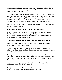This senior pastor did not know that this brother had long stopped attending his church. He did not know that this gentleman had even become a pastor in another ministry. How sad!

Jesus said that a good pastor knows his sheep. If God gives you twenty people to look after, make sure you know *all about them.* Do not let any of them slip out of your hands. Jesus kept saying, "Those that thou gavest me I have kept, and none of them is lost." (John 17:12). It is important to have many junior pastors and shepherds to work with the senior pastor so that none of the sheep get lost.

God will hold us accountable for every single sheep that is lost. Keep the sheep that God has given to you.

# **6. A good shepherding technique is to be known by the sheep.**

A good shepherd "opens up" his life to the sheep so that they can know about him. The sheep are interested in the shepherd's life. Do not be a mystery figure to your sheep. Let them know how real you are and how you experience the same problems and temptations they do.

# **7. A good shepherding technique is to keep the church family together.**

One of the cardinal features of the pastoral calling is the ability to keep many people together throughout the years.

The longer a group of people stay together the more the people step on each other's toes. The conflicts of a family begin to rise. Brothers turn against brothers and sisters against sisters.

It is a good pastor who keeps everybody together. The pastoral gift keeps employers in the same church with employees. The anointing on the shepherd is able to keep the old in the same room with the young. It keeps the married flowing with the unmarried.

As the church grows, good shepherding techniques will keep enemies worshipping together under the same roof.

It is good shepherding techniques that will keep debtors and creditors within the same fold and prevent them from tearing each other apart.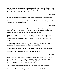#### *But he that is an hireling, and not the shepherd, whose own the sheep are not, seeth the wolf coming, and leaveth the sheep, and fleeth: and the wolf catcheth them, and SCATTERETH THE SHEEP.*

*John 10:12*

# **8. A good shepherding technique is to notice the problems of your sheep.**

#### *But he that is an hireling, and not a shepherd, whose own the sheep are not, SEETH THE WOLF COMING...*

*John 10:12*

The Scripture tells us that the good shepherd can see the wolf coming. He sees the problems of his people and is concerned. He knows when they are doing exams. He knows when they are having marital problems.

He knows when their businesses are going through "tough times". When a sheep fails his exams or loses a loved one, a wolf of discouragement and frustration is soon to come. A good shepherd must be able to see the wolf and move into action.

The bad shepherd sees the wolves but says, "That's your problem!" The good pastor will always notice when the sheep are in trouble.

# **9. A good shepherding technique is to deliver your sheep from captivity.**

#### *…and the wolf catcheth them, and scattereth the sheep.*

#### *John 10:12*

Pastors, rise up and pray for your sheep! Minister to their needs. Apart from preaching, pray for their deliverance from witchcraft, demons and diseases. People love to be prayed for by their pastor. Pray for them, anointing them with oil. They need this encouragement and ministration.

# **10. A good shepherding technique is to give your life for the work of God.**

*I am the good shepherd: the good shepherd giveth his life for the sheep.*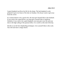A good shepherd sacrifices his life for the sheep. The bad shepherd is only prepared to give two hours of his time on Sundays. He always wants to get away from the crowd.

If a woman desires to be a good wife, she must give herself fully to her husband. If you want to be a good doctor, you must give yourself fully to medicine. Similarly, if you want to be a good shepherd, you must give your life and your time to the high calling of the pastoral office. It is worth it at the end of the day.

Decide to use the best shepherding techniques. Give yourself fully to this work. You will soon have a mega church.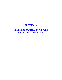# **[SECTION](#page-5-0) 4**

# **CHURCH GROWTH AND THE WISE [MANAGEMENT](#page-5-0) OF MONEY**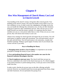# **[Chapter](#page-5-0) 9**

# **How Wise [Management](#page-5-0) of Church Money Can Lead to Church Growth**

Your handling of the church's money will greatly affect church growth. Your handling of the church's money will cause the people to have faith in you or to lose confidence in you. In other words, the congregation will judge you by the way you handle the offerings they entrusted to you. As they see their donations being put to good use, their commitment will rise. They will see you as a wise leader because you used the money carefully. It is important that the church members see you as a wise person rather than as a fool. If they see you as a wise person, they will entrust more money to your care.

Almost every strategy for church growth will require the use of money. You will need money to organize camps and conventions. You will need money to go on the radio and television. You will need money to do outreaches, crusades and breakfast meetings. Without a good supply of money most of your dreams and visions will die in your belly.

# **Keys to Handling the Money**

**1. Managing money involves a lot of wisdom**. It is important to use secular principles to manage the money of your church.

#### **2. Over-spiritualizing financial issues is the number one cause for the financial confusion that plagues churches.**

**3. Church employees must pay taxes.** The church itself does not pay tax. However, individuals who work for the church must pay tax. If a church engages in any kind of business or profit-making activity, it must pay taxes on the income made from that.

In other words, churches do not pay taxes on the tithe, offerings and gifts received. However, tax should be paid from income generated from farms, shops and other businesses. Do not spiritualize the paying of tax.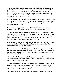**4. Avoid debt.** Although this instruction sounds simple, it is probably the most profound piece of advice I could give to any ministry. Debts have closed down many churches. Debts have deceived many pastors into a false sense of prosperity. Debts have deceived pastors into over-extending themselves. Many borrow until they cross the threshold where they have borrowed too much. You can prosper without borrowing money.

**5. Employ wisely and carefully.** The more people you employ, the more salaries you have to pay. As the saying goes, "the fewer the merrier". It is possible to do many things with a few employees. It is possible to accomplish much with fewer but better qualified people.

**6. There is nothing prestigious about having many employees in your ministry.** God did not call you to create jobs. He called you to win souls.

**7. Start a building project as early as possible.** As soon as your church begins a building project, your finances will improve and you will be surprised at what you are able to accomplish. Do not wait to see huge sums of money before you begin a building project. The building project you embark upon will be the greatest evidence of the financial integrity of your ministry.

**8. Do not start a grandiose project that is far bigger than your ministry.** You may never finish it and your church members may be discouraged by the unending nature of your building project.

**9. There are many huge building projects which are impressive to men but which God did not initiate**. Unfortunately, many of these grandiose projects are empty or half-filled shortly after completion. Some churches are only filled on the day of their dedication.

**10. Grandiose building projects inflict great stresses on the senior pastor.** These stressed-out pastors tend to preach mostly about finances because there is a great and pressing need for money.

**11. Meet the needs of the church before you meet the needs of the pastor.** For instance, put up a building for the church before you build a mansion for the senior pastor. Seeing their church building come up generates much confidence and inspires the church members to give.

**12. Church members may encourage the pastor to buy the nicest car for**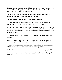**himself.** Many members have mixed feelings about their pastor's prosperity! On one hand, they are happy that he is doing well, but on the other hand, they wonder whether money is being used wisely.

# **13. Since you cannot always explain the source of all your blessings as a pastor, do not openly display everything you have.**

# **14. Separate the Pastor's money from the church's money.**

1. It is important to differentiate between the money of the church and the pastor's money. Clear lines of demarcation must be established.

2. There must be an understanding that the tithes and offerings of the church do not belong to the pastor even if he is the unquestionable founder and leader of the church. Because of this, a pastor must not randomly access the church funds for personal needs.

3. The pastor must not receive the church's tithes and offerings into his personal account.

Offerings must not be kept in the pastor's home. It is wise for the pastor not to count money himself, but to delegate that task to a team of honest Christians.

4. A pastor should desist from taking money directly from the offering. Those who count money will consider you to be an unprincipled thief.

5. Do not borrow money from the church with the intention of paying back later.

6. Do not use your money for church projects with the intention of being paid back later.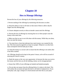# **[Chapter](#page-5-0) 10**

# **How to Manage [Offerings](#page-5-0)**

Prevent the loss of your offerings by the following measures:

i. Prevent stealing of the offerings by monitoring who becomes an usher.

ii. Keep the ushers in view at all times so that none of them is able to dip his fingers into the offering bags.

iii. Ensure adequate security so that an intruder cannot steal the offerings.

iv. Prevent the loss of offerings by ensuring that two or three people count the money at the same time.

v. Make sure that no one is ever left alone with the money. While they are alone, they can steal the money.

vi. You must have a form that indicates how much money was counted for the day. This form must be signed by at least two people. Whatever is on this form must correspond with the bank pay-in slips.

vii. Keep the money in a secure safe to ensure that the offering is not stolen after it has been counted.

viii. Offerings should not be kept in the pastor's house, as he will be accused of misusing the church's money.

ix. Bank the money at the very next opportunity. In between the time you receive the money and the time you do the banking, money can be misappropriated.

x. Ensure that 100% of your offerings are banked and banked promptly.

xi. Do not take out money from the offering before it is taken to the bank. This will confuse the accounts and open the door to all kinds of malpractices. If you need petty cash, sign a cheque of a fixed amount and enter this as your petty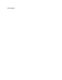cash imprest.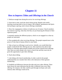# **[Chapter](#page-5-0) 11**

# **How to Improve Tithes and [Offerings](#page-5-0) in the Church**

1. Dedicate enough time during the service for receiving offerings.

2. From time to time, teach the church about giving. Regular and weekly teaching on giving tends to lose its impact. But irregular, spontaneous and Spiritled teachings on giving, tend to boost offerings remarkably.

3. Show the congregation evidence of judicious use of money. Church members lose interest in giving, when they feel they are just financing the lifestyle of their superman pastor.

I constantly mention the different projects, which we are engaged in so that my people are motivated.

4. Flow prophetically when receiving offerings. The people respond more to the power of God, than to human efforts to raise funds.

5. Take at least two offerings in each service. Initially, you would think that people would divide their offering into two. But experience has shown that taking two offerings approximately doubles the income realized from offerings. Also, there are many people who come to church late and they must also be given the opportunity to give their offerings.

6. Teach about tithing.

7. Link tithing with church membership. In other words let the people understand that you consider their tithe as the indication of their genuine membership.

8. Establish real differences between the tithe and every other offering. There must always be some indication that the tithe is different from every other offering. For instance, the tithe could be paid through envelopes and cards whereas other offerings would not be.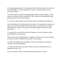9. Although opportunities for receiving the tithe should be made at every service, the first Sunday of a month should be set aside as a special Sunday for the receiving of tithes.

10. In line with the concept of distinguishing the tithe, church members can be made to come to the altar to present their tithe, whilst the offering basket could be passed round for all other offerings.

11. Create an index number system for the church. Encourage the members to

write this number on the tithing card or envelope. Use a computer to monitor the tithes received. Many people would prefer to have a number on the envelope rather than their names. Not everyone would like people to know how much their tithe is.

12. Separate the record of the names and numbers of church members so that this information is kept private.

This ensures some confidentiality for members who may not want just anybody to know how much contribution they make to the ministry.

13. Make the tithing records available so that church members can request a statement of their contributions.

14. When the need arises, use these records as a basis to determine who is a member and who is not.

You can use these records to determine whom the church can assist.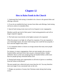# **How to Raise Funds in the [Church](#page-5-0)**

1. Understand that fund-raising is intended to be a boost to the general tithes and offerings collected.

2. If you do not establish the basic income from tithes and offerings, fund-raising will never achieve its intended effect.

3. Special fund-raising events must not be too frequent in one congregation.

Members quickly get tired of their pastor's fund-raising gimmicks and will no longer respond to appeals.

4. The fund-raiser must decide on the highest amount to be requested.

When the amount is too high, he will get few responses. If no one responds to your initial high request, the entire fund-raising event could fall into jeopardy. I have seen this happen many times.

5. It is sometimes better to choose an average amount that many more people can respond to.

For instance, in many congregations, there are more people who can give a hundred dollars and much fewer that can give a thousand dollars. Simple arithmetic shows us that sixty people giving one hundred dollars yields more than two people giving a thousand dollars each.

6. During fund-raising, give opportunities to all levels of givers to contribute, from the richest to the poorest.

The poor people may collectively give more than the rich. You may therefore miss your target if you concentrate only on the rich.

7. Pledges are promises of money that Christians make during fund-raising events.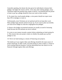Generally speaking, the shorter the time given for individuals to honour their pledges, the higher the returns will be. A few days after making pledges, many Christians forget the promises they made in church. I recommend that the period of time to pay up a pledge should be from one week to three months.

8. No matter how much people pledge, a wise pastor should not expect more than 30% of pledges to come in.

Unfortunately, most Christians are not spiritual and do not keep their word. Many pledge large amounts and do not pay up. If you want to plan successfully you must never budget on what the congregation has pledged.

9. Pastors who budget on promised amounts are usually accused of misusing funds because the full amounts are never realized.

It is wise to save money towards a project before embarking on fund-raising for it. This ensures that your project comes on whether the people pay up their pledges or not.

10. Never see fund-raising as a means of financing your projects.

The build-up of your regular tithes and offerings should be the main source of project financing. In other words, see fund-raising as what it really is: a boost to your existing financial situation. God has determined how the church is to be financed: through regular tithes and offerings.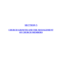# **[SECTION](#page-5-0) 5**

# **CHURCH GROWTH AND THE [MANAGEMENT](#page-5-0) OF CHURCH MEMBERS**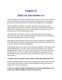# **Define who Your [Members](#page-5-0) are**

Church members are the most valuable assets of a church. Your vision for church growth is realized as you have more and more church members. It is important to be able to count them and have accurate facts and figures at your fingertips.

Church members are difficult to count because they come and go so easily. Many of them do not tell you when they come; neither do they bother to tell you when they are leaving. Because of this, many churches do not have a true and accurate count of who really belongs to them.

Apart from this many pastors cannot tell where they stand in terms of their church growth vision. They cannot tell when the church is growing and whether they are accomplishing their vision for growth.

Many pastors cannot tell how many lawyers, doctors, fishermen or teachers there are in their churches. But this is important information because it will guide you in all your interaction with the congregation.

In this section allow God to birth in your spirit the importance of having accurate data and information. I pray that a data centre will be birthed in your ministry through this book. There is no need to give vague answers about the state of your church anymore. There is no need to tell lies about how many people come to our churches anymore. You can develop a powerful data centre for your mega church today!

### **1. Register all your members using a simple membership registration form.**

Having a complicated form with all sorts of details often creates useless data that is never used. The church is not the Central Intelligence Agency and does not require such extensive information.

#### **2. The most important fields of information for church membership are the names, ages, gender, telephone numbers and addresses.**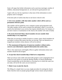Some will argue that further information such as previous marriages; number of children, educational background, etc. are relevant for good pastoral care.

I agree with you, but my experience is that most of this information is never properly used or managed.

It becomes piles of useless data that no one knows what do with.

### **3. Give every member a life-time index number which will be used as a permanent reference point.**

This number will be needed by every computer system and programme used. The index number will be used to monitor the individual's tithes. It can also be used by the individual in any activity that requires identification. For instance, if you have classes or examinations in the church, this number will come in handy.

### **4. Do not be deceived! Many church members do not consider their membership as very important.**

When they are moving to another location or country, many church members do not bother to inform their pastor that they are leaving. They see themselves as insignificant members whose absence will not be noticed.

### **5. The unannounced departure of numerous members without notice, converts your laboriously acquired information into useless data.**

This is why unnecessary and lengthy efforts to gather information about each member should be discouraged.

## **6. Accept that church membership is fluid in its composition.**

There are always some stable and unmovable people in each congregation but it is best for every pastor to accept the absolute fluidity of church membership. Church membership can be described as a flowing river in which the water you see today will not be the water you see tomorrow.

### **7. Make it easy to join the church.**

The filling of a simple form is an easy single procedure for joining the church. Some churches insist on people going through various classes and procedures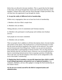before they are allowed to become members. This is a good idea but the danger is that many will not go through these classes and will assume that they are not members. I believe that as they join the church through a simple procedure, they will then have the opportunity to go through the classes.

### **8. Accept the reality of different levels of membership.**

Within every congregation, there are at least four levels of membership:

i. Members who have filled a simple form.

ii. Members who are tithers.

Tithing indicates a level of commitment and Christian maturity.

iii. Members who participate in small groups and weekday (non Sunday) services.

Such people are even more committed.

iv. Members who are leaders.

There are people who in addition to all three descriptions above, become leaders and workers in the church. This fourth level is a crucial level because it is here that the moral and ethical standards of the church can be enforced. You cannot prevent homosexuals from filling forms. Neither can you prevent prostitutes from paying tithes or participating in church activities. You can only preach to them and pray that the Lord shows mercy. However, you can actually prevent a known or practising immoral person from occupying a position of leadership. This is the only way that the integrity of the church can be safeguarded–at the level of the leader's membership.

**9. Registering church members can provide important data which is useful in providing programmes and pastoral care to registered members**. Use computers, databases, and any other gadgets to manage the fluid membership of the modern church.

**10. Do not over-extend yourself in the field of computerization and administration.**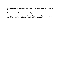There are many diversions and time-wasting traps which can cause a pastor to leave his true calling.

## **11. Do not inflate figures of membership.**

The greatest person in Heaven will not be the pastor with the most members; it will be the pastor who was most humble while on this earth.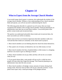# **What to Expect from the Average Church [Member](#page-5-0)**

A successful mega church pastor is someone who understands the mindset of the average church member. Without a clear understanding of how church members think and operate, you will not succeed in administering the church.

The following points describe in a general way (of course, there are many exceptions) the mindset of the average church member. Financial planning by an administrator must take into account these realities. A successful pastor must predict certain trends and circumvent them.

The quicker you understand and predict these trends and circumvent them, the more successful you will be in ministry.

Pastors must not have an erroneous impression that their members really love God and that their minds are constantly on the church and its projects.

1. Most church members are not thinking about the church but about themselves.

2. They spend a lot of money on themselves, but very little money on God.

3. Most church members feel that a hundred dollars is little money in a shopping mall but is too much to give as offering in church.

4. Many church members do not pay tithes and they will not do so no matter what you say!

5. If you preach about tithes, some people will pay up for a while but most people will stop when they forget the message. Your financial planning as an administrator must take this into account.

6. Most church members will pledge various amounts of money during fundraising events. However most of them will not pay what they promise. A wise pastor must expect only a small percentage of the pledged amount.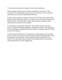7. Most church members are irregular in their church attendance.

These members therefore only contribute irregularly to the ministry. This accounts for the unpredictable and low income of churches. Any wise planner must take into account this unpredictable behaviour.

8. Most church members are ignorant of the sacrifices their pastor makes. Many church members think their pastor's only duty is to rest all week and deliver one Sunday sermon. This makes the average church member unwilling to make many financial sacrifices for the ministry.

9. Most people are inherently ungrateful. They benefit from the church but refuse to express their gratitude through contributions and gifts. The ingratitude of church members is demonstrated by the amounts of money people are willing to give to the ministry.

10. Many church members have commitments to other groups such as political parties, old boys' associations, tribal associations and professional bodies. Their commitment to these groups is often stronger than their commitment to the church. Know that many church members will readily sacrifice you and your church programmes for other engagements.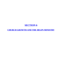# **[SECTION](#page-5-0) 6**

**CHURCH GROWTH AND THE HELPS [MINISTRY](#page-5-0)**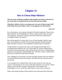## **How to Choose Helps [Ministers](#page-5-0)**

*Then the twelve called the multitude of the disciples unto them, and said, It is not reason that we should leave the word of God, and serve tables.*

*Wherefore, brethren, look ye out among you seven men of honest report, full of the Holy Ghost and wisdom, whom we may appoint over this business.*

*Acts 6:2-3*

As a church grows, a new group of people will become important. These are the helps ministers! At the beginning of a church, a helps ministry does not seem very important. The pastor is the jack-of-all-trades and has to help himself accomplish whatever he needs to.

But with the growth of a mega church, you will need people to help in many areas. New problems will arise that will require the input of helps ministers. Helps ministers are there to solve problems in different areas of expertise.

A helps minister is someone who stays in the background but helps you to accomplish great things for the Lord. Such people are usually administrators, secretaries, personal assistants, special aides and special envoys. Although helps ministers are not publicly acknowledged, their role often converts a little known pastor into a fruitful and well-known minister.

Your willingness to accept that you need such helps ministers and your ability to successfully blend them into the ministry will determine how big your church can become.

I can remember how I declared that I did not and would not work with any women. Unfortunately for me, many of the helps ministers were women. I had to adapt to and accept their existence and presence in the ministry. My unwillingness to do so would have spelt failure in many areas of ministry.

Sadly, some people posing as helps ministers have destroyed entire ministries.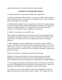Indeed, helps ministers can make or break an entire ministry.

## **Principles for Choosing Helps Ministers**

1. Employ people that are genuinely needed by the organization.

2. Employ people from within the church. As much as possible, employ people who are church members. Sometimes it is not possible to do so. But it is better to take from amongst your own sheep.

3. Readily dismiss people from your organization. Anyone who employs people must be ready and willing to dismiss these people in the future if the need arises. Contrary to traditional opinion, it is important to fire non-performing staff members even though they may be members of your church.

4. Employ as few people as you possibly can.

When people are employed for non-existent jobs, they become disgruntled and dissatisfied. Such people complain and create a discontented atmosphere in the church office. It is better not to have an employee than to have an unhappy employee.

5. Make employees carry out multiple roles. For instance, a pastor could be a lecturer at the Bible school and at the same time do pastoral duties. You may not need to have a secretary as many people can type their letters on their own. You may not need to have a receptionist as you could have a doorbell to announce the arrival of a visitor.

6 Wherever possible, use equipment instead of human beings.

Machines do not get tired! Machines do not develop moods and attitudes! Machines do not ask to be paid for over-time work. Machines do not go on leave. Machines do not go on maternity leave. Machines do not resign suddenly!

7. Do not neglect professional and technical aspects of the ministry. You should have some knowledge about many professions. Many pastors have a "black-out mentality" and think they are not qualified to discuss certain things.

For instance, as soon as some ministers realize that something has to do with legal work they black-out and call for lawyers saying, "This is legal work, just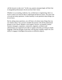call the lawyers to take over." In this way, pastors unsuspectingly sell their fate to misguided professionals who do not have their vision.

Whether it is accounting, medicine, law, architecture or engineering, there is a level to which you must be able to understand and discuss issues. You must read a lot and ask many questions. It takes humility to ask questions about things you do not know.

But by asking many questions, you will learn a lot about many things that you are clueless about. You can have sensible discussions with all the professional groups in your church. Bankers, travel agents, lawyers, accountants, human resource managers, carpenters, contractors, engineers, architects and administrators are supposed to be able to explain what they are doing in simple language. With the passage of time they will develop a healthy respect for your ability to engage in intelligent discussions on different subjects.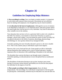# **Guidelines for [Employing](#page-5-0) Helps Ministers**

**1. Put everything in writing.** Once you begin to employ people, it is important to write letters and contracts where necessary. Discussions are not sufficient basis for dealing with employees even though they may be church members.

**2. Let education be the basis of employment.** Although the success of ministry is not dependent on education, it is an important factor. *Education greatly refines the natural gifts that God has given to every individual*. Any kind of education is often valuable even in the ministry.

Your education does not have to be in a particular field in order to be valuable in that field. For instance, I am trained as a doctor but I function as a pastor, a manager, a doctor and a leader. I was not trained for much of what I do today but my general education in the fields of anatomy, physiology, pharmacology, microbiology etc. have greatly enhanced my managerial skills.

Generally speaking, the more formally educated a person is, the more valuable he is. That is why salaries jump as individuals acquire more degrees.

However, this is not a hard and fast rule. Some people are able to informally educate themselves thus making up for a lack of formal education. Another important effect of education is the establishing of discipline in the individual.

The discipline that a person develops to go through exams is important. Generally speaking, an educated person is more disciplined than an uneducated person.

The disciplines of education (having to stay up late, having to pass exams, having to overcome various barriers and hurdles) are all exercises that prepare the individual for the rigours of real life.

**3. Place people according to their temperaments.** Know all about temperaments. The knowledge of an individual's temperament is the best guide for placing him. Unfortunately, someone may be educated in an area but does not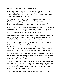have the right temperament for that kind of work.

If you do not understand the strengths and weaknesses of the choleric, the melancholic, the phlegmatic and the sanguine you will be a frustrated employer. You will constantly wonder why the work is not done even though you have someone who is a specialist in that field.

Choose a choleric when you need a driving manager. The choleric is good at jobs that involve targets and deadlines. He is also good at pioneering new projects and doing things that have not been done before. He is also good at supervising others because of his natural tendency to take charge.

Because he is self-motivated and self-supervising, he is able to drive through the obstacles of a big project. A choleric person will spontaneously work for many extra hours. He or she can handle a number of different functions at the same time. The choleric is not usually good at being an assistant.

Choose a melancholic when the job involves being meticulous and detailed. A melancholic employee will also do well in positions where books and records must be kept. They are also target-oriented and very focused.

A melancholic may also be good for jobs that require secrecy. Melancholic people are very intelligent and very loyal.

Use them for sensitive jobs that require loyalty. Because they are very analytical and detailed they are also good at jobs that involve technical things. They are usually the best at using computers, machines and other technical equipment.

Choose the phlegmatic when there is a monotonous job. Repetitive work within already defined structures is the best place for the phlegmatic worker. Teaching in a school setting and doing routine work in an established office are good examples of jobs for the phlegmatic.

They are usually not good at meeting deadlines and building new projects. The phlegmatic is easy-going and may be the best person to handle difficult people situations. He may not always express the urgency required in sensitive situations and sees no need to hurry about anything. Keep your phlegmatic away from stressful and high intensity work zones.

The sanguine must be employed when the job requires intelligence, skill-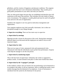giftedness, and the creation of happiness and pleasant conditions. The sanguine is good at jobs that have to do with human relationships. They usually give a good public presentation of your office and what you stand for.

They are often good singers because they are uninhibited and therefore give full expression to the music they perform. They introduce life and vitality to almost every circumstance. The sanguine is usually gifted and must be used in his gifted areas and not in the area of organization.

Somehow the sanguine is not very good at meticulous management and organization.

Your sanguine employee may look outwardly charismatic, but is often not disciplined enough to carry things through.

**4. Supervise everything.** There are four main ways to supervise:

### **a. Supervision by meetings**

Meetings provide a forum for discussion of the work. During these meetings, different aspects are discussed and the employees are made to focus on the important targets.

### **b. Supervision by visits**

There are two types of visits: announced visits and unannounced visits. Announced visits help the individuals to put up their best performance. Surprise visits help the manager to see the real picture.

### **c. Supervision by monitoring targets**

This is the best form of supervision. Ultimately, the worker is supposed to produce results. A result-oriented work place is often more fruitful than others.

### **d. Supervision by the "scapegoat" principle**

In this method, workers who are found to be non-performing can be dismissed as an example to the others. In all my experience, there is nothing that sends a more sombre message than the dismissal of an employee. A tone of seriousness is introduced into the system by the dismissal of one person.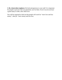**5. Be a benevolent employer.** Be kind and generous to your staff. It is important for people to perceive that you genuinely care for them. Even if you do not have a good salary to offer, show them love.

You will be surprised to find out that people will work for *"more love and less money", than for "more money and less love.*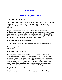# **How to [Employ](#page-5-0) a Helper**

### **Step 1: The application letter**

An application letter is to be written by the potential employee. This is important so that the individual will not say that he was forced to work in the ministry against his will. The application is the evidence of the individual's desire to work with you.

**Step 2: Presentation of documents by the applicant There should be a presentation of CVs and certificates from school. This is important because there are many who claim to have certain backgrounds but in actual fact have no real qualification. Some people attended university but either did not complete their courses or did not pass their exams.**

#### **Step 3: The temperament examination**

A simple test can reveal the basic temperament of your potential employee.

Ensure that you put your employee in an area that is suitable for his temperament.

### **Step 4: The general interview**

Every applicant must be interviewed by a panel. A panel is better able to objectively assess an applicant. The interview helps create a solid foundation for the future. The panel becomes convinced about the rightness or wrongness of employing this individual. The job seeker defends his application and makes a case for his employment. The interview helps the applicant to perceive the church as a professional, efficient and competent organization. This interview establishes whether the individual is the right person for the job or not.

### **Step 5: The financial interview**

This interview centres on the financial package that the newly employed person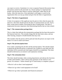can expect to receive. Sometimes it is wise to separate financial discussions from discussions centred on the job itself. In a church setting it is important that people work because they believe God has called them, rather than for the money. After this interview, if the individual is still happy to work for the organization then you may go ahead and give him the letter of appointment.

## **Step 6: The letter of appointment**

A letter of acceptance of the applicant must be given to him when he passes the interview. This letter should specify the date of commencement of work. Such a letter would remove doubts concerning his date of employment. The date of employment becomes important when determining benefits that are time-related.

## **Step 7: The remuneration package letter**

This is a letter that indicates the remuneration package that has been discussed at the financial interview. This includes things like the take home salary, and any other housing, transport or health benefits that may exist.

This includes what the person will be paid and what the person can expect in the future. It is wise to retain such letters.

## **Step 8: The job description letter**

Give a letter containing the job title and the job description. This should explain in detail the job that the person is expected to do. Explain in your letter how the individual will be assessed and what targets should be accomplished. This letter should be delivered at an extensive and explanatory meeting.

## **Step 9: The orientation letter**

This letter should introduce other existing departments and indicate the functions of other staff members. There will be many questions on the mind of a new person. For instance: • Where should I go if I need money to complete a project?

- Who do I call on when I need equipment?
- Where do I go when I need equipment to be fixed?
- Where do I go when I personally need financial assistance?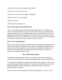- Who do I see when my computer breaks down?
- Who do I see when I need a car?
- Who do I see if I need to arrange for transport?
- What do I do if I want to resign?
- Who is my boss?
- Who does my boss report to?

## **Step 10: The general expectations letter**

This is a letter that indicates the other general expectations of an employee as well as any staff rules that may exist. In some offices, there may be dress codes and rules about privacy and confidentiality. There may be rules about the use of equipment and the repair of equipment. There may also be rules about visitors to the office and access to the offices. There may be working hours that are peculiar to the office. All these and more need to be spelt out clearly.

## **Step 11: The sanctions letter**

This is a letter that indicates a sanctions package. It should include measures that will be taken against an employee in the event of unsatisfactory performance or behaviour. Such sanctions must always include the possibility of dismissal. You must also include the reality of the need to lay off staff in the event that the church can no longer sustain its staff.

## **How to Determine Salaries**

The employer must determine salaries. It is good to use a board to determine salaries. The board must have a formula that guides them in determining salaries.

It is important to establish clear grades and ranks among employees. These ranks must be understood and accepted by all. The basis for rank is the same basis for determining salaries. Ranks amongst the employees become the basis for different grades of benefits.

Salaries are always determined by the following principles: a. The real cost of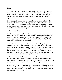### living

There is no point in paying someone less than he can survive on. You will only create an army of petty thieves within your offices. The cost of living varies from country to country. It even varies within a country. It is important to consider these realities. In some places people earn a lot of money but have equally high bills.

b. The salary which the individual was paid in his previous workplace This serves as a good measure to what the person has lived on in the past. People often inflate their former salaries. Knowing the previous salary helps to silence individuals who may claim that you are not paying them well. All you have to do is to refer them to their previous jobs.

### c. Comparable salaries

Salaries can be determined by knowing what is being paid to individuals who are doing similar jobs in comparable organizations. A secretary who demands an unreasonable salary must be told what other secretaries earn in comparable organizations. A pastor who demands outrageous benefits must be told about what other pastors earn in other churches.

d. The educational background of the individual Generally speaking, the more educated a person is, the more he earns. There are times, however, that the qualifications of an individual must be ignored. There are some people who are good at passing exams in school and therefore have many degrees. Unfortunately, many of such people are of little practical use when it comes to real work. It must be remembered that a certificate is just a piece of paper and does not mean that an individual is capable of carrying out a job.

e. The value of the individual to the organization This is the most important factor in determining someone's income. Consider what would happen if a particular employee were absent. Easily replaceable people, such as drivers and secretaries are not as valuable as managers and lifelong assistants!

f. The length of time the individual has worked after school Usually, the longer an individual has been in gainful employment, the more mature and productive he is. Young people are full of zeal and energy but sometimes lack the maturity that seasoned workers have.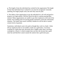g. The length of time the individual has worked for the organization The length of time that individuals have worked for you must be recognized. Generally speaking, the longer people work, the more they must be paid.

h. The ability of the organization to pay the individual It is all well and good to propose very high salaries. Will the church be able to continue paying these salaries? Many organizations are unable to pay their employees at the end of the month. Over-staffing and over-paying people sometimes create this unfortunate situation. The leader must assess carefully whether he will be able to sustain certain levels of payment.

Sometimes, individuals want to be paid as though they work in a bank. I often tell my employees that we are neither a bank nor a gold mine. A secretary working for a gold mine may obviously have a higher salary than a secretary working for a church. A church simply does not have the income that a gold mine has and therefore cannot sustain the salaries that a gold mine pays.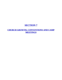# **[SECTION](#page-5-0) 7**

# **CHURCH GROWTH, [CONVENTIONS](#page-5-0) AND CAMP MEETINGS**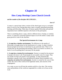# **How Camp [Meetings](#page-5-0) Cause Church Growth**

#### *and the number of the disciples MULTIPLIED…*

#### *Acts 6:7*

A camp is a special time when a section of the church goes away to a secluded place to wait on God. During these days, there is usually intensified preaching, teaching and fellowship. These days of intense quality fellowship and spiritual impartation leave indelible imprints in the hearts of the participants.

There is something about a camp, which is different from a Sunday or weekday service. A camp has a powerful spiritual impact on all who attend. Camps cause great growth to come to the churches.

#### **The Special Environment of a Camp**

**1. A camp has a timeless environment.** The difference in the quality of fellowship is brought about by the timelessness of a camp. A camp is timeless because people do not have to rush home by any particular time. There is no closing time for the preaching and teaching. There is no need to cut down, cut back or cut off anything that is necessary for the people.

**2. A camp has a tension-free environment.** Tension is created by the presence of people who know it all. Proud people do not usually come for camps. They are usually too big to be found at such meetings. A camp automatically eliminates a group of stiff, fussy and difficult-to-please church members **3. A camp has an anxiety-free environment**. Anxiety is created by the cares of this world. The cares of this world are the legitimate needs, and concerns of the congregation.

At a camp, we are cut off from the outside world for a few days. The worries, cares and problems of the world are suspended for a while as we focus on the Lord.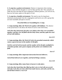**4. A camp has a patient environment.** Patience is important when training pastors. Jesus told His disciples to wait for Him and they did. They patiently sat under the trees and slept till Jesus reappeared. Without patience, you will not see, hear nor feel many aspects of the glory of God.

**5. A camp has a humble environment**. The need to stay for long hours eliminates proud people from the congregation and leaves you with a group that are more teachable and open to receive.

## **Powerful Effects of Assembling for a Camp**

**1. Camp meetings allow the Word to be spoken with boldness**. The absence of the proud know-it-all allows the Word of God to come forth freely.

*And when they had prayed, the place was shaken where they were assembled together; and they were all filled with the Holy Ghost, and they spake the word of God with boldness.*

*Acts 4:31*

**2. Camp meetings allow the Word of God to be preached extensively which causes a great increase in the number of disciples**.

*And the word of God increased; and the number of the disciples multiplied in Jerusalem greatly; and a great company of the priests were obedient to the faith.*

*Acts 6:7*

**3. Camp meetings allow important interaction between believers.**

*And all that believed were together, and had all things common;*

*Acts 2:44*

**4. Camp meetings allow many hours of prayer to take place.**

*And when they heard that, they lifted up their voice to God with one accord, and said, Lord, thou art God, which hast made heaven, and earth, and the sea, and all that in them is: Acts 4:24*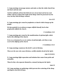**5. Camp meetings encourage oneness and unity so that the whole church has one heart and one soul.**

*And the multitude of them that believed were of one heart and of one soul: neither said any of them that ought of the things which he possessed was his own; but they had all things common.*

*Acts 4:32*

**6. Camp meetings give room for prophesies at church which charge up the people.**

*He that speaketh in an unknown tongue edifieth himself; but he that prophesieth edifieth the church.*

*1 Corinthians 14:4*

**7. Camp meetings give room for the manifestation of spiritual gifts which lead to the edifying of the church.**

*Even so ye, forasmuch as ye are zealous of spiritual gifts, seek that ye may excel to the edifying of the church.*

*1 Corinthians 14:12*

**8. Camp meetings counteract the devil's work of division.**

*These are the ones who cause divisions, worldly-minded, devoid of the Spirit.*

*Jude 19 (NASU)*

**9. Camp meetings fight separation and isolation that comes from pride and sensuality.**

**These be they who separate themselves, sensual, having not the Spirit.**

**Jude 19**

**10. Camp meetings are gatherings which prevent the scattering of the sheep and deprive the devil of meat.**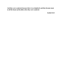*And they were scattered, because there is no shepherd: and they became meat to all the beasts of the field, when they were scattered.*

*Ezekiel 34:5*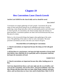# **How [Conventions](#page-5-0) Cause Church Growth**

#### *And the Lord ADDED to the church daily such as should be saved.*

#### *Acts 2:46-47*

Conventions are simply gatherings of God's people. Conventions lift up the name of Jesus and always bring an air of celebration and victory. *At these gatherings, many things take place which are spiritually positive and which lead to church growth.* At conventions, the church usually enjoys the ministry of guest preachers. Convention speakers are often well received because they have the aura of a visitor.

Below is a list of powerful things that happen when gatherings of the saints occur. The gathering of the saints is what we call a convention. The more powerful conventions you have, the more your church will grow.

#### **Powerful Effects of Gathering for Conventions**

**1. Church conventions are important because the sheep are fed with good pasture.**

*I will feed them in a good pasture, and upon the high mountains of Israel shall their fold be: there shall they lie in a good fold, and in a fat pasture shall they feed upon the mountains of Israel.*

*Ezekiel 34:14*

**2. Church conventions are important because they allow healing power to flow.**

*And Jesus departed from thence, and came nigh unto the sea of Galilee; and went up into a mountain, and sat down there. And great multitudes came unto him, having with them those that were lame, blind, dumb, maimed, and many others, and cast them down at Jesus' feet; and he healed them: Matt 15:29-30*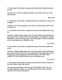**3. Conventions of the saints are important because they bring the presence of God.**

*For where two or three are gathered together in my name, there am I in the midst of them.*

*Matt 18:20*

**4. Conventions of the saints are important because evil spirits are driven out of people.**

*And there was in their synagogue a man with an unclean spirit; and he cried out, Mark 1:2*

**5. Conventions of the saints are important because they enable praise to go on.**

*And they, continuing daily with one accord in the temple, and breaking bread from house to house, did eat their meat with gladness and singleness of heart, PRAISING GOD, and having favour with all the people. And the Lord added to the church daily such as should be saved.*

*Acts 2:46-47*

**6. Conventions of the saints are important because they allow people to be saved.**

*And they, continuing daily with one accord in the temple, and breaking bread from house to house, did eat their meat with gladness and singleness of heart, Praising God, and having favour with all the people. And THE LORD ADDED TO THE CHURCH DAILY such as should be saved.*

*Acts 2:46-47*

**7. Conventions of the saints are important because they allow the power of the Holy Ghost to shake the church**.

*And when they had prayed, THE PLACE WAS SHAKEN where they were assembled together; and they were all filled with the Holy Ghost, and they spake the word of God with boldness.*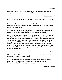*In the name of our Lord Jesus Christ, when ye are gathered together, and my spirit, with the power of our Lord Jesus Christ,*

*1 Corinthians 5:4*

**8. Conventions of the saints are important because they cause all needs to be met.**

*Neither was there any among them that lacked: for as many as were possessors of lands or houses sold them, and brought the prices of the things that were sold, Acts 4:34*

**9. Conventions of the saints are important because they enable spiritual gifts to operate. This causes the fear of God to be in the church.**

*But a certain man named Ananias, with Sapphira his wife, sold a possession, And kept back part of the price, his wife also being privy to it, and brought a certain part, and laid it at the apostles' feet. But Peter said, Ananias, why hath Satan filled thine heart to lie to the Holy Ghost, and to keep back part of the price of the land? Whiles it remained, was it not thine own? and after it was sold, was it not in thine own power? why hast thou conceived this thing in thine heart? thou hast not lied unto men, but unto God. And Ananias hearing these words fell down, and gave up the ghost: and great fear came on all them that heard these things.*

*Acts 5:1-5*

**10. Conventions of the saints are important because they allow revelations, psalms and prophecies to come forth.**

*How is it then, brethren? when ye come together, every one of you hath a psalm, hath a doctrine, hath a tongue, hath a revelation, hath an interpretation. Let all things be done unto edifying.*

*1 Corinthians 14:26*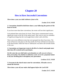# **How to Have Successful [Conventions](#page-5-0)**

*Three times a year you shall celebrate a feast to Me.*

*Exodus 23:14, NASB*

#### **1. Conventions should be held three times a year following the pattern of the feasts of Israel.**

If you have more than three conventions, the events will lose their significance.

God ordained three main feasts for Israel. These feasts commemorated various significant events in the life of the nation Israel. They were to serve as reminders of significant things that the Lord taught them in their walk with Him.

There were seven different events that were grouped into three feast times. The Feast of Passover took place in the first month; the Feast of Pentecost took place in the third month, whilst the Feast of Tabernacles was held in the seventh month of the year.

**2. Conventions are important events in the life of a church and people must take time off to attend and to participate.**

*On this same day you shall make a proclamation as well; you are to have a holy convocation. You shall do no laborious work. It is to be a perpetual statute in all your dwelling places throughout your generations*

*Leviticus 23:21, NASB*

**3. Everyone in the church must come for conventions. All males were to attend the festivals.**

*Three times a year all your males shall appear before the Lord GOD*

*Exodus 23:17, NASB*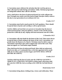**4. Conventions must celebrate the salvation that the Lord has given us. Altar calls must be made during conventions. Sadly, Christian programmes are being held without altar calls for salvation.**

*And ye shall observe the feast of unleavened bread; for in this selfsame day have I brought your armies out of the land of Egypt: therefore shall ye observe this day in your generations by an ordinance for ever.*

*Exodus 12:17*

**5. Conventions must lead to much praise for God's goodness. There should be special times of praise and worship as well as special music.**

*And the children of Israel that were present at Jerusalem kept the feast of unleavened bread days with great gladness: and the Levites and the priests praised the LORD day by day, singing with loud instruments unto the LORD.*

*2 Chronicles 30:21*

**6. Conventions will raise funds for the house of the Lord. There must always be special times of fund-raising in the house of the Lord. Conventions can greatly boost the finances of a church. Christians must be told to come to conventions expecting to give and to support the work of the Lord. They must not appear at a convention empty-handed.**

*Thou shalt keep the feast of unleavened bread: (thou shalt eat unleavened bread seven days, as I commanded thee, in the time appointed of the month Abib; for in it thou camest out from Egypt: and NONE SHALL APPEAR BEFORE ME EMPTY:)*

*Exodus 23:15*

*And thou shalt keep the feast of weeks unto the LORD thy God WITH A TRIBUTE OF A FREEWILL OFFERING of thine hand, which thou shalt give unto the LORD thy God, according as the LORD thy God hath blessed thee:*

*Deuteronomy 16:10*

**7. Conventions bring about a feeling of joy, victory and celebration. These**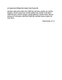**are important feelings that inspire church growth.**

*And thou shalt rejoice before the LORD thy God, thou, and thy son, and thy daughter, and thy manservant, and thy maidservant, and the Levite that is within thy gates, and the stranger, and the fatherless, and the widow, that are among you, in the place which the LORD thy God hath chosen to place his name there.*

*Deuteronomy 16: 11*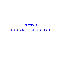# **[SECTION](#page-5-0) 8**

**CHURCH GROWTH AND [RELATIONSHIPS](#page-5-0)**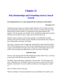# **Why [Relationships](#page-5-0) and Friendships lead to Church Growth**

### *Iron sharpeneth iron; so a man sharpeneth the countenance of his friend.*

### *Proverbs 27:17*

Churches that do not grow are often isolated. Ministers of the Gospel who have good relationships with other ministers often become successful and take on the characteristics of their friends. It is important to have good friends in the ministry. You become like your friends. If your friends have large and successful churches you are likely to have a large and successful church too.

Silently living in isolation will not help anybody. It will definitely not help someone who wants his church to grow. Humble yourself and do what it takes to have relationships with those who matter.

Years ago, I zeroed in on Dr. Yonggi Cho and decided to learn from him and get close to him. Perhaps, that was one of the most important decisions of my life as a pastor. I had decided to become close to the pastor of the largest church in the world. That association has affected me in more ways than I can think.

### **Golf and Lunch**

One day, after playing golf and fellowshipping privately with Dr Cho, I sat down to have lunch with him and some other ministers.

An elderly Korean gentleman walked up to me and said, "You have done very well. I remember you. I remember when you first came to meet with Dr Cho in Yverdon, Switzerland. You were unable to meet him, even though you wanted to."

That was almost twenty years ago.

Then he continued, "You have persisted. Do you remember me? I spoke to you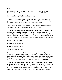then."

I smiled back at him, "I remember you clearly. I remember it like yesterday. I had just started my church and I did not even have a church building."

Then he said again, "You have really persisted."

You see, it had been a long and dogged journey of coming close to a great person. I had come from the outside, from nowhere. And here I was, sitting next to the pastor of the largest church in the world having lunch.

After years of associating I had become a golfer and also received the great spiritual blessing of becoming the pastor of a large church.

**1. You must have friendships, associations, relationships, affiliations and connections with other ministers of God.** Every minister and every relationship is a joint that supplies something to your life and ministry. What they supply to you will cause growth to happen in your ministry. Relationships with key ministers of God have greatly contributed to the growth of my ministry.

Relationships cause growth!

Interactions cause growth!

Friendships cause growth!

That is what the Bible says.

New dimensions and new chapters have opened up in my ministry as I have opened up to different people. Read it for yourself: … the whole body, being fitted and held together by that which EVERY JOINT SUPPLIES, according to the proper working of each individual part, CAUSES THE GROWTH of the body for the building up of itself in love" (Ephesians 4:15-16 (NASB)

**2. You must have friends and relationships in the ministry because these relationships will give you KNOWLEDGE you do not have.** You are always excluded from certain things because of knowledge you do not have. In the ministry, it is necessary to relate with other ministers who may not be in your church or denomination. God wants to expose you to other ministry gifts.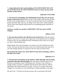#### *"…being darkened in their understanding, EXCLUDED FROM THE LIFE OF GOD, BECAUSE OF THE IGNORANCE that is in them, because of the hardness of their heart;"*

*Ephesians 4:18 (NASB)*

**3. You must have friendships and relationships because they stir you up for greater works in the Lord.** When you stay in your little world you have no idea of what God is doing elsewhere. You have no idea that there can be something greater and better than what you are doing. Every time I have visited someone's church I have been blessed and provoked to do something greater and better in my church.

#### *And let us consider one another to PROVOKE UNTO love and to GOOD WORKS:*

# *Hebrews 10:24*

**4. You must have friends who will tell you the truth in love.** When the truth is spoken to you in love, it causes you to grow up. Is it not growth you are seeking? Is that not why you are reading this book? Hearing the truth causes you to grow up. That is what the Bible says.

Relationships with external ministers can expose you to the truth that you need to hear. You may not hear that truth in your own world because there may be no one with enough authority or exposure to tell you what you need to hear.

#### *But speaking the truth in love, MAY GROW UP into him in all things, which is the head, even Christ:*

#### *Ephesians 4:15*

**5. You must have associations in the ministry. Many blessings come by being associated with other blessed people.** My association with great men of God has been a tremendous source of blessing to me. One day, I was invited to a foreign country to preach. I wondered why the pastor had invited me. When I asked him why he had invited me, he said, "I saw you on a video with David Yonggi Cho. It seemed you were interpreting or doing something on the stage."

He said to me, "I invited you because anyone who is associated with David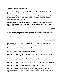Yongi Cho must be a good person."

"Wow", I said to myself, "this is the clearest example of how you can be blessed just by being associated with someone else."

Laban, the non-believer, knew this principle very well. He told Jacob, God blessed me because you were in my camp. He recognized how, where and why blessings were coming to him.

#### *And Laban said unto him, I pray thee, if I have found favour in thine eyes, tarry: for I have learned by experience that the Lord hath BLESSED ME FOR THY SAKE.*

*Genesis 30:27*

#### **6. You must have friendships, associations, relationships, affiliations and connections with other ministers of God to avoid isolation.**

*And the eye cannot say unto the hand, I have no need of thee…*

#### *1 Corinthians 12:21*

Often, isolation occurs because one has been hurt in the early stages of ministry. Many ministers run into a corner to escape being despised.

Isolation can work together for your good.

Isolation helps you to concentrate on your ministry.

Isolation helps you avoid being despised, disregarded and discouraged all the time by other so-called successful ministers.

Isolation helps you to avoid the distractions of inter-church politics.

Isolation helps you to avoid the wholesale adoption of other ministers' mistakes.

Isolation helps you to develop your unique identity and calling.

Isolation helps you to avoid being submerged under the banners of other domineering pastors who are trying to assume lordship over all churches in the city.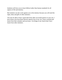Isolation will force you to learn biblical rather than human standards for all aspects of life and ministry.

But isolation can also work against you in the ministry because you will need the input, ideas and gifts of other ministers.

You may be able to learn a great deal from other successful pastors in your city. I have learnt a lot from those directly ahead of me in my city. I have watched and learnt from their mistakes and successes. I do things in my church that I have learnt from other ministers.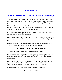# **[Chapter](#page-5-0) 22**

# **How to Develop Important Ministerial [Relationships](#page-5-0)**

The key to developing ministerial relationships with other pastors is to invite them in an honourable way, treat them well and give them a memorable time in your company. This is the seed that can develop into lifelong relationships.

Most of the important relationships I have in the ministry have developed after I invited them to visit my church. Most of these friendships have grown over the years and become vital relationships for my ministry.

It starts with the invitation to the pulpit and develops into other areas although not all invitations have led to relationships.

Do not be surprised if some visiting ministers shun your friendship. Some people are not very relational and others may not be interested in a relationship with you.

Sometimes, people do not relate with you because they are intimidated by you. They may be afraid of you and will show it by rejecting you.

# **How to Develop Relationships through Invitations**

#### **1. Treat your visiting minister as a very important person.**

Everyone loves to be pampered and treated specially. The wrong handling of a visiting minister often leads to offences and the destruction of already fragile acquaintances.

Give your guest the best possible place to stay. Don't put him in a room with your children. Don't make him share a room with your children. You may not be able to afford the nicest hotel, but you must do what you can afford.

Ministers tend to ask where other visiting preachers were hosted.

#### **The Four-Room Hotel**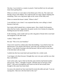One day, I was invited to a country to preach. I had travelled very far and spent many hours getting there.

When we arrived, we were taken to the dirtiest part of the city. The roads were literally strewn with rubbish. You could not take two steps without stepping into something. There was a big house right on the corner of this filthy area.

When we entered the house I asked, "Where is this?"

I was told that it was a hotel. I was surprised that they were calling it a hotel because it had only

four rooms which opened into a common space. Also a family lived upstairs, above the four rooms. Apparently, the pastor saved a lot of money by using this building because his family owned it.

In the morning, a man would come up with a big plate of bread rolls in one hand and margarine in the other hand.

I asked, "What is this?"

He said, "This is for your breakfast."

I have never stayed in a dirtier place than that building. I was afraid to have my bath because I was afraid of the electric wires that were sticking out into the shower. I was afraid of turning in the bed because I did not want to touch more of the bed sheet with my body.

I settled into this four-room hotel and stayed there for a whole week.

I was happy to be there because I thought they were very poor and this was what they could afford.

Later in the week, I got to find out that this same ministry had hosted another man of God. "Wow", I thought to myself, "Did this man of God stay in this hotel?" I did some investigations and found out that he had actually been brought to this same four-room hotel.

As soon as he entered our four-room hotel he struck the table and said, "I am not staying here. Take me to the best hotel in this city!"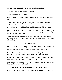The host pastor scrambled to get the man of God a proper hotel.

"Are there other hotels in this town?" I asked.

"O yes, there are other nice places."

Later that week we passed by the hotel where this other man of God had been taken.

You see, people find out how you treated others. They compare. Ministers are very sensitive, always looking out to see if they are despised or respected.

# **2. Show honour to your friend by giving him an honourable invitation.**

Do not invite someone you want to honour to a minor function. Invite the person to an important service that will be well attended. Invite people personally if you can and follow it up with a letter.

You must be present at the service for which you invited the person. Do not invite a minister if you know you will be absent (especially when building a new relationship).

# **The Man in Shorts**

One day, I was invited by a man of God to minister in his church. I arrived in the city after a very long journey and it was already time to preach. My host, however, was at home wearing sports shorts and playing table tennis.

He asked that we be taken to the church where I was to speak. I found out that it was a minor programme that my host himself would not bother to attend.

I did not know the young man who introduced me to preach. He did not know me either and I did not know what role he played in the church.

As I preached, I wondered why I had come all this way to a programme that my host would not even attend himself.

# **3. The visiting minister should be welcomed at his point of entry.**

If the external minister is coming from another location, as much as possible a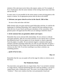minister of his rank must receive him at the airport, station, etc! For example, if he is a head pastor, then the senior minister of the inviting church must meet him and see him off.

In some cases it is not possible for the senior pastor to meet arriving guests at the airport or station. So an appropriate person must do that on his behalf.

### **4. Welcome your guest when he arrives in the church. Talk to him.**

Sit next to him and relate with him!

Make friends with your guest and have good fellowship with him. It could be the beginning of a lifelong relationship. Don't spend all the time making excuses about the size of your church and the poor attendance of the convention. Every genuine pastor will appreciate the effort you are making to build the church.

#### **5. Invite someone that you genuinely admire and respect.**

Remember that secret criticism kills relationships. Do not criticize or ridicule your guest ministers. Why do you invite someone to your church only to criticize him behind his back? Do not speak evil of any minister or church, especially from the pulpit or in public. Do not entertain negative comments about guest ministers and their preaching whilst they are with you and when they are gone. I have had ministers of the Gospel who invited me and allowed their associates to criticize me after I left. If you have anything to say about a minister, say something positive.

#### *…speak evil of no man…*

#### *Titus 3:2*

Remember that the way you speak will set the stage for others to criticize you in the future.

#### **The Windowless Room**

You must show your guests that you respect them. Once I was invited to minister in a large church. I enjoyed ministering there but I had one problem. I was put in a guest house with a windowless room. The room I was living in didn't have "windows". There were windows but they were permanently closed and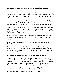permanently covered with curtains. There was also no functioning air conditioner in the room.

This meant that this room was virtually windowless and airless. In the evenings, after ministering, I would go out and sit on the field to breathe in some fresh air. When I was sure that I had enough oxygen for the night, I would retire to my windowless room.

On one of the days, I found out that a great American preacher had also been invited to this church. So I asked, "Where did this American preacher stay when he came to minister here? Did he stay in this same windowless guest house?"

As I expected, the American minister was not put in my windowless room. He had been taken to a grand hotel and treated royally. Naturally, I felt that these people did not appreciate the gift of God and did not care for me as much as they did for their American guest.

Indeed, you must be careful how you treat ministers because they are always asking questions to find out if they are really respected, appreciated or even wanted.

#### **6. Refer to your invited guest by the official designation he has accorded himself.**

People have reasons for calling themselves Bishops, Reverends or Apostles. Ministers are sensitive about their titles. If his title is General Overseer, do not refer to him as the General Superintendent. If he refers to himself as an Apostle, do not call him a Pastor.

# **7. Find out the full name of your guest and pronounce it properly.**

You must know the full name of your invited guest. There is nothing more disrespectful than a person who cannot bother to pronounce your name. Many African Americans had their names changed because their white slave masters could not bother to pronounce their African names. Do not refer to him as Reverend Ag when his name is Reverend Agegebodavari.

#### **8. Identify and introduce the visiting minister's delegation.**

It is important to acknowledge them as well. Do not disregard people's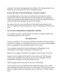associates. You may be disregarding a future Elisha. The visiting minister's wife should also be welcomed nicely. She is an important person.

### **9. Know the name of the invited minister's church or ministry.**

Not remembering the correct name of somebody's church makes you look arrogant. Don't give the impression that you are dealing with an unimportant church with an unfortunately laborious name. Don't give the impression that you cannot be bothered to remember the name of his ministry.

For instance, do not say he is the Pastor of The Light Church when he is the Pastor of Lighthouse Chapel International. There is a big difference between the two!

#### **10. Give your visiting minister enough time to minister.**

For example, do not give a guest minister 10 minutes to minister, when he has travelled long distances to be with you.

# **The Hand of God**

One day I travelled to a far away land to minister. I had been invited by this man of God to be a speaker at a convention. The service was to close at about 8.00pm and I was supposed to start preaching at about seven o'clock.

To my surprise, instead of my host introducing me and handing over the microphone to me he began a teaching on "the hand of God".

Indeed, it was a night of revelation as he taught on what the hand of God was.

He gave several examples of the hand of God at work in the Old Testament. Then he gave examples of the hand of God in the New Testament. Then he explained how the hand of God could change your life.

Then he taught on where the hand of God can be found today!

I sat for almost an hour as I listened to this wonderful message. But I couldn't help wondering why I had come all the way from Ghana. This man knew exactly what he wanted to minister to his people and to say the least, I felt silly sitting there.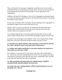Then, at the end of his message, I thought he would hand over to me so that I would preach the second message of the day. But it was not yet my turn because he announced that the hand of God had begun to move right there in the congregation.

Suddenly, the hand of God began to move in the congregation and people began to scream and fall down under the power. He ministered powerfully to the people for another twenty minutes.

By the time he finished, there was hardly anyone standing in the congregation. It was indeed a night of power and of the hand of God.

Finally, when it was past closing time, he announced that I had come from Ghana to also minister (there were people strewn all over the front of the church). What was I expected to do now?

I was indeed surprised that I was being called to speak after the service had clearly ended with the power of God evident and people lying all over the front.

Everyone in my entourage was bewildered. I have never forgotten this strange behaviour of my host. Obviously he did not really want me to come.

### **11. Introduce your guest minister with excitement. Let the church welcome the visitor with great respect and expectation in their hearts.**

#### **12. Outline and explain specifically to your guest minister any function or expectation you may have of him.**

For example, if you want him to raise funds, make altar calls, ordain pastors, etc., discuss this with him in detail before he arrives. Do not surprise your guest with unusual ceremonies with which he may not be comfortable. Don't put him on the spot and make him feel silly or inadequate.

#### **13. After preaching and ministering, the visiting minister should be refreshed briefly and then politely escorted away.**

**14. Ensure that your visiting minister will have good food that he can eat during his stay with you.**

**Flamingo Stew**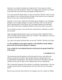One day, I was invited to minister in a large church. We were put in a hotel which had very little ventilation. When it was supper time, the hotel was unable to provide food so the host sent some people to bring food to us.

As we sat around the dinner table, we were served with "chicken". But I was not sure whether it was a chicken because the legs of the chicken were so long and I had never seen such a long chicken leg before.

Honestly, I was not sure which bird I had been given. Perhaps it was a flamingo, perhaps it was an eagle, perhaps it was just a local bird. This was not the first time I had been given a local bird to eat. On another ministry trip I had been given a bird which had a completely different colour from what I was used to.

Yet on another occasion I was served with a whole bird so small that it could fit into my palm.

Again and again people choose to give you the most easily caught bird in the area. Everybody calls the birds in their area "chicken". But experience will teach you that not all birds are chickens.

Try to give your guests food that they can eat and "chicken" that they will enjoy.

#### **15. The conditions of your guest minister's visit should be clearly defined prior to his arrival and acceptance to minister.**

#### *Even so hath the Lord ordained that they which preach the gospel should live of the gospel.*

#### *1 Corinthians 9:14*

The honorarium and all expenses can be discussed in many cases before the minister accepts the invitation. This includes financial, transportation, and accommodation arrangements. The minister must be given the option to decide whether he will come in spite of the conditions that you are offering him.

This is especially important if the minister is travelling a long distance. You may wrongly assume that the visiting minister will only incur the cost of his plane ticket.

But you may not know that he had to, for example, travel in a rented car 300km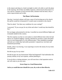to the airport and sleep in a hotel overnight in order to be able to catch the plane in the morning. All of these are hidden expenses, which must be discussed. It is very sad for a minister to travel several miles, minister from his heart, only to return impoverished and in debt.

# **The Phone Call Invitation**

One day, I received a phone call from a man of God inviting me to his church. He said he would be so honoured if I would come to minister in his church.

Then he asked, "Are there any conditions for your coming?"

I answered, "If you can pay for my ticket and where I would stay that should be fine."

He was happy and promised to do that. I travelled on several different flights and eventually landed in this country.

The first surprise was that we were taken to a hotel different from where he had told us we would be lodging. I quickly checked my secretary's notes and asked why we were being taken to a very different place. They mumbled an apology and took us to where they had earlier promised. I enjoyed my visit there and ministered powerfully.

Finally, when I was leaving, I was expecting to receive the money for my ticket. No such luck!

He did not pay for my ticket!

He did not give me any honorarium! What had happened? I had undertaken this journey entirely at my own expense, without planning to.

If you do this to visiting ministers, you will soon have a bad reputation and no one will come to you any more.

# **Seven Steps to a Good Honorarium**

*And as ye would that men should do to you, do ye also to them likewise.*

*Luke 6:31*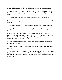1. A good honorarium should cover all the expenses of the visiting minister.

The honorarium must also bless and encourage the minister financially. A good honorarium must be judged by what you would like to receive if you were the guest.

2. A visiting minister's rank also determines what a good honorarium is.

If the person is a very senior minister, the honorarium must be correspondingly substantial.

3. A good honorarium is calculated by the number of days a person ministers.

4. A good honorarium is also determined by the impact of the visiting minister's ministry.

5. Honorariums should not be given to the visiting minister in full public view. Do not let the visiting minister feel uncomfortable as he receives your envelope in the full view of everyone. Your guest should be given his honorarium in private and by the appropriate person.

6. The visiting minister may sign a voucher or receipt for the honorarium (for accounting purposes).

7. The honorarium should be prepared with an accompanying letter before the meeting.

This is to avoid very long delays in paying the honorarium. Some churches even forget to pay any honorarium at all. It is often more difficult to pay the honorarium long after the minister has left than it is to pay immediately after the programme.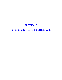# **[SECTION](#page-5-0) 9**

# **CHURCH GROWTH AND [GETHSEMANE](#page-5-0)**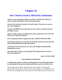# **[Chapter](#page-5-0) 23**

# **How Church Growth is Affected by [Gethsemane](#page-5-0)**

*"And He came out and proceeded as was HIS CUSTOM to the Mount of Olives; and the DISCIPLES ALSO FOLLOWED Him.*

*And when He arrived at the place, He said to them, "Pray that you may not enter into temptation."*

*And HE WITHDREW from them about a stone's throw, and He knelt down and began to pray,*

*saying, "Father, if Thou art willing, remove this cup from Me; YET NOT MY WILL, BUT THINE BE DONE."*

*Now an angel from heaven appeared to Him, STRENGTHENING HIM.*

*And being in agony He was praying very fervently; and His sweat became like drops of blood, falling down upon the ground.*

*And when He rose from prayer, He came to the disciples and found them sleeping from sorrow,*

*and said to them, "Why are you sleeping? Rise and pray that you may not enter into temptation.""*

*Luke 22:39-46 (NASB)*

#### **The Principles of Gethsemane**

#### **1. Gethsemane teaches us that the turning points for your life and ministry are determined in the private and personal times you have with the Lord**.

The turning point for Jesus' ministry came in the Garden of Gethsemane. Gethsemane was the place where Jesus received strength to accomplish the will of God. The turning point for your church will come when you wait on the Lord.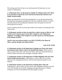The turning point that will give you church growth will take place in your Garden of Gethsemane.

#### **2. Gethsemane shows us the greatest example of waiting on the Lord. There is no man that is used of the Lord who has not interacted with the Lord deeply and personally.**

Moses encountered the Lord by the burning bush. It was that personal private burning bush meeting that propelled him into his worldwide ministry. It will be your personal private burning bush experience that will propel you into the church growth you desire.

Jacob's meeting with the Lord also gave birth to his ministry of producing God's nation Israel.

**3. Gethsemane teaches us that you must have a place you go to often to wait on the Lord. It must be part of your life's routine to visit Gethsemane regularly. According to the Scripture it was His custom to visit that garden in the Mount of Olives.**

*And He came out and proceeded as was HIS CUSTOM to the Mount of Olives; and the disciples also followed Him."*

*Luke 22:39, NASB*

**4. Gethsemane teaches us the importance of going away from your usual environment and to places where you benefit from nature.** Nature tends to relax you and God's voice will reach you better when your mind and heart are relaxed. Nature itself has many messages contained within it.

**5. Gethsemane teaches us the importance of fellowshipping with your most senior friends and associates.** Gethsemane is a place where you can have important life-changing discussions with the most important people in your ministry.

# **6. Gethsemane teaches us the importance of being alone with God.**

Gethsemane is a place where you can receive life-changing revelations from the Lord. The disciples received life-changing teachings about prayer. Without revelation you will not be different from the people you lead.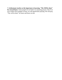# **7. Gethsemane teaches us the importance of praying**, **"Thy Will be done"**

**for several hours.** Some people do not believe in repeating prayers. But if we are to follow the example of Jesus, we will spend hours praying. We will pray, "Thy will be done" for hours and hours on end.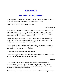# **[Chapter](#page-5-0) 24**

# **The Art of [Waiting](#page-5-0) On God**

Who hath woe? Who hath sorrow? Who hath contentions? Who hath babbling? Who hath wounds without cause? Who hath redness of eyes?

#### *THEY THAT TARRY LONG at the wine; …*

#### *Proverbs 23:29-30*

Wine changes those who tarry long at it. We are also affected as we stay longer and longer in His presence. The longer you tarry at the wine, the more you experience stronger effects of the wine. When you tarry long at the wine, you begin to babble uncontrollably and act strangely.

As you stay longer at the wine, your eyes turn red and you start to see things differently. Gethsemane teaches us that the longer we stay in the presence of God the more we get soaked and affected by Him.

Just as people learn to stay longer and longer at the wine bar, you must learn to stay longer in His presence. The longer you stay in His presence, the more you will experience the effect of God's presence.

#### **1. Develop the art of waiting on God all alone.**

#### *And it came to pass in those days, that HE WENT OUT INTO A MOUNTAIN to pray, and continued all night in prayer to God.*

#### *Luke 6:12*

Jesus went into the mountain to pray. After this prayer time he chose his disciples. There are times you must pray with others but there are times you must wait on the Lord alone. If you cannot spend long times praying on your own there is something wrong with you.

Remember that a minister is an ambassador of the Lord. You are a representative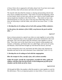of Jesus Christ who is supposed to tell others about God. If you have never spent time with Him, what will you know and what will you share?

The Apostle John described his ministry as sharing and preaching what he had seen, known, handled and touched. "That which was from the beginning, which we have heard, which we have seen with our eyes, which we have looked upon, and our hands have handled, of the Word of life; … That which we have seen and heard declare we unto you, that ye also may have fellowship with us: and truly our fellowship is with the Father, and with his Son Jesus Christ." (1 John 1:1-3).

#### **2. Develop the art of waiting wait on God with a group of fellow ministers.**

#### *Let the priests, the ministers of the LORD, weep between the porch and the altar. . ."*

#### *Joel 2:17*

Jesus is always present in a special way when we come together to wait on Him. The New Testament shows us how prophets and teachers ministered to the Lord and fasted. The Lord will speak when His ministers come together to wait on Him. "Now there were in the church that was at Antioch certain prophets and teachers; as Barnabas, and Simeon that was called Niger, and Lucius of Cyrene, and Manaen, which had been brought up with Herod the tetrarch, and Saul.

As they ministered to the Lord, and fasted, the Holy Ghost said, Separate me Barnabas and Saul for the work whereunto I have called them" (Acts 13:1-2).

#### **3. Develop the art of waiting on God with the congregation.**

*Blow the trumpet in Zion, sanctify a fast, call a solemn assembly:*

*Gather the people, sanctify the congregation, assemble the elders, gather the children, and those that suck the breasts: let the bridegroom go forth of his chamber, and the bride out of her closet.*

*Joel 2:15-16*

All through the Bible, the prophets called the people to come together to wait for His deliverance. This is an important pattern we must follow. If you want church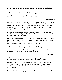growth you must develop the practice of calling the church together for fasting and long hours of prayer.

### **4. Develop the art of waiting on God by timing yourself.**

### *… saith unto Peter, What, could ye not watch with me one hour?"*

### *Matthew 26:40*

Note the time at the start of your prayer session. Decide how long you are going to pray before you start. When you do that, you will be compelled to spend a decent period of time in prayer. Jesus was not impressed when Peter could not pray for one hour. He is the same yesterday, today and forever. He is equally unimpressed that you cannot pray for one hour.

If you do not note the time, you will think that you prayed longer than you actually did. You will tell yourself, "Oh, I must have prayed for two hours" when you only prayed for ten minutes.

Unless you are experienced in prayer, you will make wrong judgments about the length of time you have prayed. Nowadays, I can tell when I have prayed for an hour. Initially, I would pray for ten minutes and think it was an hour. This is why you need a clock when you are going to wait on the Lord.

# **5. Develop the art of waiting on God in a church atmosphere.**

#### *…Now bring me a minstrel. And it came to pass, when the minstrel played, that THE HAND OF THE LORD CAME upon him.*

# *2 Kings 2:15*

A church atmosphere is created by the sound of preaching and worship music. Playing DVDs of church services also create a church atmosphere.

Pray with some kind of preaching or music in the background. *The speed of preaching/music is a hundred times faster than the speed of silence.* This means that time runs a hundred times faster when there is some kind of background preaching or music.

Have you been there when people were asked to observe a minute's silence?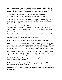Have you noticed how long the period of silence was? Did you know that they never really spend a whole minute of silence? A minute of silence is so long and so uncomfortable that people rarely spend a whole minute in silence.

This is because of the principle I just shared with you: *the speed of preaching/music is a hundred times faster than the speed of silence.*

When you pray with the sound of preaching or music in the background, time runs much faster! Before you know it, you would have spent several hours in prayer with the Lord!

The sound of the preaching of the Word of God creates the best atmosphere for spiritual things. Dear friend, we are constantly bombarded with the godless atmosphere of secular television and radio. That kind of atmosphere actually prevents prayer.

You need something that will keep you in a prayerful mood for at least one hour.

Godly music creates a beautiful worship environment.

I always play music or preaching in the background when I am praying.

Dear friend, the very atmosphere of our world is charged with demonic entities. The prince of the power of the air pollutes the very air we breathe. It is difficult to pray in such an environment. This is the reason why many Christians do not pray for long hours. They are trying to pray in a hard and difficult atmosphere.

But there is good news: You can have your own little church service wherever you are! The Spirit of the Lord can move over you in your car. Invest in whatever it takes to create the right prayer atmosphere.

The Spirit of the Lord will come upon you as you stay in the environment of anointed minstrels and preachers.

#### **6. Develop the art of waiting on God by praying in tongues whilst you read the Bible and other ministry books.**

*For if I pray in an unknown tongue, my spirit prayeth, but my understanding is unfruitful.*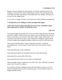Because I pray in tongues for long periods, my mind is unfruitful and free for reading. I constantly read whilst I spend hours in prayer. My spirit prays to the Lord while my mind concentrates on the Bible that I am reading. This helps me to pray for even longer hours.

As you pray in tongues for hours, your spirit man will be edified and charged up.

#### **7. Develop the art of waiting on God by praying with targets.**

#### *And it came to pass in those days, that he went out into a mountain to pray, and continued ALL NIGHT IN PRAYER to God.*

# *Luke 6:12*

Set yourself targets for praying. You can set yourself a target of prayer by giving yourself a number of hours to pray. For instance, you can decide to pray for ten hours, twenty hours, forty hours or fifty hours. With a target of fifty hours, you are likely to need about six days to pray. Sometimes, setting the target in terms of hours is better than setting the number of days you want to wait on the Lord.

I have always felt that unless I spent a long time in prayer, I would not accomplish much. All the prayers I learnt from Jesus were prayers of many hours.

Jesus spent *forty days* in the wilderness.

Jesus prayed *all night* in the mountain before He chose His disciples.

Jesus prayed for a *great while* before day.

Jesus prayed for *three hours* in the Garden of Gethsemane.

These examples must be a guide for your prayer life. They will make you spend many hours of your life in prayer.

If you believe in these examples from the life and ministry of Jesus you will never be satisfied with five and ten minute prayers. You will desire to pray for lengthy periods of time.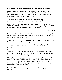#### **8. Develop the art of waiting on God by praying with absolute fasting.**

Absolute fasting is when you do not eat anything at all. Absolute fasting is an important exercise that makes you more spiritual and causes you to focus on God. For those who eat a lot and spend a lot of time eating, fasting provides a necessary break from a strong carnal distraction.

**9. Develop the art of waiting on God by praying and fasting with** *"no pleasant bread" (instead of not praying and not eating at all).*

#### *In those days I Daniel was mourning THREE FULL WEEKS. I ate NO PLEASANT BREAD, neither came flesh nor wine in my mouth, neither did I anoint myself at all, till three whole weeks were fulfilled."*

#### *Daniel 10:2-3*

Daniel fasted for twenty-one days. Daniel's fast involved eating, but eating what he described as "no pleasant bread". In other words, he stayed away from what he would really have loved to eat.

Staying away from your usual meals and your usual delights is a form of fasting. It is called "no pleasant bread" fasting.

It is better to have prayer and eat a bit than to do absolute fasting without praying.

Many people do absolute fasting without praying. Many times, absolute fasting actually prevents people from praying. At the end of their fasting time, many Christians have hardly spoken to the Lord. They use all their energy to survive the absolute fast and make it to 6.00pm when they can eat.

Why do I say it is better to pray and eat than to fast absolutely and not pray? Because all the promises Jesus gave to us had to do with prayer and not fasting. *Jesus Christ promised to answer prayers*. Jesus never promised to answer fasting. Understand what I am saying! Fasting is important for every Christian. Don't use this as a reason not to fast.

Look at the Word of God. Are the promises of reward for our prayers or for our fastings?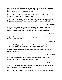Look at just seven of the promises Jesus gave to people who would pray. These promises are the words of Jesus Christ Himself. Did He promise to answer fasting or did He promise to answer prayers?

Indeed, if I have to choose between fasting and praying I would choose to pray because Jesus has promised to answer prayers!

1*. And whatsoever ye shall ask in my name, that will I do, that the Father may be glorified in the Son. If ye shall ask any thing in my name, I will do it.*

*John 14:13-14*

2. *Ye have not chosen me, but I have chosen you, and ordained you, that ye should go and bring forth fruit, and that your fruit should remain: that whatsoever ye shall ask of the Father in my name, he may give it you.*

*John 15:16*

3. *If ye abide in me, and my words abide in you, ye shall ask what ye will, and it shall be done unto you.*

*John 15:7*

4. *And in that day ye shall ask me nothing. Verily, verily, I say unto you, Whatsoever ye shall ask the Father in my name, he will give it you.*

*Hitherto have ye asked nothing in my name: ask, and ye shall receive, that your joy may be full.*

*John 16:23-24*

5. *Therefore I say unto you, What things soever ye desire, when ye pray, believe that ye receive them, and ye shall have them.*

*Mark 11:24,*

6. *And I say unto you, Ask, and it shall be given you; seek, and ye shall find; knock, and it shall be opened unto you.*

*For every one that asketh receiveth; and he that seeketh findeth; and to him*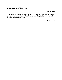*that knocketh it shall be opened.*

*Luke 11:9-10*

7. *But thou, when thou prayest, enter into thy closet, and when thou hast shut thy door, pray to thy Father which is in secret; and thy Father which seeth in secret shall reward thee openly.*

*Matthew 6:6*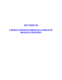# **[SECTION](#page-5-0) 10**

# **CHURCH GROWTH THROUGH A GROUP OF BRANCH [CHURCHES](#page-5-0)**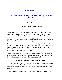# **[Chapter](#page-5-0) 25**

# **Church Growth Through a United Group Of Branch [Churches](#page-5-0)**

# **U.G.B.C.**

### **A United Group of Branch Churches**

### **UGBC**

Traditionally, church growth is achieved through the swelling up of a single church until it seats thousands and thousands of people. However, there is another way to achieve church growth in our modern and complex world.

Through a network of several churches in different locations, you can achieve the same numbers as you would with a single huge church.

You can achieve church growth by setting up a united group of branch churches (UGBC) that are related and considered as one big family. This united group of churches would be the same church but in different locations. This group of branch churches will function as one unit with one team of leaders and pastors managing the church in different locations.

This group of churches will also function as one financial unit with incomes from the different locations. The financial capabilities of this united group of branch churches will be far greater than any single church.

#### **Independent Mission Branch Churches (IMBC)**

This united group of churches is in sharp contrast to independent missions that are sent out from the church. Independent branch churches are not the same as "one church in different locations". They are "different" churches in different locations.

These independent mission branch churches have independent leaders and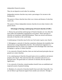independent financial systems.

They do not depend on each other for anything.

Independent mission churches may remit a percentage of its income to the headquarters.

The pastors of these churches have their own visions and dreams of what they want to do.

The pastors of these independent mission churches do not relate closely to the parent church.

### **Advantages of having a united group of branch churches (UGBC)**

1. History has proved that united groups of branch churches are very often the most stable and established congregations everywhere. These networks of churches are sometimes called denominations. There are several well-known networks of churches in the world today.

A united group of churches may be the way God wants to grow your church.

2. Belonging to a network of churches sometimes eliminates the instability that characterizes young independent churches. The institutional stagnation in a denomination may be a lesser evil compared to the advantages that come from belonging to a group of related churches.

3. In a network of branch churches, there are tried and tested principles that are passed on to sister churches.

4. In a united group of churches the good name serves as publicity and attracts people to the church. This name becomes like a franchise and serves as a powerful asset. The good name of a network of churches also has spiritual significance.

5. In a network of churches, trained members benefit from an established and respected system of pastoral training.

6. Members of a network of churches benefit from each other financially. You are not likely to get financial support from outside your network. Through a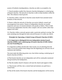system of brotherly interdependence, churches are able to accomplish a lot.

7. Church members readily flow between churches belonging to a united group of branch churches. The network of churches is able to keep members within the fold. This enhances church growth.

8. Churches within a network of churches easily benefit from anointed senior ministers of that network.

9. Pastors within the network of churches can receive fatherly counsel and encouragement from seniors. Pastors of independent churches are usually suspicious and wary of external ministers who parade as fathers. There is little trust because independent churches often compete with one another rather than support each other.

10. Churches within a network operate under a particular spiritual covering. The same anointing runs through the entire network because it is really one church.

# **Principles for Operating a United Group of Branch Churches (UGBC)**

#### **1. It is important to distinguish between independent mission branch churches (IMBC) and a united group of branch churches (UGBC) before you start branching out.**

It is important to define and describe what exactly you are planning from the outset. If you fail to define these things from the beginning you will have lots of confusion and rebellion.

You must make the following points very clear before starting a united group of branch churches (UGBC):

a) That branch churches are not independent and will be continually monitored and governed by the headquarters.

b) That the mother church's finances will start the church and support it fully.

c). That income will flow into a central fund and ministers are paid from a central fund.

d) That all the needs of the branch churches and the headquarters will be met by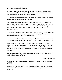the united group branch churches.

#### **2. Let the pastors and the congregations understand that it is the same church but in different locations. This means that congregation members are free to move from one location to another.**

### **3. Set up an administration which monitors the attendance and finances of every member of the group of churches.**

Administer the finances of all the churches centrally; paying expenses and managing the bills centrally so that those who have more do not waste anything and those who have less do not suffer. "As it is written, He that had gathered much had nothing over; and he that had gathered little had no lack. (2 Corinthians 8:15).

This does not mean that all the money has to physically move to one place. The money does not have to move to one geographical location, but decisions concerning the money must be taken centrally.

A good church administration will manage the churches that have been created. To be a good administrator, you must have a good knowledge of secular issues.

Church administration requires a combination of the power of God and the wisdom of God. Without good church administration everything that you build will eventually collapse. You need to master church administration otherwise your ministry will be likened to a rocket that shoots off and falls apart shortly after takeoff.

#### *But unto them which are called, both Jews and Greeks, Christ the power of God, and the wisdom of God.*

*1 Corinthians 1:24*

#### **4. Maintain your leadership over the United Group of Branch Churches (UGBC)**.

Churches and branches will be established by teaching and training the pastors constantly and requiring them to come for certain meetings and to meet certain standards.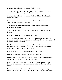### **5. Let the church function as one large body (UGBC).**

The church in different locations will share its finances. This means that the money one church has belongs to all the other churches.

#### **6. Let the church function as one large body in different locations with shared leadership.**

Shared leadership means that pastors can be transferred from one location to another without destabilizing anything.

#### **7. Do not allow the branch pastors or branch churches to develop individualized visions.**

Their vision should be the vision of the UGBC group of churches in different locations.

### **8. Study loyalty and teach extensively on loyalty.**

Fight independent-minded pastors who want to separate themselves and do something on their own. Such independent-minded people destroy the concept of the united group of branches (UGBC).

Loyalty is essential for maintaining a network of churches. The churches you will plant will not be in the same location. It is therefore necessary to teach people to be loyal wherever they are situated.

I once heard of someone criticizing me for teaching on loyalty.

He said, "Why should you teach on loyalty and disloyalty?"

He went on to say that it was not necessary to teach on loyalty because people will be inspired to loyalty by your good leadership.

I was not surprised that this dear critic of mine had never planted a single branch. It is amazing how people criticize something they have never done before.

On another occasion, a dear pastor criticized me for teaching on loyalty. However when his church split, he became an avid reader of my books and even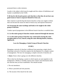promoted them to other ministers.

Loyalty is the subject which must be taught until the culture of faithfulness and loyalty is established in the UGBC.

#### **9. Be loyal to the branch pastors and churches so that they do not have any good reason or basis to separate themselves from you.**

Show interest in and develop the branch churches so that your neglect of them does not become the reason for them to break away and separate themselves.

#### **10. Encourage the same teachings and books to be taught in the whole group of churches.**

Conduct special programmes in the different branch churches to establish them.

#### **11. Let the entire group of churches remain connected through the internet.**

**12. Let the entire group of churches stay connected by having the same paraphernalia in every church; using the same offering baskets, banners, signboards.**

# **Laws for Managing a United Group of Branch Churches**

# **(UGBC)**

Managing a network of churches is different from pastoring a single church. Pastoring a network of churches requires the development of a complex system of management. The laws for managing a complex network of churches are:

1. **Know:** Know what is going on in the different churches.

This is done by developing a system in which reports are sent regularly to the headquarters. Weekly or monthly reports must contain vital information about the churches that you have established. This should include:

i. The real attendance.

ii. What is preached and who preaches.

iii. The income of the church for the week.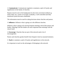2. **Communicate:** Communicate regularly to maintain a spirit of loyalty and togetherness in the family of churches.

Reports must be sent to the headquarters by the most convenient method e.g. email, letter, fax, courier or by hand. Gradually, a well-controlled and fullymonitored system becomes established.

The information must be used for taking decisions about churches and pastors.

3. **Influence:** Influence what is going on in the different churches.

Influence what is going on by having frequent meetings with all the pastors and leaders. Meetings with the leaders are more important than meetings with the church itself.

4. **Encourage:** Churches that are part of the network need a lot of encouragement.

Pastors and churches greatly benefit from frequent visits by seasoned ministers.

5. **Teach:** to maintain a spirit of loyalty and togetherness in the network.

It is important to teach on the advantages of belonging to the network.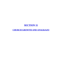# **[SECTION](#page-5-0) 11**

# **CHURCH GROWTH AND [ANAGKAZO](#page-5-0)**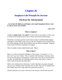# **[Chapter](#page-5-0) 26**

# **[Anagkazo](#page-5-0) is the Principle for Increase**

# **The Keys for Advancement**

*...Go out into the highways and hedges, and compel [anagkazo] them to come in, that my house may be filled.*

*Luke 14:23*

#### **What Is** *Anagkazo?*

Anagkazo *simply means "to compel".* It also means to *necessitate, to drive, and to constrain* by all means such as force, threats, persuasion and entreaties.

Sometimes we need to go back to the Greek in order to understand the original meanings of some Bible words. You see, the New Testament was translated from the Greek language and the Old Testament from the Hebrew language. *Anagkazo* is the Greek word that is translated "to compel".

There is another closely related Greek word, *"Biazo".*

#### **What Is** *Biazo?*

*Biazo* is a Greek word found in Matthew 11 that means *"to use force" or "to force one's way into a thing".* This is a quality I find lacking in Christian circles. We are forceful about everything else, except God's work. We are forceful about our jobs, our girlfriends, our marriages and our future. But when it comes to God's work we become like timid mice!

When I see commercials on television, I realize that there are groups of people who are very confident about what they have to offer. They are so confident that they boldly sing catchy songs about how good their product is.

Alcohol advertisers are some of the best in the business. We all know that beer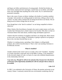and liquor are killers and destroyers of young people. Alcohol has broken up more homes, destroyed more marriages, caused more car accidents, and started more wars and fights than anything else in the world. Yet, it is advertised and promoted constantly.

Beer is the cause of many accidents, leading to the deaths of countless numbers of people. And yet there are smiling people on television, telling us that it is the "power" we need. These commercials are being forced down our throats. We are being forced to believe things that are not true.

Even though beer is the "devil in solution" we are being compelled to believe otherwise.

When I think of the forcefulness of people who want to make money at all costs, I realize that Christians have a better reason to be forceful. Why then is it that we Christians behave like lame ducks, toothless dogs and helpless sparrows?

I believe that the revelation of *anagkazo and biazo* can change that. *Biazo* means to force one's way into a thing. If Christianity is going to spread we are going to have to be a lot more forceful than we are.

Whether it is making money, spreading a false religion or selling deadly products, the world is forceful about it. That is why I am teaching Christians to be biblically forceful.

#### **What Is** *Anaideia?*

Another related Greek word I want us to study is the word "Anaideia". *Anaideia* is a Greek word that is used only once in the Bible. It means *"to be shameless".* In the eleventh chapter of Luke, we learn of a man who exhibited shamelessness in his relationship with God.

#### *I say unto you, Though he will not rise and give him, because he is his friend, yet because of his importunity [anaideia] he will rise and give him as many as he needeth.*

#### *Luke 11:8*

In 1982, I was admitted to the University of Ghana, the premier university in my country, Ghana. I cautiously entered this new environment wondering what lay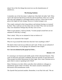ahead. One of the first things that struck me was the shamelessness of unbelievers.

# **The Kissing Students**

I remember one of the first times I walked into Volta Hall, the ladies' hall. When I got to the staircase that led up to the first and second floors, there was a young man and a girl engaged in a prolonged embrace and kiss. I know that in some places this might not look strange. However it looked strange to me.

This couple continued in their long embrace and intimate kissing as we passed by them. They could not care less about who saw them! They were not moved! They were shameless! Perhaps they felt they were in love.

When we got upstairs, I told my friends, "It seems people around here are not ashamed of what they're doing."

Then I asked, "Why are we ashamed of what we believe in?

Why are we ashamed of the Gospel?

Why do we go around like timid mice that don't have anything to offer?"

The Spirit of the Lord rose up within me and I said, "If they are not ashamed of their immoral lives, I'm not going to be ashamed of the Gospel."

# *For I am not ashamed of the gospel of Christ…*

# *Romans 1:16*

It is amazing to see homosexuals boldly speak of their abnormal lifestyles. They come on television and speak confidently about the anomaly of anal intercourse. These people forcefully demonstrate for their rights. How come Christians are so quiet when it comes to speaking God's Word?

Many Christians sit in their offices and allow their unbeliever colleagues to shamelessly speak of their evil deeds. The sinners around us dominate the discussions with unwholesome words.

The Apostle Paul practised anaideia. Remember, it was Paul who said, "We are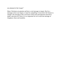not ashamed of the Gospel."

Many Christians are genuine and have a real message to impart. But for a message to have any impact, it must be compelling. It must drive the listener to change! The message of the Lord Jesus Christ must persuade the unsaved to make a decision for Christ. It is so important for us to catch the message of *Anagkazo, biazo and anaideia.*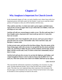# **[Chapter](#page-5-0) 27**

# **Why Anagkazo is [Important](#page-5-0) For Church Growth**

In the fourteenth chapter of Luke, we read a familiar story where Jesus told of an important person who held a party for his friends. I want you to read this whole portion of Scripture so that you will be familiar with the story.

*Then said he unto him, A certain man made a great supper, and bade many: And sent his servant at supper time to say to them that were bidden, Come; for all things are now ready.*

*And they all with one consent began to make excuse. The first said unto him, I have bought a piece of ground, and I must needs go and see it: I pray thee have me excused.*

*And another said, I have bought five yoke of oxen, and I go to prove them: I pray thee have me excused. And another said, I have married a wife, and therefore I cannot come.*

*So that servant came, and shewed his lord these things. Then the master of the house being angry said to his servant, Go out quickly into the streets and lanes of the city, and bring in hither the poor, and the maimed, and the halt, and the blind. And the servant said, Lord, it is done as thou hast commanded, and yet there is room.*

*And the lord said unto the servant, Go out into the highways and hedges, and compel [anagkazo] them to come in, that my house may be filled. For I say unto you, That none of those men which were bidden shall taste of my supper.*

#### *Luke 14:16-24*

This man had the unfortunate experience of spending a lot of money on a big party, inviting important people, only to find out that most of them wouldn't come. This man was very surprised about their rejection of his invitation. He became angry as he listened to the excuses of those he had invited. In his anger, he decided to invite anybody he found on the street.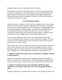Imagine having a party with people you don't even know!

Unfortunately, at that time of the night, there were not so many people around. Even after inviting those on the street, his party was relatively unattended. He then decided to invite the sick, the blind and the handicapped. Imagine that! What an unusual selection of partygoers! His party was full of the nonentities and the down-and-outs of society.

# **Growth through** *Anagkazo*

I believe this story is symbolic of the Lord Jesus sending us out to invite people to Him. It is also symbolic of pastors sending out their members to evangelize the world. I have discovered that every time I embark on evangelizing the world (inviting many people to a great supper), I encounter the same things that this man encountered. However, I believe this man was a success. In spite of everything, he had his party and his house was full of guests. It might not have turned out the way he initially wanted, but he had his party anyway.

You see, God is sending out His church to invite the whole world to know Christ. Unfortunately, many of those who are invited do not respond. The Jews were the first to be invited to know the Lord. But they rejected Christ and the Gospel moved on to the Gentiles.

Many of the elite, who live in large urban centres, hear the Gospel on television and in church. However, they do not receive the message but rather criticize preachers. Again, the Gospel is passed on to the poor and non-elite in villages. They willingly receive the Word because they have no other hope but God.

# **1.** *Anagkazo* **is important because only a certain type of evangelism will lead to church growth.**

People are not going to be convinced or compelled to know God through our little church games. Our "Mickey Mouse" church programmes and bazaars will not go very far in today's world. We must go out there and drive them to God.

# **2.** *Anagkazo* **is important because the people that will fill our empty churches are not in places where they can receive bourgeoisie invitation cards.**

If people are going to be touched with the Gospel, a new strategy of going to the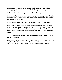gutters, highways and the bushes must be employed. Sitting in church and inviting people has long been an unworkable strategy for church growth.

# **3. Dear pastor, without** *anagkazo***, your church is going to be empty.**

Please remember that if this man had not employed the strategy of *anagkazo* he would have had an empty house. Remember this, "A pastor without *anagkazo* will have an empty church."

# **4. Without** *anagkazo***, many churches are going to die a natural death.**

What you must realize is that the membership of a church is very fluid. Many people come and many people leave. If you don't have more people coming in than those you are losing, your church will begin to die. If you don't want your church to close down, you must do what Jesus instructed – go out and practise anagkazo.

# **5. Life is becoming more hectic and people are becoming more busy in the twenty-first century.**

Busy working people are going to have more and more excuses. The strategy of *anagkazo* will help you to overcome these excuses. Through your new driving and forceful attitude you will bring many people to Christ and to church.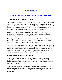# **[Chapter](#page-5-0) 28**

# **How to Use** *[Anagkazo](#page-5-0)* **to Induce Church Growth**

### **1. Use** *anagkazo* **to prepare a great supper.**

Anyone who wants church growth must prepare for it. Most Christian outreaches are not successful unless there is a lot of preparation. Ask yourself how much preparation has gone into anything you do. If there is a lot of preparation there is usually a lot of success. Crusades, church growth, outreaches depend on your preparation. This anagkazo man prepared for his great programme.

Being in the ministry has not happened without thousands of hours of preparation. Sermons I preached to ten people some years ago are the same sermons I am preaching to thousands today.

Preaching to a small group of ten people was part of God's preparation for me. If you want God to use you mightily, you must start preparing now! Take every opportunity you have to do something useful in the church.

Years ago, I remember playing the drums and the piano in my church. Though I didn't know it at the time, that was part of my preparation for ministry. Today, I know a lot about music and musical equipment. I can discuss intelligently, all details that concern music, worship and expensive equipment. My experience with the music department has been a valuable asset to me.

### **2. Use** *anagkazo* **to influence many people.**

You will notice that this man in Luke 14 held a great supper and invited many people. One of the primary reasons churches do not grow is because Christians keep to themselves. You cannot keep to yourself if you want to be an effective witness for the Lord Jesus Christ.

When you sit on a bus, you can decide to be friendly to those nearby. Begin talking to the people around you. I always try to share the Gospel with people around me. I always have some Good News about Jesus. He has saved me and set me free.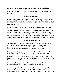During my second year in medical school, we lived on the beautiful Legon campus. We were transported daily to the other side of town where a teaching hospital was located. This involved a one-hour bus drive from one end of town to the other.

# **Balloons and Condoms**

I remember one day as I sat in the bus, I watched some senior colleagues take out condoms, blow them into balloons and fly them in the bus. As these students shouted and laughed over their lewd jokes, I realized how confident they were in what they were doing.

We the Christians sat timidly in the bus, trying to concentrate on our books.

That day, I decided not to keep to myself. I got the attention of everyone on the bus and began to preach. Although preaching on the bus later became quite common, at that time it was unusual. Some of the students were angry and others were bored. Some looked out of the window in disapproval but I preached on! I decided not to keep to myself anymore. I decided to be like the man in Luke 14.

# **Clapping on the London Bus**

An *anagkazo* person does not keep to himself. I once lived in London for a period of time. I felt stifled by the stiff atmosphere in England. I was used to preaching anywhere and everywhere. But in England I couldn't easily relate to the people around. Everyone seemed so unfriendly and uninterested.

One day, while sitting upstairs in a double-decker bus, the spirit of *anagkazo* rose up in me and I said to myself, "I can't keep it to myself any longer."

I rose to my feet and to the surprise of everyone on the bus, I began to clap my hands to get their attention. I tell you, I may have looked bold on the outside, but I was quite scared on the inside.

There were all sorts of murderous looking characters on the bus. But I maintained my cool and delivered a complete Gospel sermon.

The bus was quiet for a few minutes as they listened to this young madman preach. I took my seat after preaching and got off at the next stop. One gentleman, who got off the bus with me said to me, "I admire your courage! But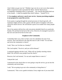I don't think you got very far." Whether I got very far or not is not what matters. What is important is that I preached the Word. And the Word always accomplishes something when it is preached. …my word be that goeth forth out of my mouth… it shall accomplish that which I please..." (Isaiah 55:11)

# **3. Use** *anagkazo* **and never cancel your service. Anyone practising** *anagkazo* **is not prepared to cancel his service.**

Every pastor, in going through the normal processes of church growth, will experience highs and lows. But a pastor with the spirit of *anagkazo* will never cancel his church service. He will decide to press on no matter how many people attend.

One of my pastors told me how only one person attended church on a particular Sunday. He said that he had never felt so low. However, he managed to preach to that one soul and do his best for the Lord.

# *Anagkazo* **in the Community**

I remember there was a time we had a very low attendance for one of our services. The Lord told me to do what this man in Luke 14 did: "Go out there and invite the community to church."

I said, "How can I do that on a Sunday?"

The Lord replied, "You do it, and you will be blessed."

I continued arguing with the Lord, "What will our Sunday morning visitors think? We will drive away people from the church."

However, the Lord insisted, "Go out and compel them to come in."

I obeyed the Lord.

I announced to the church that we were going to stop the service, go out into the community and invite them.

I said, "We are going to go out to the community to bring them in."

I announced, "This is not a gentle invitation. Every single one of you must hold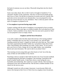the hand of someone you see out there. Physically bring them into the church building."

Some were taken aback. But we did it! And we brought in hundreds of "unchurched" dwellers of the community. That day we had several people giving their lives to Christ. We did this on numerous occasions and over a period, that particular service increased in size dramatically. I was not prepared to close down my service because of a low attendance. That is what any pastor with the spirit of *anagkazo* is prepared to do.

# **4. Use** *anagkazo* **to prevent having empty halls**

A pastor working with the spirit of *anagkazo* is not prepared to have an empty church service. Many years ago, as a medical student, the Lord asked me to start a church. I had no members in my church. Not even one soul to preach to! But I was not prepared to have an empty church.

# *Anagkazo* **and the Dawn Broadcast**

I was still a student when the Holy Spirit directed me to the nursing students' hostel. I remember that very first day. It was around 5 a.m. and still dark. Standing outside the hostel, I clapped my hands and woke them up. They might have been surprised but that didn't bother me. I preached to them about Jesus. After I had finished I did something very bold. I said to them, "If you want to give your lives to Christ, change out of your night clothes, wear something decent and come downstairs. We want to talk to you about Christ."

That morning several young ladies gave their hearts to God. Up to this day, many of them are still members of my church.

Preaching at dawn to people in their beds has been one of my favourite methods of implementing this principle of *anagkazo*. One morning, I preached at the hostel of public health nurses. A lady threw down a note saying she was a backslider and needed help. She wanted us to speak with her. That morning we ministered to her and God delivered her. She has been a faithful member of our church for the last ten years.

Although I started out with an empty classroom, it soon became filled with nurses who had given their lives to Christ from my *anagkazo* dawn broadcasts.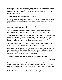Dear reader, I want you to understand something; I did not inherit a church from anyone. I have often gone to places where I knew no one, and no one knew me. I have had to go out and win souls, driving and persuading people to the Lord, until the room was full.

# **5. Use** *anagkazo* **to overcome people's excuses.**

Many people are full of excuses. The man in the story listened to three amazing excuses for not attending his party. However, he was not impressed by any of them.

The first excuse was about testing oxen in the night. Everyone knows that no one tests oxen at that time of the night.

The second excuse was about somebody who had just gotten married. But we all know that a dinner would have been a nice outing for a newly-wed couple.

The third excuse was about going to see some land in the night. Let me ask you a question. Would you not assess a piece of land before you buy it? How could you inspect a piece of land in the night? Would you even see it clearly? Yet somebody was using this as an excuse for not attending the party.

Any good minister, who wants to reach people, must not be overwhelmed by people's excuses. He must learn to overcome people's excuses.

Even as you minister the Word of God, people form excuses in their minds. They develop reasons why they will not obey the Word. Every good preacher must learn to preach against people's excuses and ideas. Jesus spoke directly against the people's reasoning and excuses. And they knew it!

# *…for they perceived that he had spoken this parable against them.*

### *Luke 20:19*

Many excuses cannot be substantiated. A good minister must learn to see through the emptiness of excuses. I spoke to one friend, inviting him to church. He in turn spoke about how the time was not convenient and how he had quite a distance to travel.

I said to him, "You are a successful businessman. Everything you want to do,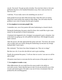you do. You travel. You get up early everyday. You even have time to visit your girlfriend who lives a few hundred kilometres away. How come you have no time for God?"

I told him, "If you really want to do something you can do it."

Some people do not pay their tithes because they claim they have no money. Watch how much money they spend on other things. You will realize that the problem is not a lack of money, but the spirit of greed.

# **6. Use** *anagkazo* **to overcome people's lies**

I remember once, one of my pastors did some fundraising in a branch church.

During the fundraising, the pastor asked for those who would like to give some money for the purchase of church instruments.

A husband who happened to be a foreigner was prepared to give a donation. Just as his hand was going up, his wife pulled his hand down. She thought the pastor hadn't noticed.

After the service, the lady approached the pastor and said, "You know, the reason why we didn't give any money during the fundraising was because my foreign husband didn't want to give.

She continued, "You know how these foreigners are. They are so stingy."

But that was a lie. It was she who did not want to give anything.

Finally she promised the pastor, "I will see what we can do. I am sure we will be able to help."

All pastors must learn to overcome the lies and excuses of the people we lead.

### **7. Use** *anagkazo* **to make a way.**

*What differentiates the successful from the unsuccessful is the ability to overcome excuses.* Notice that the man in Luke 14 was not moved by any of the excuses and reasons given. He made a way out of every circumstance that was produced by the unwilling guests.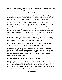I believe in one thing: If you really want to do something you make a way, if you do not want to do something you make an excuse.

# **They Came to Party**

I recall when many young people were unwilling to come to church. The young men especially, made all sorts of excuses. The spirit of *anagkazo* rose up in me and I said, "If they will not come to church, let us have parties for them."

We organized a party for the young people in one area of the city. We made invitation cards and distributed them to the youth in the community. They were very happy and said to themselves, "This is another opportunity to jam."

I remember that evening in particular, we played upbeat Christian music and danced with the unbelievers. One of them told me later that he wondered why they were not being served with beer. At a point in the party, we switched to slower music and stated we had an announcement to make.

By that time, many of the hardened unbelievers were sitting around. To their surprise, I got up and preached the Gospel to them. They were surprised but they still gave their lives to Christ. Many were born again that night.

I have pastors in the church who were saved during some of these surprise evangelistic parties. The Bible says by all means, "save some".

*Anagkazo* means to compel and to drive people to God. An anagkazo person is not moved by unfavourable circumstances. We were not moved by the fact that these young men did not want to attend church. We made a way around that! Learn to make a way where there's no way. Find a way to overcome every excuse that people place before you.

# **8. Use** *anagkazo* **to go out of your usual circle of friends.**

Everyone has a circle of friends. The usual thing is to stay within your circle of friends and acquaintances. However, anyone who wants to be used by God must move out of this regular group. You will notice that the anagkazo man in this story was forced to move out of his normal circle of friends. This is a reality that we must face if we want to please God!

# **I Had My Circle**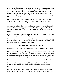I had a group of friends I grew up with in Accra. A sort of elitist company made up of the children of foreigners and other bourgeoisie. As a child I travelled first class on intercontinental flights and interacted mainly with the so-called upper echelon of society. I stayed in international cities with my father. My hobbies were swimming and horse riding and horse racing. There were just a few people who had such pastimes.

However, there were hardly any Christians in these circles. When I got born again, I found myself moving out of this circle into a very different group. I moved out into better company, different from what I knew.

The fact is, in order to please God I could not spend a lot of time in those circles anymore. There were simply no believers in that group. If you want to please God you will have to move out of your circle and get to know other groups of people.

I know that the rich man in this story would not normally fellowship with people who live in hedges or who stand on highways.

I know that the rich man in this story would not normally interact with cripples, the blind and the disabled. However, in order to achieve church growth he had to interact with people of other social backgrounds.

# **The Nice Little Fellowship Must Grow**

I remember in 1984 when I was the leader of a nice fellowship at the university.

We loved each other dearly and were good company for one another (actually, I found my wife in that group). Many of the people that I knew in that little group are still my bosom friends up to this day. However, the Spirit of God impressed upon me to move out of our little group and to go to people we didn't know.

I remember some people were not in favour of expanding our nice little clique.

"If you bring in more people, we will lose something," they said. "There's something about a small fellowship. It's nice to be petite. It's a cute little family."

But I led this group into one outreach after another, driving and necessitating people to come to the Lord. I was never tired of preaching. People are not tired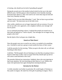of sinning, why should you be tired of spreading the gospel?

During the second year of the medical school (which by the way is the most difficult year), I led this group in dawn broadcasts every Saturday morning. Everyone knew about us. They were used to our voices that rang out loud and clear every Saturday morning.

"Thank God for our nice little fellowship," I said. "But we have to go out there and win souls." We must move out of our little circle.

After awhile, unbelievers are no longer impressed with our sermons. If you do not rise up with a new approach, a new *anagkazo* method, your message will lose its punch.

As we continued preaching at dawn, I realized that people just turned over in their beds and ignored us. I said to myself, "Our messages are no longer driving people to the Lord."

But the Spirit of the Lord gave me a bright idea.

### **Knock on Their Doors!**

Since the people were now so used to our voices, we needed to do something new. I decided to send out a group to stand outside the doors of their rooms.

I told the preacher for the morning, "When you get to the altar call, we will start knocking on their doors."

I told him, "Tell the people who are listening to you that they are going to hear a knock on their door. If they want to accept Christ they should open up and we will come in and lead them to the Lord."

The preacher followed my instructions. Suddenly, those who were ignoring us had to pay attention. We were knocking on their doors at 5 a.m.! Believe me, many were gloriously born again during those morning broadcasts.

### **Salvation for the Mocker**

I vividly remember one brother in particular; He would laugh at Christians as they spoke in tongues. He made fun of the gift of speaking in tongues. This is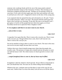someone who would get drunk and lie by one of the many ponds scattered around the beautiful campus of the University of Ghana. That morning as my friend the evangelist preached and said, "Perhaps you are hearing a knock on your door. If you want to be born again open your door and someone will come in and lead you to the Lord", I happened to knock on the door of this young man.

I was surprised when he opened the door and welcomed us in. He said, "I knew you would come here. Today is my day!" We prayed with him and he gave his heart to the Lord that very morning. To this day, this man is serving the Lord. I give glory to God for all the people that have been born again as we have forcefully moved out to speak the Word. *Anagkazo* works!

# **9. Use** *anagkazo* **until there is no more room in your church.**

# *…and yet there is room.*

# *Luke 14:22*

A song that I love goes like this: *There's room at the cross for you. There's room at the cross for you. Though millions have come, there's still room for one. There's room at the cross for you.*

Do not be satisfied as long as there is room in your church. The man in this story sent out his servants simply because there was room.

I believe that every church should arrange more chairs than the people who actually come. The presence of empty pews should motivate the pastor to reach out until the house is full. The whole essence of church growth is to have a full church.

# *…compel [anagkazo] them to come in, that my house may be filled.*

# *Luke 14:23*

Evangelism is directly related to church growth. All our efforts to lead people to the Lord should bear fruit. We must see our efforts filling church buildings.

Whatever the case, a minister must see that there is room at the cross for one more soul. I believe that if we have this mind, God will use us to fill the church.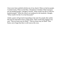I have never been satisfied with the size of my church. When we had ten people, I wanted twenty. When we had fifty, I dreamed of a hundred. When God gave me one hundred people, I thought to myself, "What would it be like if I had five hundred people?" When the church was numbered in the hundreds, I thought, "What would it be like if we had thousands?"

I think a pastor will get tired of preaching to the same few people after awhile. We must be motivated to have a fuller house. These words keep ringing in my soul, "That my house may be filled!" "That my house may be filled!" Dear Pastor, never forget that there is still room at the cross.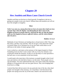# **[Chapter](#page-5-0) 29**

# **How [Anaideia](#page-5-0) and Biazo Cause Church Growth**

*Anaideia and biazo* are the keys to church growth. Evangelism is the key to getting new people to join your church. Without *biazo and anaideia* you will not have the strength to evangelise.

#### *Biazo*

*Verily I say unto you, among them that are born of women there hath not risen a greater than John the Baptist: notwithstanding he that is least in the kingdom of heaven is greater than he. And from the days of John the Baptist until now the kingdom of heaven suffereth violence, and the violent [biazo] take it by force.*

#### *Matthew 11:11,12*

Multitudes of non-Christians are hurtling down a broad street to Hell. They sing, they dance, and they wine and dine. They do not give a hoot about the Gospel we preach! Many of us Christians live in our nice little world where we are oblivious to the reality of sinners going to Hell.

I once worked as a sub-intern at the mortuary of the largest hospital in Ghana. Something struck me that I want to share with you. Every few minutes a car would park outside the mortuary. In that car was the body of a man sprawled in the back seat, or even sometimes in the boot (trunk).

I would stand at the main door of the mortuary as people brought in their loved ones and relatives who had died at home or on the street. These people were so sad and shaken. You must understand that only a few hours earlier they had been talking to a living person who was now gone forever. They were bringing their loved one to a fridge.

I noticed that there did not seem to be any particular time of the day when dead people were brought to this mortuary. As I stood there, God showed me that people were dying across the city all the time. Death is not reserved for early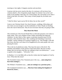mornings or late nights. It happens anytime and anywhere.

A person who has never stood at the door of a mortuary will not know how common death is. How frequently people depart for eternity! Just as the Lord spoke to his prophets when they saw certain things, the Lord spoke to me when I stood at that door. He asked, "How many of these people do you think were saved?"

"I died for them; I gave up my life for them, but are they saved?"

Listen to me Christian friend. Our church bazaars, weddings, fellowships and nice choirs are not enough to win the multitudes to Christ. People are hurtling down the road of destruction. They do not even know that they are going to Hell.

# **They Heard the Music**

This reminds me of the Second World War in which the prisoners were taken to large camps. They were stripped of their clothes and herded into huge gas chambers. As they filed in, their captors would play beautiful music for the prisoners. They heard the music. How soothing and refreshing it must have sounded. "Surely nothing evil is going to happen to us," they thought. Little did they know that they were about to be slaughtered by the same people who were playing the music.

This is the lot of unbelievers today. They hear the music of the devil. The melodies and lullabies of this present world charm them. Because of these things, they do not know that they are walking to their own destruction. "…as an ox goeth to the slaughter…" (Proverbs 7:22).

In Matthew 11:12, the Bible tells us that the violent take the kingdom of God by force. What does this mean?

The Twentieth Century New Testament puts it this way, **…men using force have been seizing it…**

The William's Translation says, **…men are seizing it as a precious prize…**

The Goodspeed translation says, **…Men have been taking the kingdom of heaven by storm…**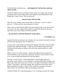The Weymouth translation says, **…the kingdom of God has been enduring violent assault…**

All these Scriptures tell us one thing. Gentle words, nice songs, lame sermons and docile choirs cannot help much in this indifferent and uninterested world. People don't want to know. They are deceived.

# **Church Games Will Not Help**

They don't care whether Jesus comes today or tomorrow. "Leave me alone," they say. "To Hell with this church business of yours."

That is why we need what the Bible calls *biazo. Biazo* means to use force and to force one's way into a thing. Many people are blinded by the devil. We must open their eyes to the realities of Heaven and Hell.

# *…the god of this world hath blinded the minds of them…*

# *2 Corinthians 4:4*

Apostle Paul did not only give nice sermons. He was actively involved in turning the heads and opening the eyes of unbelievers.

I always know when people are ignoring the message. But I don't want anybody to ignore this important message – I must turn their heads and open their eyes. One particular morning, my group in the university found ourselves in a hall, preaching.

When we have city-wide crusades, I stand on the platform and command my church members to go out into the community. We don't wait for them to come to us; we go out there and bring them from their homes.

One day, we even went to a "Red Light District" and brought a group of prostitutes to the crusade. I was very happy to see these prostitutes coming to the altar to give their lives to the Lord. You see, if we hadn't forced these women out of their "work places" and to the crusade, they would never have been saved. Most prostitutes do not go to church. They would have just gone about their daily routine. We would have ended up preaching to ourselves.

Christian friends, let's stop playing games. If we are going to preach the Gospel,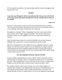let's not preach to ourselves. Let's go out there and drive them in *(anagkazo and biazo)* to the Lord.

# *Anaideia*

*I say unto you, Though he will not rise and give him, because he is his friend, yet because of his importunity [anaideia] he will rise and give him as many as he needeth.*

# *Luke 11:8*

In Luke 11, Jesus told us a story of a man who needed three loaves of bread. This man buried his shame and embarrassment and went to his friend's house at a very odd hour. The master of the house was woken up.

He might have shouted, "What is happening? Are there some armed robbers here? Is there a fire? What is going on outside?" The servant of the house probably replied, "It's the neighbour. He says he wants some bread for his visitors."

Dear Christian friend, most of us would not disturb even our best friends at midnight. How much more to ask for something trivial like bread!

But Jesus' message here is very simple. If you are ashamed to press for certain things, you will never achieve them. If you are shameless in trying to achieve church growth you will accomplish things that others will only dream about! God has shown me that people who are very concerned about their public image cannot achieve much for God.

### **Are You Ashamed to Pursue Church Growth?**

It takes *anaideia*, shamelessness, to start a church. When I discussed with my friend the idea of starting a church, I remember he looked at me in amazement. He said, "What if people don't come to the church? We will be so embarrassed. People in town will hear that we tried to start a church that didn't work."

By starting a church, I don't mean to break away with a large segment of someone else's ministry. I am talking about moving into a room that has two or three people and preaching to them. It takes shamelessness to tell these few people that they are now in a great church. If you are not prepared to go through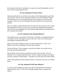the shame and ridicule of standing in an empty room and looking odd, you will never achieve great things for God.

# **Are You Ashamed of Church Work?**

One pastor told me he was afraid to do an altar call (inviting people to give their life to Christ). What if no one responds? Would you not feel ashamed? People will think that you are not anointed and that your message was not powerful enough. It is this very train-of-thought that keeps people away from powerful ministry.

One of my Elders called and told me that for the first time someone in the church had responded to her altar call. You see, she had been shamelessly doing altar calls with no one responding. But with *anaideia* (shamelessness and persistence) she eventually had results!

# **Are You Ashamed of the Healing Ministry?**

The shameless man, who asked for the bread, eventually accomplished his goal. I remember when I first began to pray for the sick. I was very worried about what people would think about me.

Many times whilst standing on stage, the devil would tell me, "Don't even bother to call out for testimonies; no one will be healed."

The devil told me, "Do not disgrace yourself any further. Just end the service here and send the people home."

But the Spirit of the Lord rose up within me and I said to myself, "I am not ashamed. If no one gets healed this time, I will do it again, and again, and again! One day, someone will get healed." I am glad to say that many have been healed.

After I had qualified from the medical school, I worked for one year as a medical doctor.

# **Are You Ashamed of Full-Time Ministry?**

At a point, the Lord began to speak to me about entering full-time ministry. I argued with the Lord, "I will work and bring enough money to support the church."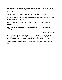I continued, "What will people think of me, leaving such a noble profession to enter such a controversial one." I told the Lord, "No one knows my church! And no one knows me!"

"Worst of all, what a shame it is for me to live off people's offerings."

"That's ridiculous! Why should people contribute their pennies for my upkeep? I find it degrading," I thought.

However, the Lord told me, "They that preach the Gospel must live off the Gospel."

# *Even so hath the Lord ordained that they which preach the gospel should live of the gospel.*

# *1 Corinthians 9:14*

I had to bury my pride as a doctor and shamelessly enter full-time ministry. Through the revelation of shamelessness *(anaideia)*, I have gone far in ministry. I have achieved things, which no one ever thought would come out of me.

*Anaideia* (shamelessness) is the key you need to accomplish great things for God!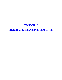# **[SECTION](#page-5-0) 12**

**CHURCH GROWTH AND HARD [LEADERSHIP](#page-5-0)**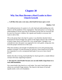# **[Chapter](#page-5-0) 30**

# **Why You Must [Become](#page-5-0) a Hard Leader to Have Church Growth**

### *… I will liken him unto a wise man, which built his house upon a rock:*

### *Matthew 7:24*

The traditional picture of a pastor is of a soft, kind and understanding man who listens to all the problems of the congregation. This kind pastor is so loving and understanding of all the issues that are presented. He has time for everyone and he cares for everyone's children. He is gentle and friendly to everyone who wants to talk to him.

This is the picture that I also had of a pastor. I was therefore shocked when I heard from Dr David Yonggi Cho, (pastor of the largest church in the world) that to build a large church you need to be a very strong leader. I thought it was contradictory since the pastor was supposed to be a soft, gentle, caring man who loved the people with the love of the Lord.

What does hardness and strength of leadership have to do with pastoring large numbers of people? As time has gone by, however, I have found out for myself how important it is to be a strong and hard leader if you are to have church growth.

Indeed, this idea of strong, hard leadership for church growth is a totally biblical concept with many supporting Scriptures.

#### **1. You must be a hard leader because you can only build a large house on a rock solid foundation.**

You cannot build a big church on a soft leader. You need a hard leader upon whom you can build a huge ministry. The church is the house of God and equally needs a rock as its foundation.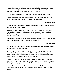You need a rock because the rain is going to fall, the floods are going to come and the winds are going to blow on the church you are building. If there is no hardness in the foundation there is no hope for the future.

## *…I will liken him unto a wise man, which built his house upon a rock:*

*And the rain descended, and the floods came, and the winds blew, and beat upon that house; and it fell not: for it was founded upon a rock.*

### *Matthew 7:24-25*

### **2. You must be a hard leader because Jesus Christ wanted Peter, the head of His church to be a hard rock.**

He changed Peter's name into "the rock" because He knew that a hard person was needed to build the worldwide church. Jesus wanted Peter to be a hard leader, not easily moved around. You must also be a hard leader who is not easily moved around.

### *And I say also unto thee, that thou art Peter, and upon this rock I will build my church; and the gates of hell shall not prevail against it.*

#### *Matthew 16:18*

### **3. You must be a hard leader because Jesus recommended John, the greatest prophet, for being a hard person.**

People who are soft and wishy-washy do not head great ministries. A wishywashy leader is someone lacking in decisiveness. He is without strength or character. Great ministries are often headed by hard leaders who are not moved by what people say but are moved by what God says.

John the Baptist could not be bothered by what people thought. He was not even bothered by what the king thought. He took no thought for his life as he rebuked the king for marrying his brother's wife. No wonder Jesus recommended him.

# *And as they departed, Jesus began to say unto the multitudes concerning John, What went ye out into the wilderness to see? A reed shaken with the wind?*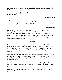*But what went ye out for to see? A man clothed in soft raiment? Behold, they that wear soft clothing are in kings' houses.*

*But what went ye out for to see? A prophet? Yea, I say unto you, and more than a prophet.*

*Matthew 11:7-9*

# *4. You must be a hard leader because everything depends on the leader.*

*…smite the shepherd, and the sheep of the flock shall be scattered abroad."*

# *Matthew 26:31*

Everything depends on the shepherd. Everything depends on the leader. When the shepherd is down everyone goes down with him. A whole church cannot lean on something that is soft, weak and indecisive. Unstable, waffling and weakkneed leaders have no place at the head of a large ministry. To be the captain of the ship means everybody's life depends on you. To be the pilot of a plane means everyone's life depends on you.

### **The Soft Pilot**

I once watched a documentary of such a weak leader who was the pilot of a flight from Colombia to New York. He was asked to delay his landing because of air traffic at the airport. Can you believe that he flew his plane around in circles until he finally ran out of fuel and crashed the plane, killing many people?

Of course, an investigation was launched into this terrible tragedy. The air crash investigation eventually ruled that this pilot had not put sufficient pressure on the air traffic control and had not impressed upon them strongly enough that he was running out of fuel.

That night this weak-kneed pilot killed many people, including himself, because he lacked the strength to impress upon air traffic control that he needed to land urgently.

He also lacked the strength to forcefully (and illegally, if necessary) land his plane when he knew that everyone was in grave danger.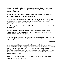This is what it is like to have a weak and soft person in charge of everything. This is why Jesus wanted Peter to be a rock. He wanted a hard person to be the head of His Church.

**5. You must be a hard leader because the head of the church, Jesus Christ, is a hard leader and He does not apologize for it.**

*Then he which had received the one talent came and said, Lord, I knew thee that thou art AN HARD MAN, reaping where thou hast not sown, and gathering where thou hast not strawed:*

*And I was afraid, and went and hid thy talent in the earth: lo, there thou hast that is thine.*

*His lord answered and said unto him, Thou wicked and slothful servant, THOU KNEWEST THAT I REAP WHERE I SOWED NOT, AND GATHER WHERE I HAVE NOT STRAWED:*

*Thou oughtest therefore to have put my money to the exchangers, and then at my coming I should have received mine own with usury."*

#### *Matthew 25:24-27*

Jesus told us parables that illustrated His hardness as a leader. He made no apologies for this reality. In this parable, the servant accused their leader of being hard. "Thou art a hard man" they said. In their opinion, this hard leader had benefits they thought he didn't deserve. But the Lord did not deny that he was a hard man. In fact, he confirmed that he was as hard as they thought: reaping where he had not sown.

Dear friend, you will need to be as hard as our Lord if you are going to get anything done for the kingdom.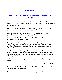# **[Chapter](#page-5-0) 31**

# **The [Hardness](#page-5-0) and the Decisions of a Mega Church Pastor**

The hardness and decisions of a mega church pastor mark out the character of his leadership. A mega church pastor will need strength to drive the congregation forward into the Promised Land.

His strength will be revealed through the hard decisions that he takes and his ability to follow through with what he has decided.

I want to share with you a few of the decisions that a strong, hard pastor would probably have to take whilst building a large church.

# **1. A pastor who is building a large church will have to take decisions to put the right people in the right places.**

If you go by what the majority think you can never be the pastor of a mega church. Joseph was chosen to be the prime minister and to have authority over the whole of Egypt. Can you imagine how the other departmental heads felt when this Israeli slave was made their boss?

*And Pharaoh said unto Joseph, Forasmuch as God hath shewed thee all this, there is none so discreet and wise as thou art: Thou shalt be over my house, and according unto thy word shall all my people be ruled: only in the throne will I be greater than thou.*

*And Pharaoh said unto Joseph, See, I have set thee over all the land of Egypt."*

*Genesis 41:39-41*

### **2. A pastor who is building a large church will have to rebuke people who are out of order in the church.**

If you cannot rebuke people who are out of order you cannot be the pastor of a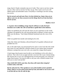mega church. People constantly step out of order. They want to see how strong you are. They want to see how far they can go. They want to see if you will address those uncomfortable issues. Everybody is watching to see how strong you can be.

# *But he turned, and said unto Peter, Get thee behind me, Satan: thou art an offence unto me: for thou savourest not the things that be of God, but those that be of men.*

*Matthew 16:23*

# **3. A pastor who is building a large church will have to take the hard decisions** *not* **to allow his wife to lead him or guide him in the ministry.**

Adam was guided by his wife into the chaos we now experience in the world. Abraham was guided by his wife into giving birth to Ishmael. In both cases the Bible uses the phrase, "And Adam/Abraham hearkened unto the voice of his wife….

Ahab was guided into murder and stealing by his wife.

Ahab, like Adam and Abraham, allowed himself to be guided, influenced and prodded into evil.

Job, on the other hand, was pressurized by his wife to curse God. But Job would have none of it and called her a *foolish woman!* If you cannot reject erroneous influence coming from your own wife, you cannot be a mega church pastor.

A hard mega church pastor must be able to see foolishness in his wife when it surfaces. Your wife is not an angel and she is not God. She is just a human being like anyone else. If you can't distinguish the evil from the good, you cannot be a mega church pastor. You must be able to call your wife a foolish woman if she tells you to curse God and die!

# *Then SAID HIS WIFE unto him, Dost thou still retain thine integrity? CURSE GOD, AND DIE.*

*But he said unto her, Thou speakest as one of the foolish women speaketh. What? shall we receive good at the hand of God, and shall we not receive evil? In all this did not Job sin with his lips.*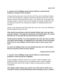## **4. A pastor who is building a large church will have to take the hard decisions to keep his wife in her place.**

A mega church pastor must ensure that his wife does not do anything to destroy the work of God. Michal's comments could have ended the praise and worship ministry of David. But David did not allow it. He would carry on his praise and worship ministry in spite of what his wife thought. He sharply rebuked her and disconnected from her! He continued his ministry of "abandoned praise and worship".

Today, we all sing those heart-felt psalms that came from a man who abandoned himself helplessly before his God.

*When David returned home to bless his family, Michal came out to meet him and said in disgust, "How glorious the king of Israel looked today! He exposed himself to the servant girls like any indecent person might do!"*

*David retorted to Michal, "I was dancing before the Lord, who chose me above your father and his family! He appointed me as the leader of Israel, the people of the Lord. So I am willing to act like a fool in order to show my joy in the Lord.*

*Yes, and I am willing to look even more foolish than this, but I will be held in honor by the girls of whom you have spoken!*

*2 Samuel 6:20-22 (NLT)*

# **5. A pastor who is building a large church will have to take the hard decisions to reach out and do evangelism.**

It takes strength to lead the church out as an army. It takes strength to lead pampered Sunday Christians into the evangelistic mode. It takes strength to preach about the need for the Gospel to money-loving prosperity-seeking congregants.

*Then tidings of these things came unto the ears of the church which was in Jerusalem: and they sent forth Barnabas, that he should go as far as Antioch.*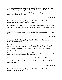*Who, when he came, and had seen the grace of God, was glad, and exhorted them all, that with purpose of heart they would cleave unto the Lord.*

*For he was a good man, and full of the Holy Ghost and of faith: and much people was added unto the Lord.*

*Acts 11:22-24*

## **6. A pastor who is building a large church will have to take the hard decisions to send people out to start branches.**

It is not easy to send people away. We love staying with the people we love and enjoying their company. But this is the very thing that will kill the growth of the church.

# *And when they had fasted and prayed, and laid their hands on them, they sent them away.*

*Acts 13:3*

# **7. A pastor who is building a large church will have to take hard decisions to treat people differently.**

It is not easy to relate to people according to God's gift. People always compare themselves with others. They ask, "What is this person doing and what am I doing? What is this person getting and what am I getting? Where is this person going and why am I not going?

Because leaders are afraid to treat people differently, they often keep the wrong people in the wrong places doing the wrong things.

### *Peter seeing him saith to Jesus, Lord, and what shall this man do?*

*Jesus saith unto him, If I will that he tarry till I come, what is that to thee? Follow thou me.*

*John 21:18-22*

**8. A pastor who is building a large church will have to take the hard decision to build something.**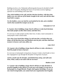Building involves a lot. Nehemiah suffered greatly because he decided to build the walls of Jerusalem. Building the house of God often involves fighting a spiritual war and building at the same time.

*They which builded on the wall, and they that bare burdens, with those that laded, every one with one of his hands wrought in the work, and with the other hand held a weapon.*

*For the builders, every one had his sword girded by his side, and so builded. And he that sounded the trumpet was by me.*

*Nehemiah 4:17-18*

# **9. A pastor who is building a large church will have to take hard decisions that make people sacrifice their money and their lives.**

It is not easy to make people sacrifice their lives. It takes a hard commander to send people to their certain death.

### *Now when Jesus heard these things, he said unto him, yet lackest thou one thing: sell all that thou hast, and distribute unto the poor, and thou shalt have treasure in heaven: and come, follow me.*

*Luke 18:22*

# **10. A pastor who is building a large church will have to take a decision to lead the people in hours of prayer.**

It is not easy to lead people in long hours of prayer. It takes a hard leader to force the congregation to go through the discipline of long hours of prayer.

# *And he cometh unto the disciples, and findeth them asleep, and saith unto Peter, What, could ye not watch with me one hour?*

*Matthew 26:40*

**11. A pastor who is building a large church will have to take decisions to practise frugality in the church. It is not easy to be frugal. It is not easy to lead people in a frugal lifestyle. People rebel against hardships. If you are not a hard strong leader, you cannot lead your organization into frugality.**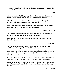*When they were filled, he said unto his disciples, Gather up the fragments that remain, that nothing be lost.*

*John 6:12*

**12. A pastor who is building a large church will have to take decisions to lead the entire congregation in hard and difficult times of fasting.**

*Then the king and his nobles sent this decree throughout the city: "No one, not even the animals, may eat or drink anything at all.*

*Everyone is required to wear sackcloth and pray earnestly to God. Everyone must turn from their evil ways and stop all their violence.*

*Jonah 3:7-8 (NLT)*

**13. A pastor who is building a large church will have to take decisions to dismiss certain people and replace them with others.**

*And the king . . . set the royal crown upon her head, and made her queen instead of Vashti.*

*Esther 2:17*

# **14. A pastor who is building a large church will have to take the hard decision to make the people give him his due honour.**

Many times a pastor has no one to say certain things for him and he will have to say them himself. Learn to say the hard things that you have to say if there is no one to say it for you.

I had to tell the church myself that I was a pastor. I had to tell my church how to address me. On another occasion I had to inform them that I was a Bishop.

*And Elijah said unto her, Fear not; go and do as thou hast said: but make me thereof a little cake first, and bring it unto me, and after make for thee and for thy son.*

*1 Kings 17:13*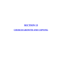# **[SECTION](#page-5-0) 13**

# **CHURCH [GROWTH](#page-5-0) AND COPYING**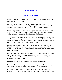# **[Chapter](#page-5-0) 32**

# **The Art of [Copying](#page-5-0)**

*Copying is the art of following a pattern or model until you have reproduced a good imitation of the original.*

All successful pastors copied from someone else. Church growth is accomplished by pastors who are willing to copy from other pastors. There is no shame in copying from someone who has experienced what you need.

Copying may be a bad word to you, but copying is only bad when it is illegally done during examinations. Copying is the highest form of learning and is the God-given method of learning which babies and children use.

"Be an original," they say. But the reality is that everyone copied from someone else. Every great worship leader copied from some worship leader somewhere else. Every great evangelist copied from another evangelist. Every great man of God is a copy of some other man of God somewhere.

Every anointing is a copy of another anointing. The anointing that came on Peter, James and John was simply a copy of the anointing that was on Jesus their master. The anointing that was on Elisha was simply another of the same kind of what was on Elijah.

Recently, I was having breakfast in a hotel in an African country and here came along a famous Christian singer whose music and CDs are played all over the world. As we sat together, one of my pastors, asked him a question, "Who has influenced your music ministry?"

He answered, "Oh, Andre Crouch has been my greatest inspiration."

I immediately understood why this fellow was doing so well. He was simply a copy of someone else. He was proud to be another of the same kind.

I have noticed that all those who do well in any field, are those who closely follow after someone of the same kind. Whether it is preaching, singing, healing,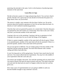pastoring; the principle is the same. God is in the business of producing many ministers of the same kind.

# **Learn How to Copy**

Decide to become a pastor of a large and growing church. You can have church growth. Decide to be a great man of God; decide to be become the pastor of a huge church. How can you do this?

The answer is simple: copy someone who has done it before you. Do not be mystical about the formula to greatness in God. Do not beat about the bush. Go directly to God's method of producing greatness.

Churches that work are pastored by pastors of a certain kind. Churches that grow are pastored by men and women of a certain kind. Since that is also your vision, why don't you become another of the same kind?

Copying is the way to the anointing. Copying is the key to greatness in God. Copying is the open door for you to enter the things of the kingdom.

If there is a great evangelist, another of the same kind will also be great. If there is an anointed pastor, another of the same kind will also be anointed. If there is a powerful apostle, another of the same kind will be powerful.

You are not special or different. You are simply going to become another of the kind that God has raised up already. You must find someone with a similar calling and follow hard after him.

It won't be long and we will be going home. You don't have much time for trial and error. You cannot afford time for experiments. You may be in the middle of your experiment when the Lord calls you.

You need to get straight to the point. You need the anointing and you need it fast! You need to preach well and you need to preach well now! You need to heal the sick and raise the dead and you need it to happen within the time the Lord has given you.

How many years of experimentation are you going to dabble in until you become humble enough to copy someone's success.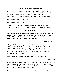#### **We Are All Copies of Something Else**

Begin to accept that we are all copies of something else. I am not some rare species whom Christ has chosen for the end-time move. Such thoughts only lead to error. I am a member of the Lord's army. I stand among the ranks and I am glad to be have been able to copy something that one of my fathers has done.

Do you want to raise up a great church?

Do you want church growth?

Thoughts of being unique will keep you away from learning from obvious examples in front of them. God wants to raise up more mega church pastors.

# **Is Copying Biblical?**

*And the earth brought forth grass, and herb yielding seed after his kind…and God saw that it was good. And God created…every living creature …after their KIND…and God saw that it was good. And God made the beast of the earth after his kind...and God saw that it was good.*

## *Genesis 1:12, 21, 25*

Almighty God created things to produce after their kind. The grass produces another of the same kind, the herbs produce another of the same kind, and the whales produce another of the same kind. Even man produces another of the same kind. The Lord God saw that another of the same kind was a good thing! Instead of being preoccupied with producing another of a different kind, let us produce fruit that is a good copy.

## *And God said, Let us make man in our image, after our likeness...*

#### *Genesis 1:26*

When the Lord created man, he created something that was like Himself. He said that let us make something that is like us: another of the same kind, a copy. There are many similarities between man and God because we are made in His image. God is a Spirit and the Father of spirits.

Human beings are also spirits living in bodies. God the Father, God the Son and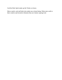God the Holy Spirit make up the Trinity we know.

Man as spirit, soul and body also makes up a triune being. When men walk in their creative and inventive elements they are clearly copying God.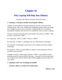# **[Chapter](#page-5-0) 33**

# **Why Copying Will Help Your [Ministry](#page-5-0)**

*Copying is the highest and fastest kind of learning.*

# **1. Copying is a God-given method of learning for children**.

Children use this method of learning effortlessly and that is why they learn anything easily. This is why children learn languages quickly. Many new things are a struggle for grown-ups to assimilate. Young people have no problems learning new things because they have no inhibitions when it comes to copying.

One day, I heard someone describe some people in his church as "BBTs". Then he said, "I myself am a "BBT".

So I asked him, "What is a BBT"? Who is a "BBT"?

He answered, "A "BBT" is somebody who was "Born Before Technology".

He continued, "Such people cannot learn or use computers and other modern technology."

He explained, "When you have BBTs in charge of certain things the church is not able to move forward."

I thought to myself, "What makes someone a "BBT" is his inability to learn anything using the fastest method of learning – copying! He cannot understand the computers, the software and the other modern gadgets because he does not copy easily."

## **2. Copying is God's way of making you humble.**

*. . . that they without us should not be made perfect.*

*Hebrews 11:40*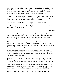The world's system teaches that the way to be qualified is to go to school. But the biblical way to becoming anything in the ministry is copying and following. Copying is the natural way by which God reproduces ministers. Pride and presumption will keep us from becoming highly anointed servants.

Think about it; if you were able to do as much as certain people, it would be a great achievement. Forget about outshining others! If you can just be as good as some of the guys ahead of you, you would have achieved a lot.

The ministry is difficult. It takes a lot of grace to even please God.

#### *And I will pray the Father, and he shall give you another Comforter, that he may abide with you for ever;*

# *John 14:16*

The Holy Spirit (Comforter) is the anointing. When Jesus promised another comforter of the same kind, He was promising another anointing of the same kind. He was showing that the same kind of anointing with which He had ministered would be available to the apostles when He left.

Most pastors would hasten their progress in the ministry if they would understand this simple truth. There is no new and special anointing that God wants to give you. He is simply going to give you another anointing of the same kind. Even the apostles were promised another of the same kind.

It takes humility to admit that you are not an original. When people are impressed with your ministry, it is not easy to reveal that your message is not original. When people are impressed with your style it is not easy to reveal that you learnt it from somewhere else.

Copying makes you dependent and sheep-like. The sheep nature is different from the serpent nature. It is the nature of snakes to be independent and solitary. This is the very opposite of how you must be if you want to walk with the Lord.

To be another of the same kind, you will have to depend on someone, you will have to learn from someone and you will have to follow someone. It is a good thing because no one can boast except in the Lord who created all things.

Because you are humble, the blessings of God are going to be passed on to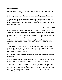another generation.

Not only will there be one great man of God for this generation, but there will be another of the same kind for the next generation.

#### **3. Copying causes you to discover that there is nothing new under the sun.**

*The thing that hath been, it is that which shall be; and that which is done is that which shall be done: and there is no new thing under the sun. Is there any thing whereof it may be said, See, this is new? it hath been already of old time, which was before us.*

#### *Ecclesiastes 1:9-10*

Indeed, there is nothing new under the sun. This is a fact that you must accept. You have nothing *new* to offer and your life will not introduce anything special.

Like most ministers, I once thought I was introducing something new. I thought I had some new gifts and ideas, which no one else had ever had.

With time, I discovered that all that I was doing had been done before. Every single thing I am doing and saying I have found people who said them before I did.

The truth about my ministry is that I am simply following hard after others I genuinely admire. I want to be like them and I am not ashamed to say so! I like their spirit! I like their flow! If I can be a copy of something that is working it would be a great achievement for me.

#### **4. Copying is good because you become something that is already successful and working.**

Copying sets you free from experimentation. You are free from years of wasting time as you discover principles that have worked over and over again.

You do not have to create a new name. Making a name is not easy. That is why names are sold as franchises. A good name is one of the most valuable things on earth. Becoming another of the same kind means you are another with the same kind of name. Copying gives you access to strategies and formulae that have worked for your kind.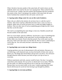When I decide to become another of the same kind, all I need to know are the methods which were used by the one I am copying from. What worked for him will work for me. I simply copy the systems and techniques that have produced the results in him. Since I am going to be another of the same kind, the same kind of methods that worked for him will surely work for me!

# **5. Copying makes things easier for you on this road of ministry.**

Many who are called to the ministry do not know how to walk the road of ministry. They know God has called them but don't have a clue as to how to progress. Many men of God do not know how to climb into higher heights in ministry. They see other men of God accomplishing great things but don't know that they can do the same!

The road to accomplishing the same things is clear now. Humble yourself and become another of the same kind.

Don't try to be unique, special or different. Just become a copy of something that is working. Become another of the same kind. Use the techniques they used. Follow them very closely. Preach what they preach. Pray in the same way that they pray. Seek God in the same way that they do. Have as close a relationship to God as they do. You will surely become a marvelous copy of something successful

# **6. Copying helps you to enter new things faster.**

Copying quickens your rate of advancement in life and ministry. Because you are following a well-chartered road, you have the benefit of those who went on before you. The things that slowed them will not slow you down. You will move through obstacles faster because your kind will give you tips on how to overcome.

Without experiments and trials, anyone would be faster. One day, I was going somewhere with someone. He was in his car ahead and I was in mine. When he got into traffic, he called me and told me not to come the way he had gone because there was too much traffic on his route. I ended up getting there faster than he did because he saved me from having to go through his problem.

# **7. Copying helps to overcome problems**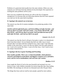Problems of a particular kind usually have the same solution. When you copy someone you will learn from the solutions he has developed. His experience at tackling the same problems will be yours.

Have you ever wondered why doctors are calm in the face of apparent emergencies? It is because they are following solutions that have been repeated over and over for the same kind of problem.

## **8. Copying is the natural way to increase.**

The natural way that all of creation multiplies is by producing another of the same kind.

#### *And the earth brought forth grass, and herb yielding seed after his kind…and God saw that it was good. And God created…every living CREATURE...after their KIND…and God saw that it was good. And God made the beast of the earth after his kind…and God saw that it was good*.

## *Genesis 1:12, 21, 25*

The natural way that the church will grow from glory to glory is to shamelessly learn from those ahead. I do not dispute that there are other ways to move forward. But I can share what has worked for me. *Copy! Copy! Copy!* Become another of the same kind. I want to be like my fathers who have gone ahead of me. I want to be exactly like them. I want to be like Jesus. I don't need to have any unique characteristics.

## **9. Copying is the key to great Teaching and Preaching**

#### *Hear another parable: There was a certain householder, which planted a vineyard, and hedged it round about, and digged a winepress in it, and built a tower, and let it out to husbandmen, and went into a far country:*

#### *Matthew 21:33*

Jesus taught the Word of God in the most beautiful and anointed way ever known to man. Little children remember his stories long after they stop reading the Bible. His teachings are relevant two thousand years after He gave them.

The things that Jesus said are read by more people, quoted by more authors,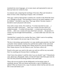translated into more languages, set to more music and represented in more art than any book ever written by man.

As someone said, comparing the teachings of Socrates, Plato and Aristotle to those of Jesus is like comparing an enquiry with a revelation!

Years ago, I told my beloved that I wanted to be a teacher of the Word like Jesus was. I thought to myself, "The teachings of Jesus are not easily forgotten, even by children." I decided to copy Jesus. Years ago, before I became a pastor, I decided to teach and preach with stories.

Jesus told so many stories. He would say, "A certain man had two sons…, a certain man made a great party…, there was a certain rich man which was clothed in purple…, a certain rich man died…, a certain man went up from Jericho…, there was a certain rich man which had a steward…, the ground of a certain rich man brought forth bountifully…, a certain noble man went into a far country…"

I decided that I wanted to be a teacher like Jesus. I didn't want to be anything new; I just wanted to be an exact copy of Jesus Christ.

The key to becoming a great preacher is to copy another great preacher. Just find a preacher whose ministry touches lives and become another of the same kind. Learn how to preach by copying! Don't blame anyone for your dry preaching. Don't blame anyone if no one listens to you! You know what to do.

Preach in the same way, teach in the same way and you will be very successful. Don't try anything new because there is nothing new.

I don't know how plainer I could be when I say you should "copy"? Shamelessly copy, photocopy, photograph, replay, rewind and repeat what those great men do. You will find yourself becoming another of the same kind!

Those who are too proud to do this deliberately are becoming copies of somebody anyway. Why not choose and become a copy of somebody you admire? Why not choose to be a copy of someone whom God has sent into your life to train and mentor you?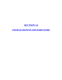# **[SECTION](#page-5-0) 14**

# **CHURCH [GROWTH](#page-5-0) AND HARD WORK**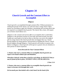# **[Chapter](#page-5-0) 34**

# **Church Growth and the Constant Effort to [Accomplish](#page-5-0)**

#### **Diligence**

Church growth is accomplished through constant effort. Without persistence in seeking the growth of the church, you will never have a mega church. Many pastors are unwilling to apply the relentless, unremitting and exacting efforts that are required to accomplish church growth. The church, like a farm, will require you to bestow much labour on it.

*Diligence is the constant and earnest effort to accomplish what is undertaken.* Diligence is the persistent exertion of your body and mind towards your goal. People just want hands to be laid on them so that they can receive the magical gift of a mega church. But church growth does not happen that way. Church growth happens by being attentive and persistent in building the church. Church growth happens through diligence. Church growth will be given to pastors who believe in diligence. Church growth will be given to pastors who are relentless in their pursuit of church expansion.

## **Seven Rewards for Your Constant Efforts**

**1. Pastors who exert a constant effort to accomplish church growth can expect to be found without spot and blameless.**

*Wherefore, beloved, seeing that ye look for such things, be DILIGENT that ye may be found of him in peace, WITHOUT SPOT, AND BLAMELESS.*

*2 Peter 3:14*

**2. Pastors who exert a constant effort to accomplish church growth can expect to become rich through their work.**

*He becometh poor that dealeth with a slack hand: but the hand of the*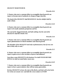#### *DILIGENT MAKETH RICH.*

*Proverbs 10:4*

**3. Pastors who exert a constant effort to accomplish church growth can expect to become men of authority in charge of huge churches.**

*The hand of the DILIGENT shall BEAR RULE: but the slothful shall be under tribute.*

*Proverbs 12:24*

**4. Pastors who exert a constant effort to accomplish church growth can expect to be made anointed, prosperous and fat.**

*The soul of the sluggard desireth, and hath nothing: but the soul of the DILIGENT shall BE MADE FAT.*

*Proverbs 13:4*

**5. Pastors who exert a constant effort to accomplish church growth can expect plenteousness in church members and church growth.**

*The thoughts of the DILIGENT tend only to plenteousness; but of every one that is hasty only to want."*

*Proverbs 21:5*

**6. Pastors who exert a constant effort to accomplish church growth can expect to gain access to the corridors of power and influence.**

*Seest thou a man DILIGENT in his business? he shall STAND BEFORE KINGS; he shall not stand before mean men.*

*Proverbs 22:29*

**7. Pastors who exert a constant effort to accomplish church growth can expect to have a great ministry that will last many generations.**

*Be thou DILIGENT to know the state of thy flocks, and look well to thy herds. For riches are not for ever: and doth the crown endure to EVERY*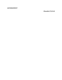#### *G E NE RA TI O N ?*

*Proverbs* 27:23-24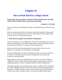# **[Chapter](#page-5-0) 35**

# **How to Work Hard For a Mega [Church](#page-5-0)**

#### *Let the elders who rule well be considered worthy of double honor, especially THOSE WHO WORK HARD at preaching and teaching.*

*1 Timothy 5:17 (NASB)*

How do you become an industrious worker, occupied all the time with the Lord's work?

How do you become an effective, tenacious and tireless minister of the gospel? How can you be relentless in your drive for church growth? This chapter seeks to show you how to work hard as a pastor.

#### **1. Work hard by using the most fruitful working hours.**

Every true job has its own working hours. The work of the ministry has its own peculiar working hours. This often confuses people. They think pastors must be in the office from 9:00 a.m. to 5:00 p.m. like everybody else.

But those are the fruitful working hours of secular offices. But we are not bankers or accountants. We are ministers of the gospel!

No more banking hours for pastors! Nobody asks pilots to work from 9:00 a.m. to 5:00 p.m. Everybody knows that their working hours are peculiar and everyone accepts that reality.

Helps ministers and church administrators may have to work from 8.00am to 5.00pm like secular workers because of the nature of their ministry work. But shepherding pastors will have completely different fruitful working hours.

On Sunday mornings, our church boots into action at 6.00am and we sometimes leave after midnight. Sunday is the church's busiest and most important day for the pastor. A Sunday well spent is like a whole week of work! It should be the case for every church. Pastors counsel, visit, and teach Bible school classes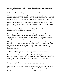throughout the whole of Sunday. Pastors who are building their churches must rest on Mondays.

# **2. Work hard by spending a lot of time on the church.**

When an activity consumes just a few minutes of your time in a week, it cannot be called your "work". For instance, I drive my car for a few minutes every day but my work is not "driving" per se. It is something that I do on my way to work.

However, if driving a car, for example a taxi, were to become my work, I would not spend less than eight hours a day driving. Then, to me, driving would have become work!

You cannot claim to be doing the "work" of the ministry until it actually consumes a reasonable amount of time in your week.

If waiting on God, catching the anointing, catching revelation and receiving guidance from the Holy Spirit does not take up many hours and days of your week, then you are not working yet. For a minister of the gospel, praying and waiting on God must take up many hours. If it is work it will take up your time.

When you were not a pastor building a large church, you could afford to spend a few minutes catching the anointing. You could afford to spend twenty minutes receiving a revelation from the Word. But now that you are a serious professional mega church builder, you need to spend several hours and days waiting on the Lord!

# **3. Work hard by expending your energy and money on the church.**

Everyone must realize that doing the work of the ministry involves spending a lot of energy. Do not be surprised if you get tired doing the work of a pastor. It is only a sign that you are working well. Most good jobs leave their employees exhausted.

Do not be surprised if the ministry leaves you tired and worn out.

Another thing that you will expend is money. Does it not cost you money to go to work everyday? Do you not spend money at work for lunch everyday?

It is the same thing with the work of ministry. Why should you complain if you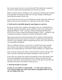have to pay money to travel to wait on the Lord? Why should you complain if you have to spend money buying books and CDs that you need?

Make no mistake about it. Waiting on God, catching the anointing and revelation by the guidance of the Spirit is hard work. Praying, visiting, counseling and interacting with people is hard work.

As you do the work of God, you will expend your energy and money. When you begin to feel tired, just remember it is a sign that you are really working.

# **4. Work hard by cheerfully doing the same things over and over.**

By nature, all real work is *repetitive and regular.* If you are working hard you will do the repetitive and regular chores cheerfully. Even if you are bored you must keep doing the "work" - praying, visiting, counseling and interacting (PVCI). Even if you are tired you must keep doing the "work" – waiting on God, catching the anointing, catching the revelation and guidance (WAR).

Many pastors don't pray much because they feel it's repetitive and boring. But when prayer becomes your work you will have to repeat your prayers and you will have to pray regularly. When visiting becomes your work, you will have to visit repeatedly and regularly.

There is a difference between a social visit to a friend's house and a pastoral visit. Pastoral visits must be conducted repeatedly by pastors. Mega church pastors must intentionally go to the homes of their members on a regular basis.

Don't we do our secular work when we don't feel like it? Don't we all go to the same work place repeatedly and regularly although we don't feel like it?

In the same way, anyone who claims to be doing the work of the ministry must rise up and repeatedly do the important tasks of a pastor. We don't pray just because we feel like it. We pray because we have to! We must rise up early and cheerfully intercede for the people God has given us.

## **5. Work hard under an overseer.**

*To Titus, my true child in a common faith: …For this reason I left you in Crete, that you might set in order what remains, and appoint elders in every city AS I DIRECTED YOU,*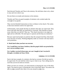Paul directed Timothy and Titus in the ministry. He told them what to do, where to stay and even what to say.

He sent them on errands and missions in the ministry.

Timothy and Titus are good examples of ministers who worked under the oversight of an apostle.

They received detailed instructions on how to behave in the church. The reality is that most ministers need to be supervised.

Unfortunately, some people develop an attitude when they are supervised. They frown and sulk when they are instructed or corrected. They threaten to break away when they are told off. They say, "The church structure is too rigid, too tight and too inflexible. We need space to operate and develop our ministries."

Because supervised people are paid less than the unsupervised they often break away because of money. Working diligently under an overseer will only lead to your promotion.

#### **6. Work hard when you have no overseer.**

*For I would have you know, brethren, that the gospel which was preached by me is not according to man.*

*For I neither received it from man, nor was I taught it, but I received it through a revelation of Jesus Christ.*

#### *Galatians 1:11-12 (NASB)*

Paul is the best example of a minister who had no overseer. He did not need to be supervised. No one told him where to go or what to say. Your calling may be such that you do not need an overseer.

When you have no overseer, you need maturity in hearing the voice of the Holy Spirit. You need accuracy in hearing the voice of the Holy Spirit. You need to be able to judge yourself since there is no one around to judge you.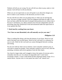Nobody will tell you are wrong. No one will tell you when to pray, study or visit anyone. God will have to tell you directly.

When you are not supervised, no one will speak to you about the changes you have to make in your ministry or the decisions you have to take.

No one will tell you when you are going astray or when you are moving into error. You have to judge yourself. And your judgment had better be right. If you have not been called into this kind of unsupervised position do not venture into it because it will destroy you. Many ministers have become independent and selfgoverning when they should have lived and ministered under the supervision of a true apostle like Paul.

#### **7. Work hard by working from your heart.**

#### *"For I have no man likeminded, who will naturally care for your state."*

#### *Philippians 2:20*

There is nothing like doing a job from the bottom of your heart. Work for God until it becomes your second nature. Work for the Lord until it is a pleasure for you to work. Work for the Lord until you cannot distinguish between working and resting.

No one ever told me what to do in ministry. I have naturally wanted to pray, to visit and to counsel my people. I have naturally wanted to wait on God, catch the anointing, revelation and receive guidance from the Holy Spirit.

Our church is larger today and I struggle to know the names of everyone and to remember who they are. It is almost an impossible task! I wish I knew everybody's homes. I wish I could attend all their important family events. It is a natural desire. Anyone who is a true pastor has what I call "natural care".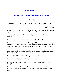# **[Chapter](#page-5-0) 36**

# **Church [Growth](#page-5-0) and the Work of a Pastor**

# **(P.V.C.I.)**

#### *… LET HIM LABOUR, working with his hands the thing which is good,*

#### *Ephesians 4:28*

I remember when I first started out in full-time ministry. People would often ask my wife, "Where is your husband? Is he at home?"

One lady, a lawyer friend of hers said, "Oh, so your husband doesn't work anymore!"

My wife would answer, "You have no idea how hard he works."

They thought that because I was no longer practicing medicine, I was no longer working. Many people think that all that the pastor does is to prepare one sermon a week and then deliver it on Sunday morning. Afterwards, he is free to sleep until the next Sunday.

Many times people have called either late in the morning or in the afternoon and have said, "Hullo, how are you pastor? Sorry to disturb your sleep."

I would think, "This man thinks I sleep all day and all night as well."

Then I would politely answer, "I was not sleeping."

I have never bothered to explain what I was doing. "It is a waste of time," I thought to myself.

These and other remarks have made me realize that some people think that the ministry is a very restful occupation––an easy alternative to real and difficult jobs.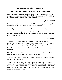#### **Three Reasons Why Ministry Is Hard Work!**

#### **1. Ministry is hard work because Paul taught that ministry was work.**

*And he gave some, apostles; and some, prophets; and some, evangelists; and some, pastors and teachers; For the perfecting of the saints, for the WORK of the ministry, for the edifying of the body of Christ:*

## *Ephesians 4:11-12*

The saints are to be perfected for the work. This means that pastors are to perfect the saints so that they can join in the hard work of ministry.

## **2. Ministry is hard work because Epaphras laboured in ministry work.**

#### *Epaphras, who is one of you, a servant of Christ, saluteth you, always labouring fervently for you in prayers, that ye may stand perfect and complete in all the will of God.*

#### *Colossians 4:12*

There was a man called Epaphras, a servant of Christ "always labouring fervently for you in prayers". Epaphras was not playing games. He was not on a holiday. He was labouring, working and fighting for the kingdom of God.

#### **3. Ministry is hard work because Jesus described the workers in ministry as labourers.**

When Jesus saw the multitudes who were fainting because of lack of a shepherd, He said, "The harvest is plenty but the labourers are few."

The Greek word translated labourer is the word "ergates", which means a toiler, teacher, laborer and a worker.

The ministry is toil and sweat. I have found that out practically. Anybody who wants to have a mega church must realize that he is not embarking on a game but real work. You will soon realize that church growth is not a joke and neither is it a game. It is real toil and labour. If ministry is work, what does it involve? What type of work is ministry work?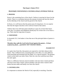## **The Pastor's Work: PVCI**

# **PRAYER(P) VISITATION(V) COUNSELLING(C) INTERACTION (I)**

# **1. PRAYER**

Prayer is the sustaining force of the church. I believe in praying for hours for the church. There is a correlation between the amount of prayer put into the church by the eldership of the church and the growth of the church.

In Korea, it is well known that the pastors pray for long hours. It is no surprise then that the largest churches in the world are found in that nation.

I believe that every full-time pastor should try to pray for at least three hours every day. Lay pastors and shepherds should pray for at least one or two hours a day. There must be long times of prayer.

## **2. VISITATION**

In Jeremiah 23:2, God makes it clear that one of the principal duties of pastors is to visit.

## *Therefore thus saith the Lord God of Israel against the pastors…Ye have scattered my flock…and HAVE NOT VISITED THEM…*

## *Jeremiah 23:2*

It is quite clear from this, that pastors are expected to visit their sheep in their homes. This is different from counseling them in the office. It is also different from preaching and teaching from the pulpit. It is a special ministry. The greatest visitor on this earth was Jesus Christ. Since his visit, the world has never been the same again.

There is a difference between church members who have been visited and those who have never been visited. Church members who have been visited in their homes become stable and hardly ever leave the church.

## **3. COUNSELLING**

It is important to minister the Word of God, especially in teaching. Churches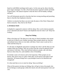based on solid Bible teachings tend to grow. As the years go by, these churches grow larger and larger. It is like a flock that has been exposed to fields and fields of green grass. The natural response is that the flock will be healthy, multiply and grow.

You will find greater growth in churches that have strong teaching and preaching than in churches that emphasize miracles.

I believe in miracles but these can never take the place of the Word. Sheep don't feed on miracles. They feed on the Word!

## **4. INTERACTION**

A shepherd is supposed to interact with his sheep. How can he interact properly if he is detached and aloof? Pastors and shepherds must do what I call *"Deep Sea Fishing".*

# **Deep Sea Fishing**

What is the deep sea? The deep sea is the mass of church members who stream in and out of church every Sunday morning. Many people attend our churches and nobody knows them or even talks with them. Some come in and out for a while and then drop out.

It is the duty of shepherds and pastors to plunge into what I call the deep sea and conduct *Deep Sea Fishing.* They are to move into the crowd of unknown faces and interact with them. They must befriend unknown people, talk with them, find out where they live, and establish a line of friendship.

Everybody wants to be known and to feel important. When people are not known, they move away to a place where they can be known and made to feel important. All human beings have a psychological need to be identified and recognized!

It is that need that we try to meet by doing *"deep sea fishing".*

When all the pastors do deep sea fishing, they will get to know the people who do not belong to small groups within the church, but still need pastoral visits and care.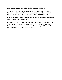Deep sea fishing helps to establish floating visitors in the church.

That is why it is important for lay pastors and shepherds to be in church on Sunday and involve themselves in this all-important interaction––*deep sea fishing*. It is not only the pastor who is preaching who has work to do.

I like to linger in the church for hours after the service, interacting with different people and meeting different groups.

I am neither a Prime Minister nor a pop star. I am a pastor. Pastors are not film stars. They are shepherds who are supposed to mingle with their sheep. The Bible says that the sheep know the voice of the good shepherd. How can they know your voice if they don't even see you?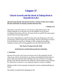# **[Chapter](#page-5-0) 37**

# **Church Growth and the Work of Taking Heed to Yourself [\(W.A.R.\)](#page-5-0)**

*Take heed unto thyself, and unto the doctrine; continue in them: for in doing this thou shalt both save thyself, and them that hear thee.*

#### *1 Timothy 4:16*

Take heed to yourself so that you can become a mega church pastor. The ministry depends on you because you are the shepherd. If you go down everything will go down with you. You must invest in yourself. You must protect yourself and you must help yourself.

The work of taking heed to yourself involves four main things just as the work of pastoring a church involves four main things. The four main things we need to do to take heed to yourself are: Waiting on God, catching the Anointing, catching revelation and receiving guidance from the Holy Spirit (W.A.R.)

#### **The Work of Saving Yourself: WAR**

#### **WAITING(W) ANOINTING(A) REVELATION(R)**

#### **1. WAITING**

We must wait on the Lord! Learn our lessons well. In His timing He will tell where to go, what to do and what to say. Pastors and shepherds should make it a point to get away from their busy schedules and wait on God for even longer periods. Jesus himself retreated to the wilderness and mountains to pray. Praying for whole days on retreats is a very important aspect of a pastor's schedule.

Waiting actually involves pausing, slowing down and not rushing headlong into things.

The ministry is spiritual from beginning to end.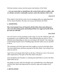Full-time ministry always involves prayer and ministry of the Word.

## *…It is not reason that we should leave the word of God, and serve tables...But we will give ourselves continually to prayer, and to the ministry of the word.*

*Acts 6:2-4*

Peter made it clear that his work was not arranging tables nor organizing food for his church members. His duty was to pray and minister the Word.

# **2. ANOINTING**

*How God anointed Jesus of Nazareth with the Holy Ghost and with power: who went about doing good, and healing all that were oppressed of the devil; for God was with him.*

*Acts 10:38*

You will receive several anointings in the course of your life. Different gifts will be imparted to you at different times. These different gifts are given to you at different times depending on what you are doing in the ministry. You cannot go around doing the good work of building large churches unless you are anointed to do so.

The anointing is the Holy Spirit and Jesus taught us to pray for the Holy Spirit. You must spend hours and hours praying for the Holy Spirit. God will give you what you ask for.

Apart from receiving the Holy Spirit on the day of Pentecost, (Acts 2:4) several other impartations of the gifts of the Holy Spirit took place.

Jesus breathed on the disciples at a meeting and asked them to receive the Holy Spirit (John 20:22).

On another occasion when the disciples were assembled they were filled again with the Holy Spirit and empowered for miracles, signs and wonders (Acts 4:31).

# **3. REVELATION**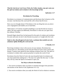*That the God of our Lord Jesus Christ, the Father of glory, may give unto you the spirit of wisdom and revelation in the knowledge of him*

*Ephesians 1:17*

## **Revelation for Preaching**

Revelation is an instance of communication and disclosure that God gives to His servants. God discloses His word and His will to those that He loves.

Have you ever thought about it? Revelation is the one thing that sets you above your congregation and enables you to lead them.

Think about it. If God has revealed something to you that He did not reveal to others, He must regard you differently. Revelation is what sets you apart from the ordinary Christian.

Kenneth Hagin shared how he had prayed for the spirit of wisdom and revelation for years and years on end. It also became my prayer as I sought after the Lord.

#### *Study to shew thyself approved unto God, a workman that needeth not to be ashamed, rightly dividing the word of truth.*

## *2 Timothy 2:15*

Receiving revelation is key to the success of your ministry. Revelation has several parts to it. Revelation can be from the Word of God or from visions and dreams. A pastor must spend his time seeking revelation from God. The spirit of revelation is evident when a person preaches or teaches the word of God.

Revelation from the Word of God is the most beautiful kind of revelation and you must spend time seeking for it. "No man ever spake like this man," is what they will say when the Spirit of revelation is upon you.

## **Ten Ways to Receive Revelation**

1. You receive revelation when you listen to anointed messages from preachers and teachers of the Word of God. (Ephesians 4:11-12).

2. You receive revelation when you study the Word of God in relation to sermons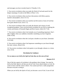and messages you have recently heard. (2 Timothy 2:15).

3. You receive revelation when you study the Word of God and search for the deeper meanings of words in the Bible. (2 Peter 1:21).

4. You receive revelation when you have discussions with fellow pastors, teachers and prophets. (Acts 13:1-3).

5. You receive revelation when you read the real life stories of men of God that have gone ahead of you. (Acts 1:1).

6. You receive revelation when you study the dreams and visions of wellrecognized prophets. I have received much revelation for my life by studying the visions and dreams of Kenneth Hagin and Rick Joyner. (John 20:17-18).

7. You receive revelation when God reminds you of something important. Don't take it lightly when you suddenly remember something you have forgotten. (John 14:26).

8. You receive revelation when the Lord puts a burden on your heart. (Jeremiah 23:32-40).

9. You receive revelation when God impresses something on your heart through the inner witness. (Rom 8:16).

10. You receive revelation when God speaks to you through a dream or a vision. (Acts 16:9).

## **Revelation for Guidance**

## *For as many as are led by the Spirit of God, they are the sons of God.*

#### *Romans 8:14*

One of the key aspects of revelation is the guidance that it brings. You must be led by the Holy Spirit in all that you do for God. Every detail matters to God. He wants to know and He wants to direct. You cannot just have a radio programme because everyone is doing it.

When you are led by the Spirit of God, you become a son of God. A son of God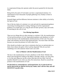is a supernatural being who operates under the powers granted by his heavenly father.

Being led by the spirit of God makes you have a supernatural ministry. It is supernatural to have thousands of people gathering every Sunday to listen to your wisdom.

Kenneth Hagin said the difference between ministers is their ability to be led by the Spirit of God.

One of the key duties of a minister is to wait and seek for supernatural guidance concerning everything that he is doing. Waiting on God for supernatural guidance is no small task. It is a big job and will take up hours, days and weeks of searching for the will of God.

# **Two Missing Ingredients**

There are two things that are often missing in a minister's life: the manifestations of God and the presence of God. Supernatural guidance and obedience to God's will are the keys to the manifestations and the presence of the Lord. You must relate with ministers not just by their good doctrines. You must relate with them because you sense the presence of God in their lives.

Why should you bother to get close to ministries that have no spiritual glory on them; from whence the glory of the Lord has departed? Why do you have something to do with someone whom God is not with?

## **How to Minister with the Manifestation of God**

The key to the manifestations of God is obedience to His Word. Whether this Word came through the reading of the Bible or through a dream, you must obey it. It is the only thing you can do to show Him that you love Him. God will manifest Himself to you when you obey His instructions. Read for yourself the promise of the manifestations of God:

#### *He that hath my commandments, and keepeth them, he it is that loveth me: and he that loveth me shall be loved of my Father, and I will love him, and will MANIFEST myself to him.*

*John 14:21*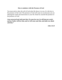#### **How to minister with the Presence of God**

You must seek to obey the will of God when He shows it to you. It is the key to the presence of the Lord. The presence of God will come on you because you are obeying the words and instructions to your life. Read for yourself the promise of the presence of God:

*Jesus answered and said unto him, If a man love me, he will keep my words: and my Father will love him, and we will come unto him, and make our abode with him."*

*John 14:23*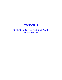# **[SECTION](#page-5-0) 15**

# **CHURCH GROWTH AND OUTWARD [IMPRESSIONS](#page-5-0)**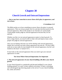# **[Chapter](#page-5-0) 38**

# **Church Growth and Outward [Impressions](#page-5-0)**

*… that ye may have somewhat to answer them which glory in appearance, and not in heart.*

#### *2 Corinthians 5:12*

The Bible teaches us to have something to *answer* those who glory in outward appearances. There are always people who live and take decisions purely by the outward appearance. Most of the people in our churches are carnal people. Carnal people usually judge by outward appearances because they are not spiritual.

Whether you like it or not outward appearances matter in church growth. To have a mega church, you must be able to relate with and impress many carnal people who judge by outward appearances.

Once you are dealing with men you will be dealing with outward appearances. Indeed, the Lord does not look at these appearances but men do. "For the LORD seeth not as man seeth; for man looketh on the outward appearance, but the Lord looketh on the heart" (1 Samuel 16:7).

If man looks on the outward appearance then you need to get your outward appearances in order.

#### **Ten Areas Where Outward Impressions Are Important**

#### **1. The outward appearance of your church building will affect your church growth.**

Is your church housed in a ramshackle and decrepit building? Is your church building painted? Is it neat? Is there rubbish everywhere? Is there a refreshing and well-designed sign directing people to the service? Is your church building hot, stuffy and airless?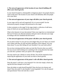## **2. The outward appearance of the location of your church building will affect your church growth.**

Is your church located in a disreputable or dangerous place? Are people afraid to come to that area? The location of your church will definitely affect the people who come there.

# **3. The outward appearance of your stage will affect your church growth.**

Is your stage well lit and well organized? Or is it overcrowded? Are the instruments properly arranged and positioned on the stage?

Is there symmetry on the stage? Is the stage simply a collection of odd items, many of which are not used during the church service?

What is the character of your decorations? Does your stage have an international feel to it? Or have you allowed someone with poor taste to decorate your stage according to the low standards that she knows?

# **4. The outward appearance of the pastor will affect your church growth.**

Do you dress nicely? Is your suit two sizes bigger than you are? Have you ironed your clothes until they are stiff and shiny phantoms of the original? Are your shoes dusty? Is your shirt falling off your shoulders? Are your teeth yellow?

Do you have missing teeth that make you look like Dracula when you smile? Are any of your teeth sticking out or pointing in the wrong direction that make you look like a predator when you speak to the congregants?

You may need to get a dentist to correct all that. You will be surprised at how improving the appearance of your teeth can lead to church growth.

# **5. The outward appearance of the pastor's wife will affect church growth.**

Does the pastor's wife have a nice hairstyle? Or is her hair simply a black oily rag that has been dumped on her head?

Does she bother to make herself beautiful? Does she have nice dresses and shoes? Does she smile? Is she friendly? Is she hospitable? Or is she ill-natured and quarrelsome? Does she look like a witch?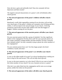Does she have a grim and unfriendly look? Does she constantly fall into depression and black moods?

The negative outward characteristics of a pastor's wife will definitely affect church growth.

# **6. The outward appearance of the pastor's children will affect church growth.**

Barefooted, scruffy little ragamuffins running all over the place will not help your church grow. If the pastor's children are constantly wear ill-fitting and dirty clothes, it will not improve the outward image of your church. A thriving prosperous church does not have little children who look like beggars or beggars' children running all over the place.

## **7. The outward appearance of the associate pastors will affect your church growth.**

Do your associate pastors look like a group of nobodies? Are they significant leaders in the congregation? Do they dress well? Do your associate pastors act like wimps constantly exuding timidity and false humility? Do they constantly have sheepish smiles? Are they constantly trying to please the richer members of the congregation?

Do your assistant pastors have cars? Are they happy people who breed confidence, loyalty and unity?

## **8. The outward appearance of the pastor's car will affect your church growth.**

Is your car the oldest model of its type? Is it always breaking down; making you have to beg for lifts and favours? This will not help church growth.

Is your car the most expensive car in the church? Why do you want to look like the richest member of your church? Are you a business tycoon or a pastor?

Why don't you rather blend into the congregation and be seen as an average person, neither the richest nor the poorest?

# **9. The outward appearance of the ushers will affect your church growth.**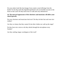Do your ushers look like lean hungry foxes ready to steal offerings from the basket? Or do they look like dignified gentlemen who are humble servants in the house of the Lord? Do they know how to walk and carry themselves?

## **10. The outward appearance of the choristers and musicians will affect your church growth.**

Do your choristers and musicians look nice? Do they do their hair and wear nice clothes?

Are they so clumsy that they cannot fit into their clothes nor walk up the stage?

Do they have nice voices or do they shriek through the microphone every Sunday?

Are they smiling, happy worshippers of the Lord?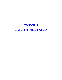# **[SECTION](#page-5-0) 16**

# **CHURCH [GROWTH](#page-5-0) AND WOMEN**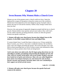# **[Chapter](#page-5-0) 39**

# **Seven [Reasons](#page-5-0) Why Women Make a Church Grow**

Women are one of the greatest assets a church could ever have. Satan has deployed his weapon of deception to keep the women out of the workforce. Women have been depicted as the most dangerous group of people ready to destroy the man of God and his ministry. Indeed, many strange women have done just that!

However, this same group of apparently dangerous people hold the key to church growth. Women believe more quickly and are more ready to flow with God's servant. When churches are being pioneered, women are often the greatest treasure the apostle could have.

#### **1. Women will make your church grow because they helped Jesus in His ministry. In the Bible women followed Jesus and helped Him.**

If women helped Jesus I would like them to help me too. If Jesus needed the help of women, you will too. Jesus had a worldwide ministry. He travelled to many cities and villages preaching the gospel. The twelve disciples were with Him on these preaching tours as well as certain women who ministered to Him. Women are always present where fruits are being borne!

*And it came about soon afterwards, that He began going about from one city and village to another, proclaiming and preaching the kingdom of God; and THE TWELVE WERE WITH HIM, AND ALSO SOME WOMEN who had been healed of evil spirits and sicknesses: Mary who was called Magdalene, from whom seven demons had gone out, and Joanna the wife of Chuza, Herod's steward, and Susanna, and many others who were contributing to their support out of their private means.*

*Luke 8:1- 3 (NASB)*

**2. Women will make your church grow because the apostle Paul used women in his ministry.**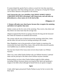If women helped the apostle Paul to achieve so much for God, they must have some importance other than making meat pies, serving tea or frying fish! Women can be fellow labourers with apostles in the ministry.

*And I intreat thee also, true yokefellow, help THOSE WOMEN WHICH LABOURED WITH ME in the gospel, with Clement also, and with other my fellowlabourers, whose names are in the book of life.*

## *Philippians 4:3*

#### **3. Women will make your church grow because they recognize the anointing and believe in it quicker than men.**

Indeed, women are the live wires of the anointing. They receive, they detect and they believe ten times faster than the average man.

Abigail recognized that David was going to become the king and she honoured him whilst her husband was hardened and resistant.

The woman with the issue of blood received the anointing whilst Peter, James and the others felt and received no healing anointing at the crusade.

Mary Magdalene went to the graveside on Easter Sunday to experience the resurrection first hand whilst Peter, James, John and the other powerful apostles were huddled away in unbelief and depression.

You may have heard of the Azusa street revival whose leader was William Seymour.

There was a man called Charles Parham who was William Seymour's spiritual father and the principal of the bible school William Seymour attended.

Pentecostalism was born when Charles Parham taught his bible students (including William Seymour) about receiving the Holy Spirit and speaking in tongues in his bible school although he himself did not yet speak in tongues.

#### **Agnes**

A lady called Agnes pressurized Charles Parham to pray for her to receive this Holy Spirit.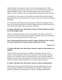Charles Parham was reluctant to pray for her but she pressed him to. When Charles Parham prayed for her, a glow came over her and she received the Holy Spirit and began to speak in fluent Chinese tongues. She even received the ability to write in Chinese. This was apparently documented by the government.

Amazingly, the Azusa street revival and the worldwide Pentecostal movement began through this lady being the first to believe and receive this gift of speaking in tongues.

It was after this that William Seymour moved to California and began what we know as the Azusa Street Revival. Indeed, William Seymour himself had not yet received the Holy Spirit when he moved to California.

# **4. Women will make your church grow because God has destined to destroy the devil through women.**

Women will destroy the devil. The ancient prophecy that attests to this fact is that women will bruise the head of the serpent. Through women you will destroy the devil, that old serpent that deceived the world.

# *And I will put enmity between thee and the woman, and between thy seed and her seed; it shall bruise thy head, and thou shalt bruise his heel.*

*Genesis 3:15*

# **5. Women will make your church grow because women are the producers of children.**

Wherever there are women there are children, off springs and fruits. In the natural, women bring about and nurture young ones. In the ministry, the same pattern is seen. Wherever there are women there are lots of spiritual children. Somehow, women attract other people to the church and convince many to join. They are the first to believe and the first to convince others to join in.

# **6. Women will make your church grow because women are good pastors.**

Women have the natural gift of talking. They have this gift because they are always talking to children as they bring them up. This gift of talking can be perfectly transposed into the ministry as counsel, teaching and interaction.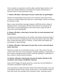I have watched as women have cared for others and built large churches. God used Aimee Semple McPherson to build the Four Square denomination of churches which is a thriving ministry today.

# **7. Women will make a church grow because women they are good helpers.**

Women are natural helpers because they were created by God to help. Every woman has an inbuilt engine that makes her a natural helper. Women are looking for someone to help.

Many women entered their marriages hoping to fulfill their divine calling of helping someone. Unfortunately, the hurts and confusion of marriage do not allow them to use their helping gift. In the church many women are able to express this natural helping gift.

# **8. Women will make a church grow because they are more permanent and loyal workers.**

A church grows proportionately to the number of permanent and loyal people it has. Men are known to change their jobs at least four times in their lives whilst many women keep their jobs for a lifetime. A church filled with faithful and loyal people is a great blessing.

# **9. Women will make a church grow because they are less concerned about money than men.**

Women are usually not as interested in money as men. They seem to be more content if they feel safe, secure and happy. Generally speaking, I would prefer to have women counting the church money. Generally speaking, I would prefer to have women in certain sensitive positions.

# **10. Women will make a church grow because the largest churches in the world have used women to build their churches.**

Pastor David Yonggi Cho speaks about how women have served faithfully as cell leaders and helped to build his church.

I once preached in a large church that seated twelve thousand people. It was one of the largest churches in that country. In that service, I was amazed to find not more than twenty men amongst twelve thousand women. Amazing women!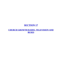# **[SECTION](#page-5-0) 17**

# **CHURCH GROWTH RADIO, [TELEVISION](#page-5-0) AND BUSES**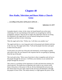# **[Chapter](#page-5-0) 40**

# **How Radio, [Television](#page-5-0) and Buses Make a Church Grow**

*. . . according to the prince of the power of the air. . .*

*Ephesians 2:2, KJV*

#### **A Vision**

A prophet shared a vision. In the vision, he found himself out on the street witnessing. No one was listening to him and he was not getting far with his evangelistic outreach. Then he met an angel who asked him what he was doing. He explained to the angel that he was on outreach doing house-to-house evangelism and door-to-door witnessing.

Then the angel said to him, "Follow me, I will show you another way."

The angel took him to a very long pole stuck in the ground and climbed with him to the very top. The angel said to him, "Call out the people from here and speak to them from this place."

As the pastor sat on the top of the pole and ministered, crowds began to gather and come to him. He was amazed at the response that he was getting by speaking from the top of the pole.

The Lord said to him, "Move away from door to door evangelism and call out to the people through the airwaves. I will bless your ministry as you summon the people through the airwaves."

This vision is a revelation of the importance of radio and television ministry for church growth. The media has an important role to play in our current world. Satan is the prince of the power of the air. He has dominated the airwaves and the church must rise up to take control of the airwaves and dominate it through the gospel of Jesus Christ. The media ministry is a fight against the prince of the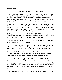power of the air!

# **Ten Steps to an Effective Radio Ministry**

1. BELIEVE IN THE RADIO MINISTRY. Whatever you do that is not of faith is sin. What you do out of faith will work out. Mountains will be moved and rivers will be crossed as you press into the radio ministry. Understand the advantages and blessings of a radio ministry. You must know that you will reach people through the radio whom you will not reach in any other way.

2. BE LED BY THE SPIRIT before you embark on a radio ministry. Pray about the radio ministry and put it before the Lord. If He gives you peace about it then go for it. If it is not his will or his time then stay away from it. If you are led by the Spirit to be on the radio, it will be a blessing to the church. If you are not led by the Spirit to be on radio it will not help you.

3. Have a radio programme EARLY IN THE MORNING in your town or city. Your voice must be heard every morning in your city. Your voice must be heard preaching, praying for people and ministering to all who tune in.

4. Have a radio programme EVERYDAY**.** For your radio ministry to be effective it must be every day or every weekday.

5. PREPARE for your radio programme as you would for a Sunday sermon. In all labour there is profit and your diligence will cause you to stand before kings. Do not come to the studio unprepared and fumble through the programme.

6. MINISTER TO PEOPLE on the radio as though they are in front of you. Speak as though you were speaking to thousands. Do not wonder to yourself whether people are listening or not. Many people are listening to you.

7. PRAY FOR PEOPLE on the radio. People love to be prayed for. Pray powerful prayers using the King James language, the Psalms and the Synonyms.

8. Never forget to invite PEOPLE to come to your church. Use your time on the radio wisely. Tell people what to do and they will obey you. Invite them to come and see you so that you can continue ministering the power and the anointing to them.

9. DO ALTAR CALLS for salvation and healing. Salvation must never go to the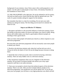background of your ministry. Jesus Christ came to this world purposely to save sinners. Use the radio to lead people to Jesus Christ. All ministry flourishes on the foundation of Jesus Christ.

10. ASK FOR SUPPORT at the right time. Do not be ashamed to ask for money. Ask and you shall receive, knock and the door shall be opened unto you. The work of a pastor includes asking for support for the ministry.

But remember that there is a time for everything. Do not start your radio ministry by asking for money. The first thing you do must be to minister the Word of God.

# **Steps to an Effective TV Ministry**

1. Recognize and believe in the powerful influence of television ministry. Know that being on television makes you known and makes your church visible. Being known and visible makes your church a good option whenever people are deciding to find a good church.

There are times when people will attend your church as a direct response to your television programme.

Be aware that your television programme will not necessarily cause more people to attend your church.

2. Decide to do television ministry only when the Lord has led you to do it. Always be led by the Spirit of God. Do not do things because everyone is doing them.

3. Spend the time to find out exactly what is involved in having a television ministry. There are many hidden costs in a television ministry.

4. Buy inexpensive equipment when you are a beginner in the television ministry. Do not listen to technical people who advise you to buy super expensive stuff that is not really necessary.

5. Train your own people to slowly learn the technical aspects of the television ministry. There is no rush. After you have trained ordinary people to do a television programme, your production cost will be almost zero. If you do not train your own people, you will have a very high production cost which will kill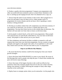your television ministry.

6. Produce a quality television programme! Compare your programmes with other successful television ministries and try to match them. Emulation is the key to catching up and surging forward. Don't be ashamed to be a copy cat.

7. Always keep the name of your ministry on the screen. Show people how to reach you and make it easy for them to do so. Many people watch TV programmes for twenty minutes and do not know who is speaking or which ministry is being presented.

8. Develop an excellent website that will complement your television ministry. If you cannot be on television, you can have a website that shows your programmes. You may have more success on the website than on television. The internet will soon take over from what we know as television today.

9. Invite people to attend church, at the end of your programmes. Many people will come because you specifically asked them to. Use your time on television wisely. Tell people to come and see you in your church.

10. Have telephones and internet facilities available to respond to calls and requests that come from your television programme. Set up a system to respond promptly and eagerly to the people who call in. If you tell them to call in and they cannot reach you they will soon lose faith in your TV programme.

# **Steps to an Effective Bus Ministry**

1. Be aware that the bus ministry could be the missing key from your church growth strategies

2. Know that buses help POOR PEOPLE to come to your church. Be aware of the blessings that come to people who help the poor. A church that considers the poor will receive many blessings.

3. Know that many of the largest churches in the world run effective bus ministries where they transport people from all over the city to their churches. Doing a bus ministry is simply following the example of many other mega churches in the world today.

4. Deploy buses to strategic points where you do outreaches. Let the people who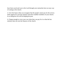have been saved and won to the Lord through your outreaches have an easy way of coming to the church.

5. Give free buses when you recognize that the people cannot pay for the service. Seek support for your bus ministry from the wealthier members of your church. In so doing the rich will be helping the poor.

6. Charge enough to cover your cost when they can pay for it so that the bus ministry does not ruin the finances of the church.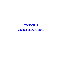# **[SECTION](#page-5-0) 18**

# **CHURCH [GROWTH](#page-5-0) TESTS**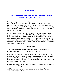# **[Chapter](#page-5-0) 41**

# **Twenty Diverse Tests and [Temptations](#page-5-0) of a Pastor who Seeks Church Growth**

Nothing is going to come to you easily. You must consider your life to be one long series of tests, trials and temptations. There is a purpose for each test that God takes you through. Because spiritual tests do not take place in a classroom they are not easily recognized. Many things that happen in our lives are actually tests! Your desire to have a mega church will lead you to a road that has many painful testing experiences.

Many things in a pastor's life look like coincidences but they are not. Many people you meet and interact with look like they just happened to come by. Indeed, they did not just come by; they were sent by the Lord. Some people you meet today are the newly arriving tests, trials and temptations of your life. You will be expected to pass the tests of relating with them. So what are the tests that a pastor of a mega church should expect to go through? What trials will a pastor desiring church growth experience?

#### **Twenty Tests**

# **1. As you build a mega church, you will be tested so that you can be promoted.** Without these tests you cannot be promoted.

In school, you cannot move to the next level unless you pass your tests. The scripture says that you become perfect and complete after you have successfully gone through trials, testings and temptations. O mega church pastor, don't you want to be perfect and complete? Don't you want to be fully qualified for all the increase that is coming to you?

Consider it all joy, my brethren, when you encounter various trials, knowing that the testing of your faith produces endurance.

# *And let endurance have its perfect result, that you may be perfect and complete, lacking in nothing.*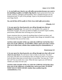**2. As you build your church, you will suffer persecution because you want to do something so godly as to build a big church.** Expect persecution from your friends, relatives, colleagues and bystanders. Don't complain because you are being persecuted. It's part of the package. Expect to be persecuted because of your mega church.

# *Yea, and all that will live godly in Christ Jesus shall suffer persecution.*

# *2Timothy 3:12*

**3. In your quest for church growth, you will go through tests that are designed to humble you.** You need to be very humble to be a pastor of thousands of people. You must not think too highly of yourself. Expect troubles, persecutions, difficulties that will bring you to your knees.

Expect situations that you cannot do anything about to break you down, and bring you to your knees. O mega church pastor, these things are intended to help you remember that you are but a man.

*And thou shalt remember all the way which the LORD thy God led thee these forty years in the wilderness, TO HUMBLE THEE, and to prove thee, to know what was in thine heart, whether thou wouldest keep his commandments, or no.*

#### *Deuteronomy 8:2*

**4. In your quest for church growth, you will go through tests that will reveal what is in your heart.** No one knows what is really in your heart. You don't even know. But there are circumstances that can bring out what is in your heart. God will allow those tests to reveal what is in your heart. You may say, "I love the Lord" but you really love a man. When the man is gone you will find out whether you really love the Lord.

*And thou shalt remember all the way which the LORD thy God led thee these forty years in the wilderness, to humble thee, and to prove thee, TO KNOW WHAT WAS IN THINE HEART, whether thou wouldest keep his commandments, or no.*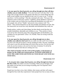#### *Deuteronomy 8:2*

**5. In your quest for church growth, you will go through tests that will show whether you are really obedient.** "I love the Lord and I will obey Him" is the song of the average minister of the gospel. But there are certain things that will really reveal whether you are obedient to the Lord. It is easy to say, "I will go anywhere, I will do anything". Then the command will come, "Now go to the uttermost corner of that poor country!" Suddenly, all the obedience is thrown out of the window and you realize how unwilling and disobedient you really are. I have people who call me "Daddy" and answer every sentence with "Yes, please". They present themselves as the most humble and obedient servants. But one instruction can reveal how truly detestable and disobedient they really are.

People profess, confess and claim things, but their deeds reveal that they are actually disobedient, detestable and worthless to you. "They profess to know God, but by their *deeds* they deny *Him*, being detestable and disobedient, and worthless for any good deed" (Titus 1:16, NASB). These are strong words but they are true.

**6. In your quest for church growth, you will go through tests to show whether you really love the Lord.** Do you really love the Lord? I love Jesus! I love the Lord with all my heart! I will do anything for Him. One day, something will come to your life and that thing will reveal what you love. Do you love the Lord, do you love money or do you love the fame of ministry? It will all be revealed through the tests that are coming your way.

*Thou shalt not hearken unto the words of that prophet, or that dreamer of dreams: for the LORD your God proveth you, TO KNOW WHETHER YE LOVE THE LORD YOUR GOD WITH ALL YOUR HEART AND WITH ALL YOUR SOUL.*

#### *Deuteronomy 13:3*

**7. As you grow into a mega church pastor, you will go through tests that are like fiery trials.** Fire makes you lose everything. When you go through a trial that makes you feel that you are losing everything, don't be surprised. Don't think it is strange.

People have lost their wives, their children, their money and their self-respect through the fiery trials they experienced. Some people have lost as many as three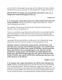wives in the fire. Some people lost as many as five children. You have to believe that these fiery trials are necessary for your promotion to a mega church pastor.

*Beloved, think it not strange concerning the fiery trial which is to try you, as though some strange thing happened unto you:*

*1 Peter 4:12*

**8. As you become a mega church pastor you will be tested by** *bad winds***, bad storms and floods.** One day, the pastor of a large church said to me, "A *bad wind* is blowing on our friend."

He continued, "We must pray for him because if that *bad wind* turns in our direction, it will not be good for us!"

You see, as you build a mega church and work for God, you may think that only good winds will blow in your direction. The fact that you are doing the right things and building your house on a rock does not mean that a bad wind will not blow on you.

Amazingly, the bad wind that blows on the person who is doing all the wrong things is the same bad wind that will blow on the good person's house.

*Therefore whosoever heareth these sayings of mine, and doeth them, I will liken him unto a wise man, which built his house upon a rock: And the RAIN descended, and the FLOODS came, and the WINDS blew, and beat upon that house; and it fell not: for it was founded upon a rock. And every one that heareth these sayings of mine, and doeth them not, shall be likened unto a foolish man, which built his house upon the sand: And the RAIN descended, and the FLOODS came, and the WINDS blew, and beat upon that house; and it fell: and great was the fall of it.*

*Matthew 7:24-27*

**9. As you grow into a mega church pastor you will be tested with grief and sorrow.** Sadness, mourning and grief are tests that will meet every man desiring to be a mega church pastor. These are things that a mega church pastor must experience. By the time you have had a few heart-rending times of grief you will be wiser and more humble. You will become an eternity-oriented pastor because you *lay to heart* the times of mourning and grief. Without all these experiences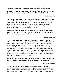your mind will gallop towards delusions that only end in more deception.

# *It is better to go to the house of mourning, than to go to the house of feasting: for that is the end of all men; and the living will lay it to his heart."*

# *Ecclesiastes 7:2*

# **10. A mega church pastor will be tested for his ability to withstand pressure.**

A pastor of a big church is under a lot of pressure: pressure from the congregation, pressure from financial problems, pressure from his wife, pressure from his children, pressure from his associates, pressure from the dropping attendance, pressure from the projects, pressure from the employees, pressure from the press and pressure from the general public.

# *For we would not, brethren, have you ignorant of our trouble which came to us in Asia, that WE WERE PRESSED OUT OF MEASURE, above strength, insomuch that we despaired even of life:*

# *2 Corinthians 1:8*

**11. A mega church pastor will suffer temptations**. O mega church pastor you will not be exempted from temptations because of your lofty ambitions. You will be tempted in every way on your journey to achieving church growth. You will be tempted with finances to enrich yourself and to misuse money. You will be tempted with lustful things and strange women. You will be tempted with divorce. You will be tempted with disloyalty. You will be tempted with pride. You will be tempted with discouragement. You will be tempted to give up. You will be tempted with unforgiveness and bitterness. You will be tempted to misuse your power. Do not be deceived. The higher you go in the ministry, the more you should expect to be tested and tormented.

#### *For we do not have a high priest who cannot sympathize with our weaknesses, but One who has been tempted in all things as we are, yet without sin."*

*Hebrews 4:15, (NASB)*

# **12. On your road to church growth, you will meet with wicked and**

**unreasonable men.** O mega church pastor, get ready to meet unreasonable men and women who will oppose you and make things difficult for you. I have met men with an intractable dislike for us. There are people who have opposed the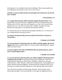development of our cathedrals and church buildings. These unreasonable men are temptations and testing's on the way to your victory.

# *And that we may be delivered from unreasonable and wicked men: for all men have not faith.*

# *2 Thessalonians 3:2*

**13. A mega church pastor will be tested by people who desert him.** When people desert you, you will have to depend on the Lord. Along the journey of ministry, there will be many who will abandon you. Don't cry too much when people leave you. I can tell you about quite a number of people who have deserted me especially as I went deeper into full time ministry.

It is not because you are a bad person that people abandon you. It is because of your calling and the tests that go with it.

# *For Demas, having loved this present world, has deserted me and gone to Thessalonica*

*2 Timothy 4:10 (NASB)*

**14. In your quest for church growth you will be tested by people who do not support you.** What a painful thing it is to have people withholding their support when you need it most.

# *At my first defense NO ONE SUPPORTED ME, but all deserted me; may it not be counted against them."*

# *2 Timothy 4:16 (NASB)*

**15. In your quest for church growth, you will be tempted with the personal weaknesses of your life.** Every pastor has personal weaknesses. Some have temperamental weaknesses which lead to moodiness, depression, and poor communication. Other ministers suffer from disorganization, mismanagement of money and poor personal judgment. All these personal weaknesses show up as time goes on and present great temptations to the aspiring mega church pastor.

You will also be tempted with distressing situations. Many ministers have distressing marriages. The usual problems of marriage are heightened by the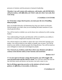pressures of ministry and the pressures of pinnacle leadership.

*Therefore I am well content with weaknesses, with insults, with DISTRESSES, with persecutions, with difficulties, for Christ's sake; for when I am weak, then I am strong*

*2 Corinthians 12:10 (NASB)*

# **16. To become a mega church pastor, you must pass the test of handling disloyal people.**

How you handle disloyalty will determine how big your church can become. Disloyal people can scatter what you are building and make nonsense of your church growth efforts.

You will be tested on whether you can be drawn into confusion by strife-causing leaders.

Your understanding of loyalty and disloyalty will be revealed by your ability to improve or worsen complicated situations in the church.

You will be tested on your ability to silence the voice of the devil amongst your leaders. You will be tested on your ability to handle your accusers. You will be tested on your ability to dismiss people who bring division. You will be tested on your willingness to mark and avoid dangerous people.

# *Now I beseech you, brethren, mark them which cause divisions and offences contrary to the doctrine which ye have learned; and avoid them.*

# *Romans 16:17*

**17. In your quest to become a mega church pastor, you will struggle with your personal needs and the church's needs.** You will have needs that must be met and these needs and desires can become a test and a snare to you.

# *But in all things approving ourselves as the ministers of God, in much patience, in afflictions, in necessities, in distresses,*

*2 Corinthians 6:4*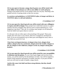**18. In your quest to become a mega church pastor you will be tested with your ability to fast and pray as well as your ability to watch and pray.** Fasting is the painful activity of not eating so that you can pray. Watching is the painful activity of staying awake so that you can pray.

# *In weariness and painfulness, in WATCHINGS often, in hunger and thirst, in FASTINGS often, in cold and nakedness.*

# *2 Corinthians 11:27*

**19. In your quest for church growth you will be tested with your willingness to expose yourself to danger.** Many people have ended their journey to a great ministry because of dangers they did not want to expose themselves to. "Is it dangerous to go there?" they ask. In so doing, many people cut off themselves from the fields God expects them to work in.

It is the poor who are often open to the preaching of the gospel. These poor people who will come to your church, often live in dangerous and deprived areas. If you are not prepared to go to these poor and dangerous areas, there is very little you can do for God.

*I have been on frequent journeys, in dangers from rivers, dangers from robbers, dangers from my countrymen, dangers from the Gentiles, dangers in the city, dangers in the wilderness, dangers on the sea, dangers among false brethren*

*2 Corinthians 11:26 (NASB)*

**20. In your quest for church growth you will be tested for your susceptibility to delusions and deceptions.** As your church gets bigger and you have more money, you will be tested by the deceitfulness of riches. You will be tempted to despise small ministries and pastors of smaller churches. If you pass all these tests you will truly be ready to handle a mega church.

#### *And for this cause God shall send them strong delusion, that they should believe a lie:*

*2 Thessalonians 2:11*